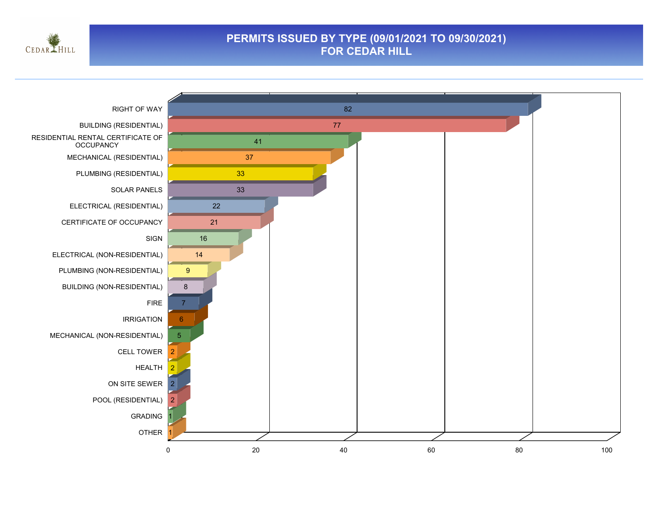

#### **PERMITS ISSUED BY TYPE (09/01/2021 TO 09/30/2021) FOR CEDAR HILL**

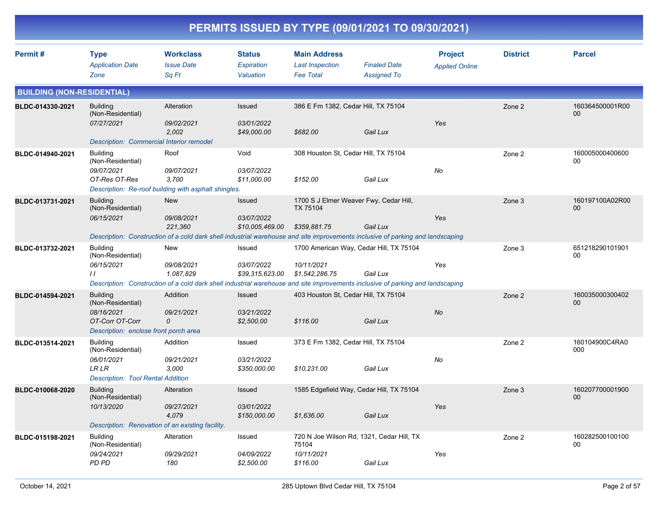| PERMITS ISSUED BY TYPE (09/01/2021 TO 09/30/2021) |                                                                                                                |                                                                                                                                                                  |                                           |                                                                    |                                                       |                                         |                 |                              |  |
|---------------------------------------------------|----------------------------------------------------------------------------------------------------------------|------------------------------------------------------------------------------------------------------------------------------------------------------------------|-------------------------------------------|--------------------------------------------------------------------|-------------------------------------------------------|-----------------------------------------|-----------------|------------------------------|--|
| Permit#                                           | <b>Type</b><br><b>Application Date</b><br>Zone                                                                 | <b>Workclass</b><br><b>Issue Date</b><br>Sq Ft                                                                                                                   | <b>Status</b><br>Expiration<br>Valuation  | <b>Main Address</b><br><b>Last Inspection</b><br><b>Fee Total</b>  | <b>Finaled Date</b><br><b>Assigned To</b>             | <b>Project</b><br><b>Applied Online</b> | <b>District</b> | <b>Parcel</b>                |  |
| <b>BUILDING (NON-RESIDENTIAL)</b>                 |                                                                                                                |                                                                                                                                                                  |                                           |                                                                    |                                                       |                                         |                 |                              |  |
| BLDC-014330-2021                                  | <b>Building</b><br>(Non-Residential)<br>07/27/2021<br><b>Description: Commercial Interior remodel</b>          | Alteration<br>09/02/2021<br>2,002                                                                                                                                | Issued<br>03/01/2022<br>\$49,000.00       | 386 E Fm 1382, Cedar Hill, TX 75104<br>\$682.00                    | Gail Lux                                              | Yes                                     | Zone 2          | 160364500001R00<br>00        |  |
| BLDC-014940-2021                                  | <b>Building</b><br>(Non-Residential)<br>09/07/2021<br>OT-Res OT-Res                                            | Roof<br>09/07/2021<br>3,700<br>Description: Re-roof building with asphalt shingles.                                                                              | Void<br>03/07/2022<br>\$11,000.00         | 308 Houston St, Cedar Hill, TX 75104<br>\$152.00                   | Gail Lux                                              | No                                      | Zone 2          | 160005000400600<br>00        |  |
| BLDC-013731-2021                                  | <b>Building</b><br>(Non-Residential)<br>06/15/2021                                                             | New<br>09/08/2021<br>221,360<br>Description: Construction of a cold dark shell industrial warehouse and site improvements inclusive of parking and landscaping   | Issued<br>03/07/2022<br>\$10,005,469.00   | 1700 S J Elmer Weaver Fwy, Cedar Hill,<br>TX 75104<br>\$359,881.75 | Gail Lux                                              | Yes                                     | Zone 3          | 160197100A02R00<br>00        |  |
| BLDC-013732-2021                                  | <b>Building</b><br>(Non-Residential)<br>06/15/2021<br>$\prime$                                                 | New<br>09/08/2021<br>1.087.829<br>Description: Construction of a cold dark shell industrial warehouse and site improvements inclusive of parking and landscaping | Issued<br>03/07/2022<br>\$39,315,623.00   | 10/11/2021<br>\$1,542,286.75                                       | 1700 American Way, Cedar Hill, TX 75104<br>Gail Lux   | Yes                                     | Zone 3          | 651218290101901<br>00        |  |
| BLDC-014594-2021                                  | <b>Building</b><br>(Non-Residential)<br>08/16/2021<br>OT-Corr OT-Corr<br>Description: enclose front porch area | Addition<br>09/21/2021<br>0                                                                                                                                      | Issued<br>03/21/2022<br>\$2,500.00        | 403 Houston St, Cedar Hill, TX 75104<br>\$116.00                   | Gail Lux                                              | No                                      | Zone 2          | 160035000300402<br>00        |  |
| BLDC-013514-2021                                  | <b>Building</b><br>(Non-Residential)<br>06/01/2021<br>LR LR<br><b>Description: Tool Rental Addition</b>        | Addition<br>09/21/2021<br>3,000                                                                                                                                  | Issued<br>03/21/2022<br>\$350,000.00      | 373 E Fm 1382, Cedar Hill, TX 75104<br>\$10,231.00                 | Gail Lux                                              | No                                      | Zone 2          | 160104900C4RA0<br>000        |  |
| BLDC-010068-2020                                  | Building<br>(Non-Residential)<br>10/13/2020                                                                    | Alteration<br>09/27/2021<br>4,079<br>Description: Renovation of an existing facility.                                                                            | Issued<br>03/01/2022<br>\$150,000.00      | \$1,636.00                                                         | 1585 Edgefield Way, Cedar Hill, TX 75104<br>Gail Lux  | Yes                                     | Zone 3          | 160207700001900<br><b>UU</b> |  |
| BLDC-015198-2021                                  | <b>Building</b><br>(Non-Residential)<br>09/24/2021<br>PD PD                                                    | Alteration<br>09/29/2021<br>180                                                                                                                                  | Issued<br><i>04/09/2022</i><br>\$2,500.00 | 75104<br>10/11/2021<br>\$116.00                                    | 720 N Joe Wilson Rd, 1321, Cedar Hill, TX<br>Gail Lux | Yes                                     | Zone 2          | 160282500100100<br>00        |  |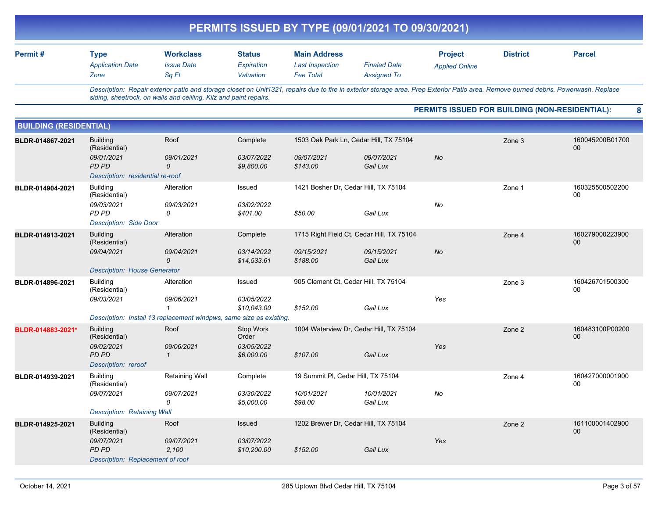| PERMITS ISSUED BY TYPE (09/01/2021 TO 09/30/2021) |                                                                                                                       |                                                |                                                |                                                                     |                                           |                                                                                                                                                                                     |                 |                       |  |  |
|---------------------------------------------------|-----------------------------------------------------------------------------------------------------------------------|------------------------------------------------|------------------------------------------------|---------------------------------------------------------------------|-------------------------------------------|-------------------------------------------------------------------------------------------------------------------------------------------------------------------------------------|-----------------|-----------------------|--|--|
| Permit#                                           | <b>Type</b><br><b>Application Date</b><br>Zone                                                                        | <b>Workclass</b><br><b>Issue Date</b><br>Sq Ft | <b>Status</b><br>Expiration<br>Valuation       | <b>Main Address</b><br><b>Last Inspection</b><br><b>Fee Total</b>   | <b>Finaled Date</b><br><b>Assigned To</b> | <b>Project</b><br><b>Applied Online</b>                                                                                                                                             | <b>District</b> | <b>Parcel</b>         |  |  |
|                                                   | siding, sheetrock, on walls and ceilling. Kilz and paint repairs.                                                     |                                                |                                                |                                                                     |                                           | Description: Repair exterior patio and storage closet on Unit1321, repairs due to fire in exterior storage area. Prep Exterior Patio area. Remove burned debris. Powerwash. Replace |                 |                       |  |  |
|                                                   |                                                                                                                       |                                                |                                                |                                                                     |                                           | PERMITS ISSUED FOR BUILDING (NON-RESIDENTIAL):                                                                                                                                      |                 | 8                     |  |  |
| <b>BUILDING (RESIDENTIAL)</b>                     |                                                                                                                       |                                                |                                                |                                                                     |                                           |                                                                                                                                                                                     |                 |                       |  |  |
| BLDR-014867-2021                                  | <b>Building</b><br>(Residential)<br>09/01/2021<br><b>PD PD</b><br>Description: residential re-roof                    | Roof<br>09/01/2021<br>$\mathcal{O}$            | Complete<br>03/07/2022<br>\$9,800.00           | 1503 Oak Park Ln, Cedar Hill, TX 75104<br>09/07/2021<br>\$143.00    | 09/07/2021<br>Gail Lux                    | <b>No</b>                                                                                                                                                                           | Zone 3          | 160045200B01700<br>00 |  |  |
| BLDR-014904-2021                                  | <b>Building</b><br>(Residential)<br>09/03/2021<br>PD PD<br><b>Description: Side Door</b>                              | Alteration<br>09/03/2021<br>0                  | Issued<br>03/02/2022<br>\$401.00               | 1421 Bosher Dr, Cedar Hill, TX 75104<br>\$50.00                     | Gail Lux                                  | No                                                                                                                                                                                  | Zone 1          | 160325500502200<br>00 |  |  |
| BLDR-014913-2021                                  | <b>Building</b><br>(Residential)<br>09/04/2021<br><b>Description: House Generator</b>                                 | Alteration<br>09/04/2021<br>$\mathcal{O}$      | Complete<br>03/14/2022<br>\$14,533.61          | 1715 Right Field Ct, Cedar Hill, TX 75104<br>09/15/2021<br>\$188.00 | 09/15/2021<br>Gail Lux                    | No                                                                                                                                                                                  | Zone 4          | 160279000223900<br>00 |  |  |
| BLDR-014896-2021                                  | <b>Building</b><br>(Residential)<br>09/03/2021<br>Description: Install 13 replacement windpws, same size as existing. | Alteration<br>09/06/2021<br>$\mathbf{1}$       | Issued<br>03/05/2022<br>\$10,043.00            | 905 Clement Ct, Cedar Hill, TX 75104<br>\$152.00                    | Gail Lux                                  | Yes                                                                                                                                                                                 | Zone 3          | 160426701500300<br>00 |  |  |
| BLDR-014883-2021*                                 | <b>Building</b><br>(Residential)<br>09/02/2021<br><b>PD PD</b><br>Description: reroof                                 | Roof<br>09/06/2021<br>$\mathcal I$             | Stop Work<br>Order<br>03/05/2022<br>\$6,000.00 | 1004 Waterview Dr, Cedar Hill, TX 75104<br>\$107.00                 | Gail Lux                                  | Yes                                                                                                                                                                                 | Zone 2          | 160483100P00200<br>00 |  |  |
| BLDR-014939-2021                                  | <b>Building</b><br>(Residential)<br>09/07/2021<br><b>Description: Retaining Wall</b>                                  | Retaining Wall<br>09/07/2021<br>0              | Complete<br>03/30/2022<br>\$5,000.00           | 19 Summit PI, Cedar Hill, TX 75104<br>10/01/2021<br>\$98.00         | 10/01/2021<br>Gail Lux                    | No                                                                                                                                                                                  | Zone 4          | 160427000001900<br>00 |  |  |
| BLDR-014925-2021                                  | <b>Building</b><br>(Residential)<br>09/07/2021<br>PD PD<br>Description: Replacement of roof                           | Roof<br>09/07/2021<br>2,100                    | Issued<br>03/07/2022<br>\$10,200.00            | 1202 Brewer Dr, Cedar Hill, TX 75104<br>\$152.00                    | Gail Lux                                  | Yes                                                                                                                                                                                 | Zone 2          | 161100001402900<br>00 |  |  |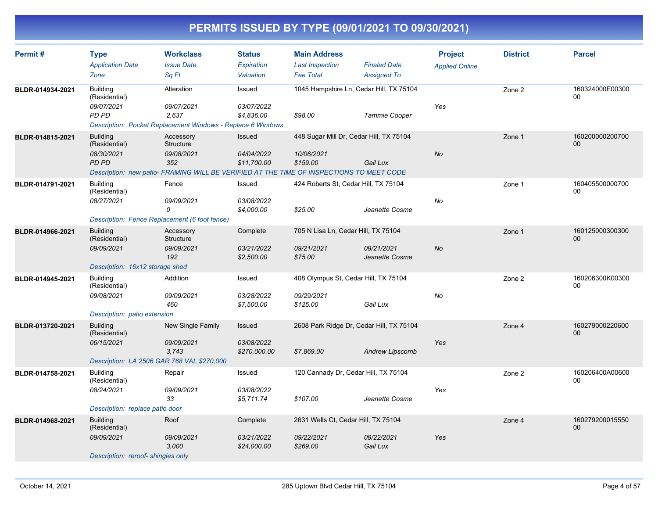| Permit#          | <b>Type</b>                       | <b>Workclass</b>                                                                         | <b>Status</b>             | <b>Main Address</b>                     |                                          | <b>Project</b>        | <b>District</b> | <b>Parcel</b>         |
|------------------|-----------------------------------|------------------------------------------------------------------------------------------|---------------------------|-----------------------------------------|------------------------------------------|-----------------------|-----------------|-----------------------|
|                  | <b>Application Date</b>           | <b>Issue Date</b>                                                                        | Expiration                | <b>Last Inspection</b>                  | <b>Finaled Date</b>                      | <b>Applied Online</b> |                 |                       |
|                  | Zone                              | Sq Ft                                                                                    | Valuation                 | <b>Fee Total</b>                        | <b>Assigned To</b>                       |                       |                 |                       |
| BLDR-014934-2021 | <b>Building</b><br>(Residential)  | Alteration                                                                               | Issued                    |                                         | 1045 Hampshire Ln, Cedar Hill, TX 75104  |                       | Zone 2          | 160324000E00300<br>00 |
|                  | 09/07/2021                        | 09/07/2021                                                                               | 03/07/2022                |                                         |                                          | Yes                   |                 |                       |
|                  | PD PD                             | 2,637                                                                                    | \$4.836.00                | \$98.00                                 | <b>Tammie Cooper</b>                     |                       |                 |                       |
|                  |                                   | Description: Pocket Replacement Windows - Replace 6 Windows.                             |                           |                                         |                                          |                       |                 |                       |
| BLDR-014815-2021 | <b>Building</b><br>(Residential)  | Accessory<br>Structure                                                                   | <b>Issued</b>             | 448 Sugar Mill Dr, Cedar Hill, TX 75104 |                                          |                       | Zone 1          | 160200000200700<br>00 |
|                  | 08/30/2021                        | 09/08/2021                                                                               | 04/04/2022                | 10/06/2021                              |                                          | No                    |                 |                       |
|                  | PD PD                             | 352                                                                                      | \$11,700.00               | \$159.00                                | Gail Lux                                 |                       |                 |                       |
|                  |                                   | Description: new patio- FRAMING WILL BE VERIFIED AT THE TIME OF INSPECTIONS TO MEET CODE |                           |                                         |                                          |                       |                 |                       |
| BLDR-014791-2021 | <b>Building</b><br>(Residential)  | Fence                                                                                    | Issued                    | 424 Roberts St, Cedar Hill, TX 75104    |                                          |                       | Zone 1          | 160405500000700<br>00 |
|                  | 08/27/2021                        | 09/09/2021<br>0                                                                          | 03/08/2022                |                                         |                                          | No                    |                 |                       |
|                  |                                   |                                                                                          | \$4,000.00                | \$25.00                                 | Jeanette Cosme                           |                       |                 |                       |
|                  |                                   | Description: Fence Replacement (6 foot fence)                                            |                           |                                         |                                          |                       |                 |                       |
| BLDR-014966-2021 | <b>Building</b><br>(Residential)  | Accessory<br>Structure                                                                   | Complete                  | 705 N Lisa Ln, Cedar Hill, TX 75104     |                                          |                       | Zone 1          | 160125000300300<br>00 |
|                  | 09/09/2021                        | 09/09/2021                                                                               | 03/21/2022                | 09/21/2021                              | 09/21/2021                               | <b>No</b>             |                 |                       |
|                  |                                   | 192                                                                                      | \$2,500.00                | \$75.00                                 | Jeanette Cosme                           |                       |                 |                       |
|                  | Description: 16x12 storage shed   |                                                                                          |                           |                                         |                                          |                       |                 |                       |
| BLDR-014945-2021 | <b>Building</b><br>(Residential)  | Addition                                                                                 | Issued                    | 408 Olympus St, Cedar Hill, TX 75104    |                                          |                       | Zone 2          | 160206300K00300<br>00 |
|                  | 09/08/2021                        | 09/09/2021                                                                               | 03/28/2022                | 09/29/2021                              |                                          | No                    |                 |                       |
|                  |                                   | 460                                                                                      | \$7,500.00                | \$125.00                                | Gail Lux                                 |                       |                 |                       |
|                  | Description: patio extension      |                                                                                          |                           |                                         |                                          |                       |                 |                       |
| BLDR-013720-2021 | <b>Building</b><br>(Residential)  | New Single Family                                                                        | <b>Issued</b>             |                                         | 2608 Park Ridge Dr, Cedar Hill, TX 75104 |                       | Zone 4          | 160279000220600<br>00 |
|                  | 06/15/2021                        | 09/09/2021                                                                               | 03/08/2022                |                                         |                                          | Yes                   |                 |                       |
|                  |                                   | 3,743                                                                                    | \$270,000.00              | \$7,869.00                              | <b>Andrew Lipscomb</b>                   |                       |                 |                       |
|                  |                                   | Description: LA 2506 GAR 768 VAL \$270,000                                               |                           |                                         |                                          |                       |                 |                       |
| BLDR-014758-2021 | <b>Building</b><br>(Residential)  | Repair                                                                                   | Issued                    | 120 Cannady Dr, Cedar Hill, TX 75104    |                                          |                       | Zone 2          | 160206400A00600<br>00 |
|                  | 08/24/2021                        | 09/09/2021                                                                               | 03/08/2022                |                                         |                                          | Yes                   |                 |                       |
|                  |                                   | 33                                                                                       | \$5.711.74                | \$107.00                                | Jeanette Cosme                           |                       |                 |                       |
|                  | Description: replace patio door   |                                                                                          |                           |                                         |                                          |                       |                 |                       |
| BLDR-014968-2021 | <b>Building</b><br>(Residential)  | Roof                                                                                     | Complete                  | 2631 Wells Ct, Cedar Hill, TX 75104     |                                          |                       | Zone 4          | 160279200015550<br>00 |
|                  | 09/09/2021                        | 09/09/2021<br>3,000                                                                      | 03/21/2022<br>\$24,000.00 | 09/22/2021<br>\$269.00                  | 09/22/2021<br>Gail Lux                   | Yes                   |                 |                       |
|                  | Description: reroof-shingles only |                                                                                          |                           |                                         |                                          |                       |                 |                       |
|                  |                                   |                                                                                          |                           |                                         |                                          |                       |                 |                       |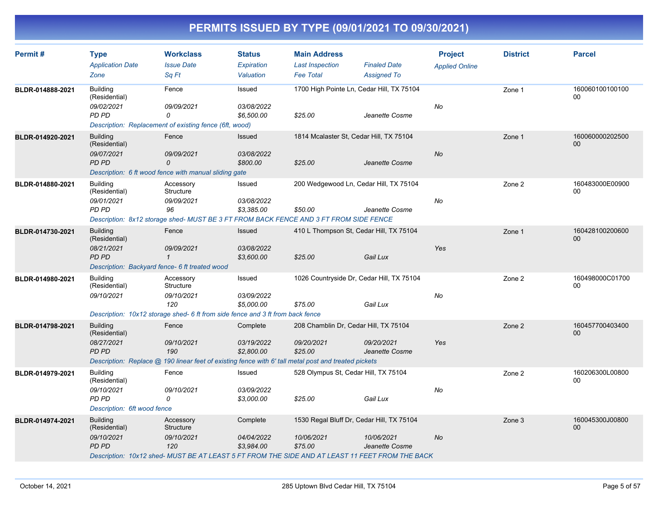| Permit#          | <b>Type</b><br><b>Application Date</b><br>Zone                                                                   | <b>Workclass</b><br><b>Issue Date</b><br>Sq Ft                                                                                                        | <b>Status</b><br><b>Expiration</b><br>Valuation | <b>Main Address</b><br><b>Last Inspection</b><br><b>Fee Total</b>  | <b>Finaled Date</b><br><b>Assigned To</b> | <b>Project</b><br><b>Applied Online</b> | <b>District</b> | <b>Parcel</b>                     |
|------------------|------------------------------------------------------------------------------------------------------------------|-------------------------------------------------------------------------------------------------------------------------------------------------------|-------------------------------------------------|--------------------------------------------------------------------|-------------------------------------------|-----------------------------------------|-----------------|-----------------------------------|
| BLDR-014888-2021 | <b>Building</b><br>(Residential)<br>09/02/2021<br>PD PD                                                          | Fence<br>09/09/2021<br>0<br>Description: Replacement of existing fence (6ft, wood)                                                                    | Issued<br>03/08/2022<br>\$6,500.00              | 1700 High Pointe Ln, Cedar Hill, TX 75104<br>\$25.00               | Jeanette Cosme                            | No                                      | Zone 1          | 160060100100100<br>0 <sub>0</sub> |
| BLDR-014920-2021 | <b>Building</b><br>(Residential)<br>09/07/2021<br>PD PD                                                          | Fence<br>09/09/2021<br>0<br>Description: 6 ft wood fence with manual sliding gate                                                                     | <b>Issued</b><br>03/08/2022<br>\$800.00         | 1814 Mcalaster St, Cedar Hill, TX 75104<br>\$25.00                 | Jeanette Cosme                            | <b>No</b>                               | Zone 1          | 160060000202500<br>00             |
| BLDR-014880-2021 | <b>Building</b><br>(Residential)<br>09/01/2021<br>PD PD                                                          | Accessory<br>Structure<br>09/09/2021<br>96<br>Description: 8x12 storage shed- MUST BE 3 FT FROM BACK FENCE AND 3 FT FROM SIDE FENCE                   | Issued<br>03/08/2022<br>\$3,385.00              | 200 Wedgewood Ln, Cedar Hill, TX 75104<br>\$50.00                  | Jeanette Cosme                            | No                                      | Zone 2          | 160483000E00900<br>00             |
| BLDR-014730-2021 | <b>Building</b><br>(Residential)<br>08/21/2021<br><b>PD PD</b><br>Description: Backyard fence- 6 ft treated wood | Fence<br>09/09/2021<br>$\mathbf{1}$                                                                                                                   | Issued<br>03/08/2022<br>\$3,600.00              | 410 L Thompson St, Cedar Hill, TX 75104<br>\$25.00                 | Gail Lux                                  | Yes                                     | Zone 1          | 160428100200600<br>00             |
| BLDR-014980-2021 | <b>Building</b><br>(Residential)<br>09/10/2021                                                                   | Accessory<br>Structure<br>09/10/2021<br>120<br>Description: 10x12 storage shed- 6 ft from side fence and 3 ft from back fence                         | Issued<br>03/09/2022<br>\$5,000.00              | 1026 Countryside Dr, Cedar Hill, TX 75104<br>\$75.00               | Gail Lux                                  | No                                      | Zone 2          | 160498000C01700<br>00             |
| BLDR-014798-2021 | <b>Building</b><br>(Residential)<br>08/27/2021<br><b>PD PD</b>                                                   | Fence<br>09/10/2021<br>190<br>Description: Replace @ 190 linear feet of existing fence with 6' tall metal post and treated pickets                    | Complete<br>03/19/2022<br>\$2,800.00            | 208 Chamblin Dr, Cedar Hill, TX 75104<br>09/20/2021<br>\$25.00     | 09/20/2021<br>Jeanette Cosme              | Yes                                     | Zone 2          | 160457700403400<br>$00\,$         |
| BLDR-014979-2021 | <b>Building</b><br>(Residential)<br>09/10/2021<br>PD PD<br>Description: 6ft wood fence                           | Fence<br>09/10/2021<br>0                                                                                                                              | Issued<br>03/09/2022<br>\$3,000.00              | 528 Olympus St, Cedar Hill, TX 75104<br>\$25.00                    | Gail Lux                                  | No                                      | Zone 2          | 160206300L00800<br>00             |
| BLDR-014974-2021 | <b>Building</b><br>(Residential)<br>09/10/2021<br><b>PD PD</b>                                                   | Accessory<br><b>Structure</b><br>09/10/2021<br>120<br>Description: 10x12 shed- MUST BE AT LEAST 5 FT FROM THE SIDE AND AT LEAST 11 FEET FROM THE BACK | Complete<br>04/04/2022<br>\$3,984.00            | 1530 Regal Bluff Dr, Cedar Hill, TX 75104<br>10/06/2021<br>\$75.00 | 10/06/2021<br>Jeanette Cosme              | <b>No</b>                               | Zone 3          | 160045300J00800<br>00             |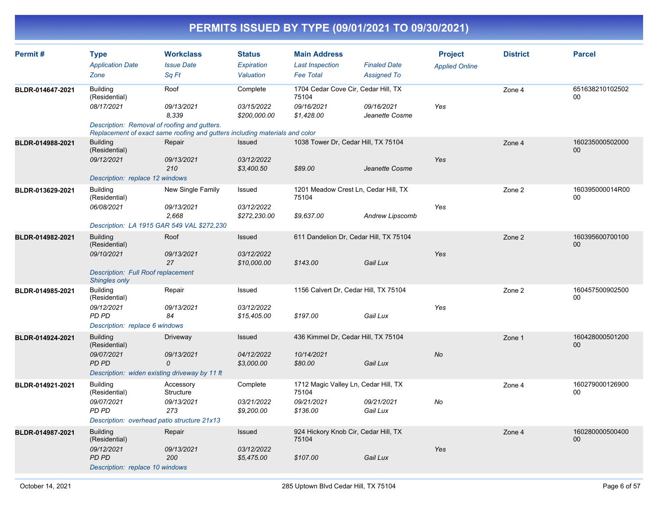| Permit#          | <b>Type</b>                                                       | <b>Workclass</b>                                                                                                            | <b>Status</b>              | <b>Main Address</b>                           |                                        | <b>Project</b>        | <b>District</b> | <b>Parcel</b>             |
|------------------|-------------------------------------------------------------------|-----------------------------------------------------------------------------------------------------------------------------|----------------------------|-----------------------------------------------|----------------------------------------|-----------------------|-----------------|---------------------------|
|                  | <b>Application Date</b>                                           | <b>Issue Date</b>                                                                                                           | <b>Expiration</b>          | <b>Last Inspection</b>                        | <b>Finaled Date</b>                    | <b>Applied Online</b> |                 |                           |
|                  | Zone                                                              | Sq Ft                                                                                                                       | Valuation                  | <b>Fee Total</b>                              | <b>Assigned To</b>                     |                       |                 |                           |
| BLDR-014647-2021 | <b>Building</b><br>(Residential)                                  | Roof                                                                                                                        | Complete                   | 1704 Cedar Cove Cir, Cedar Hill, TX<br>75104  |                                        |                       | Zone 4          | 651638210102502<br>$00\,$ |
|                  | 08/17/2021                                                        | 09/13/2021<br>8.339                                                                                                         | 03/15/2022<br>\$200,000.00 | 09/16/2021<br>\$1,428.00                      | 09/16/2021<br>Jeanette Cosme           | Yes                   |                 |                           |
|                  |                                                                   | Description: Removal of roofing and gutters.<br>Replacement of exact same roofing and gutters including materials and color |                            |                                               |                                        |                       |                 |                           |
| BLDR-014988-2021 | <b>Building</b><br>(Residential)                                  | Repair                                                                                                                      | Issued                     |                                               | 1038 Tower Dr, Cedar Hill, TX 75104    |                       | Zone 4          | 160235000502000<br>00     |
|                  | 09/12/2021                                                        | 09/13/2021<br>210                                                                                                           | 03/12/2022<br>\$3,400.50   | \$89.00                                       | Jeanette Cosme                         | Yes                   |                 |                           |
|                  | Description: replace 12 windows                                   |                                                                                                                             |                            |                                               |                                        |                       |                 |                           |
| BLDR-013629-2021 | <b>Building</b><br>(Residential)<br>06/08/2021                    | New Single Family<br>09/13/2021                                                                                             | Issued<br>03/12/2022       | 75104                                         | 1201 Meadow Crest Ln, Cedar Hill, TX   | Yes                   | Zone 2          | 160395000014R00<br>00     |
|                  |                                                                   | 2,668<br>Description: LA 1915 GAR 549 VAL \$272,230                                                                         | \$272,230.00               | \$9,637.00                                    | <b>Andrew Lipscomb</b>                 |                       |                 |                           |
| BLDR-014982-2021 | <b>Building</b>                                                   | Roof                                                                                                                        | Issued                     |                                               | 611 Dandelion Dr, Cedar Hill, TX 75104 |                       | Zone 2          | 160395600700100           |
|                  | (Residential)<br>09/10/2021                                       | 09/13/2021                                                                                                                  | 03/12/2022                 |                                               |                                        | Yes                   |                 | 00                        |
|                  |                                                                   | 27                                                                                                                          | \$10,000.00                | \$143.00                                      | Gail Lux                               |                       |                 |                           |
|                  | <b>Description: Full Roof replacement</b><br><b>Shingles only</b> |                                                                                                                             |                            |                                               |                                        |                       |                 |                           |
| BLDR-014985-2021 | <b>Building</b><br>(Residential)                                  | Repair                                                                                                                      | Issued                     |                                               | 1156 Calvert Dr, Cedar Hill, TX 75104  |                       | Zone 2          | 160457500902500<br>00     |
|                  | 09/12/2021                                                        | 09/13/2021                                                                                                                  | 03/12/2022                 |                                               |                                        | Yes                   |                 |                           |
|                  | PD PD<br>Description: replace 6 windows                           | 84                                                                                                                          | \$15,405.00                | \$197.00                                      | Gail Lux                               |                       |                 |                           |
| BLDR-014924-2021 | <b>Building</b>                                                   | Driveway                                                                                                                    | <b>Issued</b>              | 436 Kimmel Dr, Cedar Hill, TX 75104           |                                        |                       | Zone 1          | 160428000501200           |
|                  | (Residential)<br>09/07/2021                                       | 09/13/2021                                                                                                                  | 04/12/2022                 | 10/14/2021                                    |                                        | <b>No</b>             |                 | 00                        |
|                  | <b>PD PD</b>                                                      | 0                                                                                                                           | \$3,000.00                 | \$80.00                                       | Gail Lux                               |                       |                 |                           |
|                  |                                                                   | Description: widen existing driveway by 11 ft                                                                               |                            |                                               |                                        |                       |                 |                           |
| BLDR-014921-2021 | <b>Building</b><br>(Residential)                                  | Accessory<br>Structure                                                                                                      | Complete                   | 1712 Magic Valley Ln, Cedar Hill, TX<br>75104 |                                        |                       | Zone 4          | 160279000126900<br>00     |
|                  | 09/07/2021<br>PD PD                                               | 09/13/2021<br>273                                                                                                           | 03/21/2022<br>\$9,200.00   | 09/21/2021<br>\$136.00                        | 09/21/2021<br>Gail Lux                 | No                    |                 |                           |
|                  |                                                                   | Description: overhead patio structure 21x13                                                                                 |                            |                                               |                                        |                       |                 |                           |
| BLDR-014987-2021 | <b>Building</b><br>(Residential)                                  | Repair                                                                                                                      | Issued                     | 924 Hickory Knob Cir, Cedar Hill, TX<br>75104 |                                        |                       | Zone 4          | 160280000500400<br>$00\,$ |
|                  | 09/12/2021                                                        | 09/13/2021                                                                                                                  | 03/12/2022                 |                                               |                                        | Yes                   |                 |                           |
|                  | <b>PD PD</b><br>Description: replace 10 windows                   | 200                                                                                                                         | \$5,475.00                 | \$107.00                                      | Gail Lux                               |                       |                 |                           |
|                  |                                                                   |                                                                                                                             |                            |                                               |                                        |                       |                 |                           |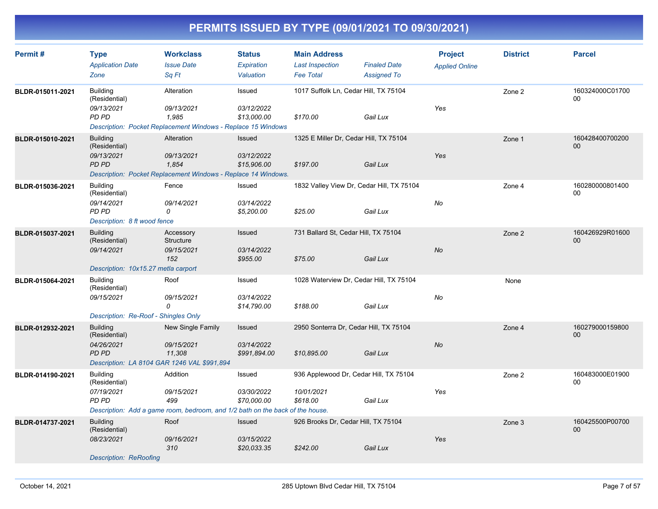| Permit #         | <b>Type</b>                          | <b>Workclass</b>                                                              | <b>Status</b>            | <b>Main Address</b>                  |                                           | <b>Project</b>        | <b>District</b> | <b>Parcel</b>             |
|------------------|--------------------------------------|-------------------------------------------------------------------------------|--------------------------|--------------------------------------|-------------------------------------------|-----------------------|-----------------|---------------------------|
|                  | <b>Application Date</b>              | <b>Issue Date</b>                                                             | <b>Expiration</b>        | <b>Last Inspection</b>               | <b>Finaled Date</b>                       | <b>Applied Online</b> |                 |                           |
|                  | Zone                                 | Sq Ft                                                                         | Valuation                | <b>Fee Total</b>                     | <b>Assigned To</b>                        |                       |                 |                           |
| BLDR-015011-2021 | <b>Building</b><br>(Residential)     | Alteration                                                                    | Issued                   |                                      | 1017 Suffolk Ln, Cedar Hill, TX 75104     |                       | Zone 2          | 160324000C01700<br>$00\,$ |
|                  | 09/13/2021                           | 09/13/2021                                                                    | 03/12/2022               |                                      |                                           | Yes                   |                 |                           |
|                  | <b>PD PD</b>                         | 1,985                                                                         | \$13,000.00              | \$170.00                             | Gail Lux                                  |                       |                 |                           |
|                  |                                      | <b>Description: Pocket Replacement Windows - Replace 15 Windows</b>           |                          |                                      |                                           |                       |                 |                           |
| BLDR-015010-2021 | <b>Building</b><br>(Residential)     | Alteration                                                                    | Issued                   |                                      | 1325 E Miller Dr, Cedar Hill, TX 75104    |                       | Zone 1          | 160428400700200<br>$00\,$ |
|                  | 09/13/2021                           | 09/13/2021                                                                    | 03/12/2022               |                                      |                                           | Yes                   |                 |                           |
|                  | <b>PD PD</b>                         | 1.854                                                                         | \$15,906.00              | \$197.00                             | Gail Lux                                  |                       |                 |                           |
|                  |                                      | Description: Pocket Replacement Windows - Replace 14 Windows.                 |                          |                                      |                                           |                       |                 |                           |
| BLDR-015036-2021 | <b>Building</b><br>(Residential)     | Fence                                                                         | Issued                   |                                      | 1832 Valley View Dr, Cedar Hill, TX 75104 |                       | Zone 4          | 160280000801400<br>00     |
|                  | 09/14/2021<br>PD PD                  | 09/14/2021<br>0                                                               | 03/14/2022<br>\$5,200.00 | \$25.00                              | Gail Lux                                  | No                    |                 |                           |
|                  | Description: 8 ft wood fence         |                                                                               |                          |                                      |                                           |                       |                 |                           |
| BLDR-015037-2021 | <b>Building</b>                      | Accessory                                                                     | Issued                   | 731 Ballard St, Cedar Hill, TX 75104 |                                           |                       | Zone 2          | 160426929R01600           |
|                  | (Residential)                        | Structure                                                                     |                          |                                      |                                           |                       |                 | 00 <sub>0</sub>           |
|                  | 09/14/2021                           | 09/15/2021<br>152                                                             | 03/14/2022<br>\$955.00   | \$75.00                              | Gail Lux                                  | <b>No</b>             |                 |                           |
|                  | Description: 10x15.27 metla carport  |                                                                               |                          |                                      |                                           |                       |                 |                           |
| BLDR-015064-2021 | <b>Building</b>                      | Roof                                                                          | Issued                   |                                      | 1028 Waterview Dr, Cedar Hill, TX 75104   |                       | None            |                           |
|                  | (Residential)                        |                                                                               |                          |                                      |                                           |                       |                 |                           |
|                  | 09/15/2021                           | 09/15/2021                                                                    | 03/14/2022               |                                      |                                           | No                    |                 |                           |
|                  |                                      | 0                                                                             | \$14,790.00              | \$188.00                             | Gail Lux                                  |                       |                 |                           |
|                  | Description: Re-Roof - Shingles Only |                                                                               |                          |                                      |                                           |                       |                 | 160279000159800           |
| BLDR-012932-2021 | <b>Building</b><br>(Residential)     | New Single Family                                                             | Issued                   |                                      | 2950 Sonterra Dr, Cedar Hill, TX 75104    |                       | Zone 4          | $00\,$                    |
|                  | 04/26/2021                           | 09/15/2021                                                                    | 03/14/2022               |                                      |                                           | No                    |                 |                           |
|                  | <b>PD PD</b>                         | 11,308                                                                        | \$991,894.00             | \$10,895.00                          | Gail Lux                                  |                       |                 |                           |
|                  |                                      | Description: LA 8104 GAR 1246 VAL \$991,894                                   |                          |                                      |                                           |                       |                 |                           |
| BLDR-014190-2021 | <b>Building</b><br>(Residential)     | Addition                                                                      | Issued                   |                                      | 936 Applewood Dr, Cedar Hill, TX 75104    |                       | Zone 2          | 160483000E01900<br>$00\,$ |
|                  | 07/19/2021                           | 09/15/2021                                                                    | 03/30/2022               | 10/01/2021                           |                                           | Yes                   |                 |                           |
|                  | <b>PD PD</b>                         | 499                                                                           | \$70,000.00              | \$618.00                             | Gail Lux                                  |                       |                 |                           |
|                  |                                      | Description: Add a game room, bedroom, and 1/2 bath on the back of the house. |                          |                                      |                                           |                       |                 |                           |
| BLDR-014737-2021 | <b>Building</b><br>(Residential)     | Roof                                                                          | Issued                   | 926 Brooks Dr, Cedar Hill, TX 75104  |                                           |                       | Zone 3          | 160425500P00700<br>$00\,$ |
|                  | 08/23/2021                           | 09/16/2021                                                                    | 03/15/2022               |                                      |                                           | Yes                   |                 |                           |
|                  | <b>Description: ReRoofing</b>        | 310                                                                           | \$20,033.35              | \$242.00                             | Gail Lux                                  |                       |                 |                           |
|                  |                                      |                                                                               |                          |                                      |                                           |                       |                 |                           |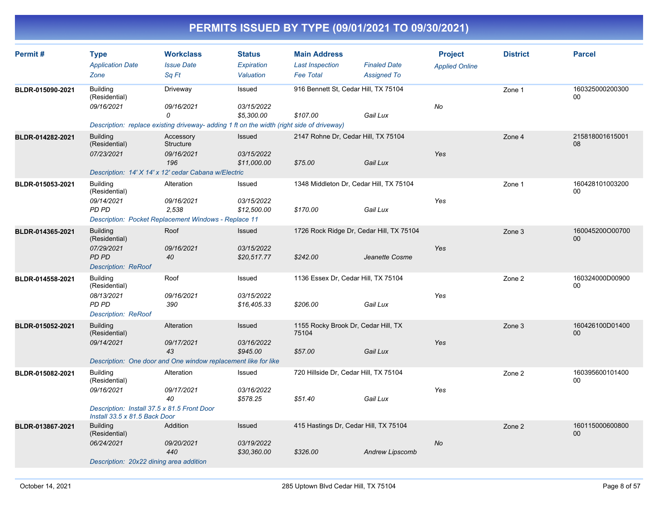| Permit#          | <b>Type</b>                                                                  | <b>Workclass</b>                                                                          | <b>Status</b> | <b>Main Address</b>                          |                        | <b>Project</b>        | <b>District</b> | <b>Parcel</b>         |
|------------------|------------------------------------------------------------------------------|-------------------------------------------------------------------------------------------|---------------|----------------------------------------------|------------------------|-----------------------|-----------------|-----------------------|
|                  | <b>Application Date</b>                                                      | <b>Issue Date</b>                                                                         | Expiration    | <b>Last Inspection</b>                       | <b>Finaled Date</b>    | <b>Applied Online</b> |                 |                       |
|                  | Zone                                                                         | Sa Ft                                                                                     | Valuation     | <b>Fee Total</b>                             | <b>Assigned To</b>     |                       |                 |                       |
| BLDR-015090-2021 | <b>Building</b><br>(Residential)                                             | Driveway                                                                                  | Issued        | 916 Bennett St, Cedar Hill, TX 75104         |                        |                       | Zone 1          | 160325000200300<br>00 |
|                  | 09/16/2021                                                                   | 09/16/2021                                                                                | 03/15/2022    |                                              |                        | No                    |                 |                       |
|                  |                                                                              | 0                                                                                         | \$5,300.00    | \$107.00                                     | Gail Lux               |                       |                 |                       |
|                  |                                                                              | Description: replace existing driveway- adding 1 ft on the width (right side of driveway) |               |                                              |                        |                       |                 |                       |
| BLDR-014282-2021 | <b>Building</b><br>(Residential)                                             | Accessory<br>Structure                                                                    | Issued        | 2147 Rohne Dr, Cedar Hill, TX 75104          |                        |                       | Zone 4          | 215818001615001<br>08 |
|                  | 07/23/2021                                                                   | 09/16/2021                                                                                | 03/15/2022    |                                              |                        | Yes                   |                 |                       |
|                  |                                                                              | 196                                                                                       | \$11,000.00   | \$75.00                                      | Gail Lux               |                       |                 |                       |
|                  |                                                                              | Description: 14' X 14' x 12' cedar Cabana w/Electric                                      |               |                                              |                        |                       |                 |                       |
| BLDR-015053-2021 | <b>Building</b><br>(Residential)                                             | Alteration                                                                                | Issued        | 1348 Middleton Dr, Cedar Hill, TX 75104      |                        |                       | Zone 1          | 160428101003200<br>00 |
|                  | 09/14/2021                                                                   | 09/16/2021                                                                                | 03/15/2022    |                                              |                        | Yes                   |                 |                       |
|                  | PD PD                                                                        | 2,538                                                                                     | \$12,500.00   | \$170.00                                     | Gail Lux               |                       |                 |                       |
|                  |                                                                              | <b>Description: Pocket Replacement Windows - Replace 11</b>                               |               |                                              |                        |                       |                 |                       |
| BLDR-014365-2021 | <b>Building</b><br>(Residential)                                             | Roof                                                                                      | <b>Issued</b> | 1726 Rock Ridge Dr, Cedar Hill, TX 75104     |                        |                       | Zone 3          | 160045200O00700<br>00 |
|                  | 07/29/2021                                                                   | 09/16/2021                                                                                | 03/15/2022    |                                              |                        | Yes                   |                 |                       |
|                  | PD PD                                                                        | 40                                                                                        | \$20,517.77   | \$242.00                                     | Jeanette Cosme         |                       |                 |                       |
|                  | <b>Description: ReRoof</b>                                                   |                                                                                           |               |                                              |                        |                       |                 |                       |
| BLDR-014558-2021 | <b>Building</b><br>(Residential)                                             | Roof                                                                                      | Issued        | 1136 Essex Dr, Cedar Hill, TX 75104          |                        |                       | Zone 2          | 160324000D00900<br>00 |
|                  | 08/13/2021                                                                   | 09/16/2021                                                                                | 03/15/2022    |                                              |                        | Yes                   |                 |                       |
|                  | PD PD                                                                        | 390                                                                                       | \$16,405.33   | \$206.00                                     | Gail Lux               |                       |                 |                       |
|                  | <b>Description: ReRoof</b>                                                   |                                                                                           |               |                                              |                        |                       |                 |                       |
| BLDR-015052-2021 | <b>Building</b><br>(Residential)                                             | Alteration                                                                                | Issued        | 1155 Rocky Brook Dr, Cedar Hill, TX<br>75104 |                        |                       | Zone 3          | 160426100D01400<br>00 |
|                  | 09/14/2021                                                                   | 09/17/2021                                                                                | 03/16/2022    |                                              |                        | Yes                   |                 |                       |
|                  |                                                                              | 43                                                                                        | \$945.00      | \$57.00                                      | Gail Lux               |                       |                 |                       |
|                  |                                                                              | Description: One door and One window replacement like for like                            |               |                                              |                        |                       |                 |                       |
| BLDR-015082-2021 | <b>Building</b><br>(Residential)                                             | Alteration                                                                                | Issued        | 720 Hillside Dr, Cedar Hill, TX 75104        |                        |                       | Zone 2          | 160395600101400<br>00 |
|                  | 09/16/2021                                                                   | 09/17/2021                                                                                | 03/16/2022    |                                              |                        | Yes                   |                 |                       |
|                  |                                                                              | 40                                                                                        | \$578.25      | \$51.40                                      | Gail Lux               |                       |                 |                       |
|                  | Description: Install 37.5 x 81.5 Front Door<br>Install 33.5 x 81.5 Back Door |                                                                                           |               |                                              |                        |                       |                 |                       |
| BLDR-013867-2021 | <b>Building</b><br>(Residential)                                             | Addition                                                                                  | <b>Issued</b> | 415 Hastings Dr, Cedar Hill, TX 75104        |                        |                       | Zone 2          | 160115000600800<br>00 |
|                  | 06/24/2021                                                                   | 09/20/2021                                                                                | 03/19/2022    |                                              |                        | <b>No</b>             |                 |                       |
|                  |                                                                              | 440                                                                                       | \$30,360.00   | \$326.00                                     | <b>Andrew Lipscomb</b> |                       |                 |                       |
|                  | Description: 20x22 dining area addition                                      |                                                                                           |               |                                              |                        |                       |                 |                       |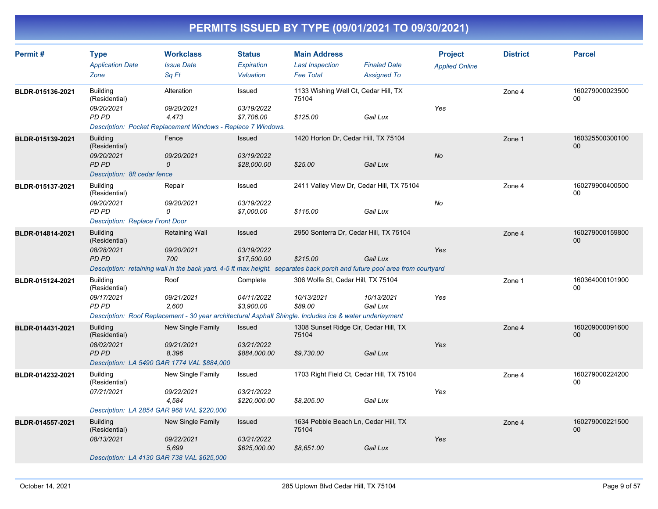| Permit#          | <b>Type</b><br><b>Application Date</b><br>Zone                                                                                                                                              | <b>Workclass</b><br><b>Issue Date</b><br>Sa Ft                                                    | <b>Status</b><br>Expiration<br>Valuation | <b>Main Address</b><br><b>Last Inspection</b><br><b>Fee Total</b> | <b>Finaled Date</b><br><b>Assigned To</b> | <b>Project</b><br><b>Applied Online</b> | <b>District</b> | <b>Parcel</b>                      |
|------------------|---------------------------------------------------------------------------------------------------------------------------------------------------------------------------------------------|---------------------------------------------------------------------------------------------------|------------------------------------------|-------------------------------------------------------------------|-------------------------------------------|-----------------------------------------|-----------------|------------------------------------|
| BLDR-015136-2021 | <b>Building</b><br>(Residential)<br>09/20/2021<br>PD PD                                                                                                                                     | Alteration<br>09/20/2021<br>4.473<br>Description: Pocket Replacement Windows - Replace 7 Windows. | Issued<br>03/19/2022<br>\$7,706.00       | 1133 Wishing Well Ct, Cedar Hill, TX<br>75104<br>\$125.00         | Gail Lux                                  | Yes                                     | Zone 4          | 160279000023500<br>00              |
| BLDR-015139-2021 | <b>Building</b><br>(Residential)<br>09/20/2021<br><b>PD PD</b><br>Description: 8ft cedar fence                                                                                              | Fence<br>09/20/2021<br>0                                                                          | Issued<br>03/19/2022<br>\$28,000.00      | 1420 Horton Dr, Cedar Hill, TX 75104<br>\$25.00                   | Gail Lux                                  | <b>No</b>                               | Zone 1          | 160325500300100<br>00 <sub>0</sub> |
| BLDR-015137-2021 | <b>Building</b><br>(Residential)<br>09/20/2021<br>PD PD<br><b>Description: Replace Front Door</b>                                                                                           | Repair<br>09/20/2021<br>0                                                                         | Issued<br>03/19/2022<br>\$7,000.00       | 2411 Valley View Dr, Cedar Hill, TX 75104<br>\$116.00             | Gail Lux                                  | No                                      | Zone 4          | 160279900400500<br>$00\,$          |
| BLDR-014814-2021 | <b>Building</b><br>(Residential)<br>08/28/2021<br><b>PD PD</b><br>Description: retaining wall in the back yard. 4-5 ft max height. separates back porch and future pool area from courtyard | Retaining Wall<br>09/20/2021<br>700                                                               | Issued<br>03/19/2022<br>\$17,500.00      | 2950 Sonterra Dr, Cedar Hill, TX 75104<br>\$215.00                | Gail Lux                                  | Yes                                     | Zone 4          | 160279000159800<br>00 <sub>0</sub> |
| BLDR-015124-2021 | <b>Building</b><br>(Residential)<br>09/17/2021<br>PD PD<br>Description: Roof Replacement - 30 year architectural Asphalt Shingle. Includes ice & water underlayment                         | Roof<br>09/21/2021<br>2.600                                                                       | Complete<br>04/11/2022<br>\$3.900.00     | 306 Wolfe St, Cedar Hill, TX 75104<br>10/13/2021<br>\$89.00       | 10/13/2021<br>Gail Lux                    | Yes                                     | Zone 1          | 160364000101900<br>$00\,$          |
| BLDR-014431-2021 | <b>Building</b><br>(Residential)<br>08/02/2021<br><b>PD PD</b><br>Description: LA 5490 GAR 1774 VAL \$884,000                                                                               | <b>New Single Family</b><br>09/21/2021<br>8,396                                                   | Issued<br>03/21/2022<br>\$884,000.00     | 1308 Sunset Ridge Cir, Cedar Hill, TX<br>75104<br>\$9,730.00      | Gail Lux                                  | Yes                                     | Zone 4          | 160209000091600<br>$00\,$          |
| BLDR-014232-2021 | <b>Building</b><br>(Residential)<br>07/21/2021<br>Description: LA 2854 GAR 968 VAL \$220,000                                                                                                | New Single Family<br>09/22/2021<br>4,584                                                          | Issued<br>03/21/2022<br>\$220,000.00     | 1703 Right Field Ct, Cedar Hill, TX 75104<br>\$8,205.00           | Gail Lux                                  | Yes                                     | Zone 4          | 160279000224200<br>00              |
| BLDR-014557-2021 | <b>Building</b><br>(Residential)<br>08/13/2021<br>Description: LA 4130 GAR 738 VAL \$625,000                                                                                                | New Single Family<br>09/22/2021<br>5,699                                                          | Issued<br>03/21/2022<br>\$625,000.00     | 1634 Pebble Beach Ln, Cedar Hill, TX<br>75104<br>\$8,651.00       | Gail Lux                                  | Yes                                     | Zone 4          | 160279000221500<br>00 <sub>0</sub> |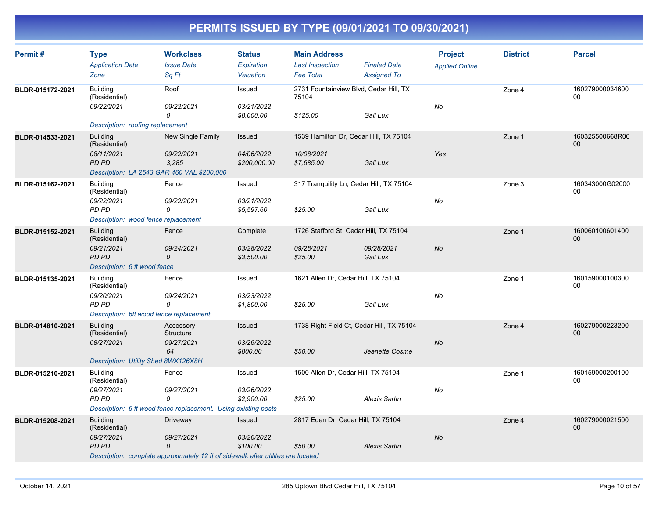| Permit#          | <b>Type</b><br><b>Application Date</b>  | <b>Workclass</b><br><b>Issue Date</b>                                            | <b>Status</b><br>Expiration | <b>Main Address</b><br><b>Last Inspection</b>   | <b>Finaled Date</b>    | <b>Project</b><br><b>Applied Online</b> | <b>District</b> | <b>Parcel</b>             |
|------------------|-----------------------------------------|----------------------------------------------------------------------------------|-----------------------------|-------------------------------------------------|------------------------|-----------------------------------------|-----------------|---------------------------|
|                  | Zone                                    | Sq Ft                                                                            | Valuation                   | <b>Fee Total</b>                                | <b>Assigned To</b>     |                                         |                 |                           |
| BLDR-015172-2021 | <b>Building</b><br>(Residential)        | Roof                                                                             | Issued                      | 2731 Fountainview Blvd, Cedar Hill, TX<br>75104 |                        |                                         | Zone 4          | 160279000034600<br>00     |
|                  | 09/22/2021                              | 09/22/2021<br>0                                                                  | 03/21/2022<br>\$8,000.00    | \$125.00                                        | Gail Lux               | No                                      |                 |                           |
|                  | Description: roofing replacement        |                                                                                  |                             |                                                 |                        |                                         |                 |                           |
| BLDR-014533-2021 | <b>Building</b><br>(Residential)        | New Single Family                                                                | <b>Issued</b>               | 1539 Hamilton Dr, Cedar Hill, TX 75104          |                        |                                         | Zone 1          | 160325500668R00<br>00     |
|                  | 08/11/2021<br>PD PD                     | 09/22/2021<br>3,285                                                              | 04/06/2022<br>\$200,000.00  | 10/08/2021<br>\$7,685.00                        | Gail Lux               | Yes                                     |                 |                           |
|                  |                                         | Description: LA 2543 GAR 460 VAL \$200,000                                       |                             |                                                 |                        |                                         |                 |                           |
| BLDR-015162-2021 | <b>Building</b><br>(Residential)        | Fence                                                                            | Issued                      | 317 Tranquility Ln, Cedar Hill, TX 75104        |                        |                                         | Zone 3          | 160343000G02000<br>00     |
|                  | 09/22/2021<br>PD PD                     | 09/22/2021<br>0                                                                  | 03/21/2022<br>\$5,597.60    | \$25.00                                         | Gail Lux               | No                                      |                 |                           |
|                  | Description: wood fence replacement     |                                                                                  |                             |                                                 |                        |                                         |                 |                           |
| BLDR-015152-2021 | <b>Building</b><br>(Residential)        | Fence                                                                            | Complete                    | 1726 Stafford St, Cedar Hill, TX 75104          |                        |                                         | Zone 1          | 160060100601400<br>$00\,$ |
|                  | 09/21/2021<br>PD PD                     | 09/24/2021<br>0                                                                  | 03/28/2022<br>\$3,500.00    | 09/28/2021<br>\$25.00                           | 09/28/2021<br>Gail Lux | No                                      |                 |                           |
|                  | Description: 6 ft wood fence            |                                                                                  |                             |                                                 |                        |                                         |                 |                           |
| BLDR-015135-2021 | <b>Building</b><br>(Residential)        | Fence                                                                            | Issued                      | 1621 Allen Dr, Cedar Hill, TX 75104             |                        |                                         | Zone 1          | 160159000100300<br>00     |
|                  | 09/20/2021<br>PD PD                     | 09/24/2021<br>0                                                                  | 03/23/2022<br>\$1,800.00    | \$25.00                                         | Gail Lux               | No                                      |                 |                           |
|                  | Description: 6ft wood fence replacement |                                                                                  |                             |                                                 |                        |                                         |                 |                           |
| BLDR-014810-2021 | <b>Building</b><br>(Residential)        | Accessory<br>Structure                                                           | <b>Issued</b>               | 1738 Right Field Ct, Cedar Hill, TX 75104       |                        |                                         | Zone 4          | 160279000223200<br>00     |
|                  | 08/27/2021                              | 09/27/2021<br>64                                                                 | 03/26/2022<br>\$800.00      | \$50.00                                         | Jeanette Cosme         | No                                      |                 |                           |
|                  | Description: Utility Shed 8WX126X8H     |                                                                                  |                             |                                                 |                        |                                         |                 |                           |
| BLDR-015210-2021 | <b>Building</b><br>(Residential)        | Fence                                                                            | Issued                      | 1500 Allen Dr, Cedar Hill, TX 75104             |                        |                                         | Zone 1          | 160159000200100<br>00     |
|                  | 09/27/2021<br>PD PD                     | 09/27/2021<br>0                                                                  | 03/26/2022<br>\$2,900.00    | \$25.00                                         | <b>Alexis Sartin</b>   | No                                      |                 |                           |
|                  |                                         | Description: 6 ft wood fence replacement. Using existing posts                   |                             |                                                 |                        |                                         |                 |                           |
| BLDR-015208-2021 | <b>Building</b><br>(Residential)        | Driveway                                                                         | Issued                      | 2817 Eden Dr, Cedar Hill, TX 75104              |                        |                                         | Zone 4          | 160279000021500<br>00     |
|                  | 09/27/2021<br>PD PD                     | 09/27/2021<br>0                                                                  | 03/26/2022<br>\$100.00      | \$50.00                                         | <b>Alexis Sartin</b>   | No                                      |                 |                           |
|                  |                                         | Description: complete approximately 12 ft of sidewalk after utilites are located |                             |                                                 |                        |                                         |                 |                           |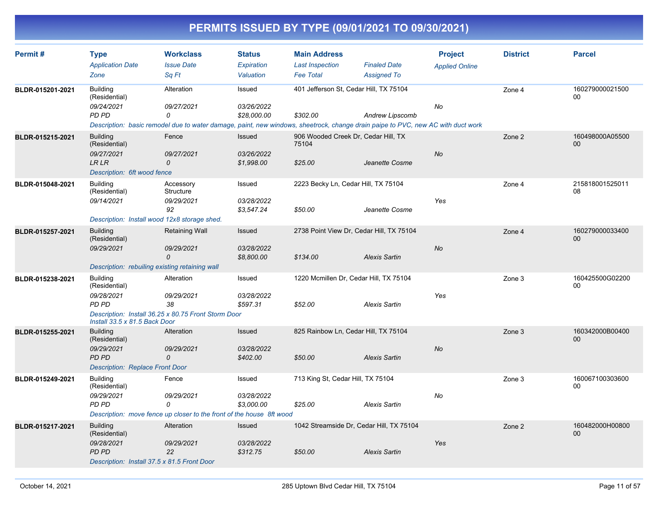| Permit#          | <b>Type</b>                            | <b>Workclass</b>                                                     | <b>Status</b>     | <b>Main Address</b>                 |                                                                                                                                 | <b>Project</b>        | <b>District</b> | <b>Parcel</b>         |
|------------------|----------------------------------------|----------------------------------------------------------------------|-------------------|-------------------------------------|---------------------------------------------------------------------------------------------------------------------------------|-----------------------|-----------------|-----------------------|
|                  | <b>Application Date</b>                | <b>Issue Date</b>                                                    | <b>Expiration</b> | <b>Last Inspection</b>              | <b>Finaled Date</b>                                                                                                             | <b>Applied Online</b> |                 |                       |
|                  | Zone                                   | Sa Ft                                                                | Valuation         | <b>Fee Total</b>                    | <b>Assigned To</b>                                                                                                              |                       |                 |                       |
| BLDR-015201-2021 | <b>Building</b><br>(Residential)       | Alteration                                                           | Issued            |                                     | 401 Jefferson St, Cedar Hill, TX 75104                                                                                          |                       | Zone 4          | 160279000021500<br>00 |
|                  | 09/24/2021                             | 09/27/2021                                                           | 03/26/2022        |                                     |                                                                                                                                 | No                    |                 |                       |
|                  | PD PD                                  | 0                                                                    | \$28,000.00       | \$302.00                            | <b>Andrew Lipscomb</b>                                                                                                          |                       |                 |                       |
|                  |                                        |                                                                      |                   |                                     | Description: basic remodel due to water damage, paint, new windows, sheetrock, change drain paipe to PVC, new AC with duct work |                       |                 |                       |
| BLDR-015215-2021 | <b>Building</b><br>(Residential)       | Fence                                                                | Issued            | 75104                               | 906 Wooded Creek Dr, Cedar Hill, TX                                                                                             |                       | Zone 2          | 160498000A05500<br>00 |
|                  | 09/27/2021                             | 09/27/2021                                                           | 03/26/2022        |                                     |                                                                                                                                 | No                    |                 |                       |
|                  | <b>LR LR</b>                           | $\mathcal{O}$                                                        | \$1,998.00        | \$25.00                             | Jeanette Cosme                                                                                                                  |                       |                 |                       |
|                  | Description: 6ft wood fence            |                                                                      |                   |                                     |                                                                                                                                 |                       |                 |                       |
| BLDR-015048-2021 | <b>Building</b><br>(Residential)       | Accessory<br>Structure                                               | Issued            | 2223 Becky Ln, Cedar Hill, TX 75104 |                                                                                                                                 |                       | Zone 4          | 215818001525011<br>08 |
|                  | 09/14/2021                             | 09/29/2021                                                           | 03/28/2022        |                                     |                                                                                                                                 | Yes                   |                 |                       |
|                  |                                        | 92                                                                   | \$3,547.24        | \$50.00                             | Jeanette Cosme                                                                                                                  |                       |                 |                       |
|                  |                                        | Description: Install wood 12x8 storage shed.                         |                   |                                     |                                                                                                                                 |                       |                 |                       |
| BLDR-015257-2021 | <b>Building</b><br>(Residential)       | Retaining Wall                                                       | <b>Issued</b>     |                                     | 2738 Point View Dr, Cedar Hill, TX 75104                                                                                        |                       | Zone 4          | 160279000033400<br>00 |
|                  | 09/29/2021                             | 09/29/2021                                                           | 03/28/2022        |                                     |                                                                                                                                 | No                    |                 |                       |
|                  |                                        | $\Omega$                                                             | \$8,800.00        | \$134.00                            | <b>Alexis Sartin</b>                                                                                                            |                       |                 |                       |
|                  |                                        | Description: rebuiling existing retaining wall                       |                   |                                     |                                                                                                                                 |                       |                 |                       |
| BLDR-015238-2021 | <b>Building</b><br>(Residential)       | Alteration                                                           | Issued            |                                     | 1220 Mcmillen Dr, Cedar Hill, TX 75104                                                                                          |                       | Zone 3          | 160425500G02200<br>00 |
|                  | 09/28/2021                             | 09/29/2021                                                           | 03/28/2022        |                                     |                                                                                                                                 | Yes                   |                 |                       |
|                  | PD PD                                  | 38                                                                   | \$597.31          | \$52.00                             | <b>Alexis Sartin</b>                                                                                                            |                       |                 |                       |
|                  | Install 33.5 x 81.5 Back Door          | Description: Install 36.25 x 80.75 Front Storm Door                  |                   |                                     |                                                                                                                                 |                       |                 |                       |
| BLDR-015255-2021 | <b>Building</b><br>(Residential)       | Alteration                                                           | Issued            |                                     | 825 Rainbow Ln, Cedar Hill, TX 75104                                                                                            |                       | Zone 3          | 160342000B00400<br>00 |
|                  | 09/29/2021                             | 09/29/2021                                                           | 03/28/2022        |                                     |                                                                                                                                 | <b>No</b>             |                 |                       |
|                  | PD PD                                  | 0                                                                    | \$402.00          | \$50.00                             | <b>Alexis Sartin</b>                                                                                                            |                       |                 |                       |
|                  | <b>Description: Replace Front Door</b> |                                                                      |                   |                                     |                                                                                                                                 |                       |                 |                       |
| BLDR-015249-2021 | <b>Building</b><br>(Residential)       | Fence                                                                | Issued            | 713 King St, Cedar Hill, TX 75104   |                                                                                                                                 |                       | Zone 3          | 160067100303600<br>00 |
|                  | 09/29/2021                             | 09/29/2021                                                           | 03/28/2022        |                                     |                                                                                                                                 | No                    |                 |                       |
|                  | PD PD                                  | $\Omega$                                                             | \$3,000.00        | \$25.00                             | <b>Alexis Sartin</b>                                                                                                            |                       |                 |                       |
|                  |                                        | Description: move fence up closer to the front of the house 8ft wood |                   |                                     |                                                                                                                                 |                       |                 |                       |
| BLDR-015217-2021 | <b>Building</b><br>(Residential)       | Alteration                                                           | Issued            |                                     | 1042 Streamside Dr, Cedar Hill, TX 75104                                                                                        |                       | Zone 2          | 160482000H00800<br>00 |
|                  | 09/28/2021                             | 09/29/2021                                                           | 03/28/2022        |                                     |                                                                                                                                 | Yes                   |                 |                       |
|                  | <b>PD PD</b>                           | 22                                                                   | \$312.75          | \$50.00                             | <b>Alexis Sartin</b>                                                                                                            |                       |                 |                       |
|                  |                                        | Description: Install 37.5 x 81.5 Front Door                          |                   |                                     |                                                                                                                                 |                       |                 |                       |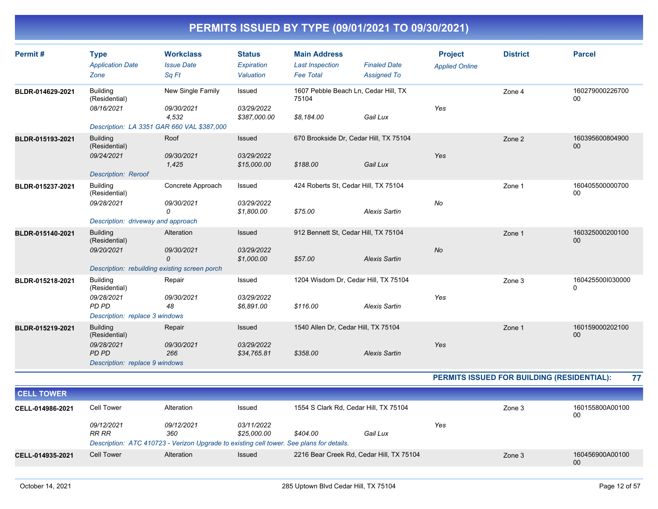| Permit#          | <b>Type</b><br><b>Application Date</b><br>Zone                                                   | <b>Workclass</b><br><b>Issue Date</b><br>Sq Ft                                         | <b>Status</b><br>Expiration<br>Valuation | <b>Main Address</b><br><b>Last Inspection</b><br><b>Fee Total</b> | <b>Finaled Date</b><br><b>Assigned To</b> | <b>Project</b><br><b>Applied Online</b> | <b>District</b>                            | <b>Parcel</b>                    |
|------------------|--------------------------------------------------------------------------------------------------|----------------------------------------------------------------------------------------|------------------------------------------|-------------------------------------------------------------------|-------------------------------------------|-----------------------------------------|--------------------------------------------|----------------------------------|
| BLDR-014629-2021 | <b>Building</b><br>(Residential)<br>08/16/2021                                                   | New Single Family<br>09/30/2021<br>4,532<br>Description: LA 3351 GAR 660 VAL \$387,000 | Issued<br>03/29/2022<br>\$387,000.00     | 1607 Pebble Beach Ln, Cedar Hill, TX<br>75104<br>\$8,184.00       | Gail Lux                                  | Yes                                     | Zone 4                                     | 160279000226700<br>00            |
| BLDR-015193-2021 | <b>Building</b><br>(Residential)<br>09/24/2021<br><b>Description: Reroof</b>                     | Roof<br>09/30/2021<br>1,425                                                            | Issued<br>03/29/2022<br>\$15,000.00      | 670 Brookside Dr, Cedar Hill, TX 75104<br>\$188.00                | Gail Lux                                  | Yes                                     | Zone 2                                     | 160395600804900<br>00            |
| BLDR-015237-2021 | <b>Building</b><br>(Residential)<br>09/28/2021<br>Description: driveway and approach             | Concrete Approach<br>09/30/2021<br>0                                                   | Issued<br>03/29/2022<br>\$1,800.00       | 424 Roberts St. Cedar Hill, TX 75104<br>\$75.00                   | <b>Alexis Sartin</b>                      | No                                      | Zone 1                                     | 160405500000700<br>00            |
| BLDR-015140-2021 | <b>Building</b><br>(Residential)<br>09/20/2021                                                   | Alteration<br>09/30/2021<br>0<br>Description: rebuilding existing screen porch         | Issued<br>03/29/2022<br>\$1,000.00       | 912 Bennett St, Cedar Hill, TX 75104<br>\$57.00                   | <b>Alexis Sartin</b>                      | <b>No</b>                               | Zone 1                                     | 160325000200100<br>00            |
| BLDR-015218-2021 | <b>Building</b><br>(Residential)<br>09/28/2021<br><b>PD PD</b><br>Description: replace 3 windows | Repair<br>09/30/2021<br>48                                                             | Issued<br>03/29/2022<br>\$6,891.00       | 1204 Wisdom Dr, Cedar Hill, TX 75104<br>\$116.00                  | <b>Alexis Sartin</b>                      | Yes                                     | Zone 3                                     | 1604255001030000<br>$\mathbf{0}$ |
| BLDR-015219-2021 | <b>Building</b><br>(Residential)<br>09/28/2021<br><b>PD PD</b><br>Description: replace 9 windows | Repair<br>09/30/2021<br>266                                                            | Issued<br>03/29/2022<br>\$34,765.81      | 1540 Allen Dr, Cedar Hill, TX 75104<br>\$358.00                   | <b>Alexis Sartin</b>                      | Yes                                     | Zone 1                                     | 160159000202100<br>00            |
|                  |                                                                                                  |                                                                                        |                                          |                                                                   |                                           |                                         | PERMITS ISSUED FOR BUILDING (RESIDENTIAL): | 77                               |

| <b>CELL TOWER</b> |                     |                                                                                          |                                  |          |                                          |     |        |                       |
|-------------------|---------------------|------------------------------------------------------------------------------------------|----------------------------------|----------|------------------------------------------|-----|--------|-----------------------|
| CELL-014986-2021  | Cell Tower          | Alteration                                                                               | Issued                           |          | 1554 S Clark Rd, Cedar Hill, TX 75104    |     | Zone 3 | 160155800A00100<br>00 |
|                   | 09/12/2021<br>RR RR | 09/12/2021<br>360                                                                        | <i>03/11/2022</i><br>\$25,000.00 | \$404.00 | Gail Lux                                 | Yes |        |                       |
|                   |                     | Description: ATC 410723 - Verizon Upgrade to existing cell tower. See plans for details. |                                  |          |                                          |     |        |                       |
| CELL-014935-2021  | <b>Cell Tower</b>   | Alteration                                                                               | <b>Issued</b>                    |          | 2216 Bear Creek Rd, Cedar Hill, TX 75104 |     | Zone 3 | 160456900A00100<br>00 |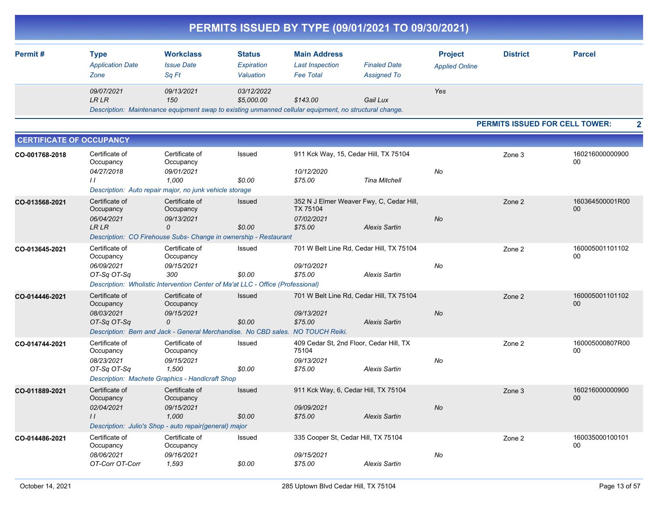|                                 |                                                              |                                                                                                                                     |                                          |                                                                   | PERMITS ISSUED BY TYPE (09/01/2021 TO 09/30/2021)                |                                         |                                       |                       |
|---------------------------------|--------------------------------------------------------------|-------------------------------------------------------------------------------------------------------------------------------------|------------------------------------------|-------------------------------------------------------------------|------------------------------------------------------------------|-----------------------------------------|---------------------------------------|-----------------------|
| Permit#                         | <b>Type</b><br><b>Application Date</b><br>Zone               | <b>Workclass</b><br><b>Issue Date</b><br>Sq Ft                                                                                      | <b>Status</b><br>Expiration<br>Valuation | <b>Main Address</b><br><b>Last Inspection</b><br><b>Fee Total</b> | <b>Finaled Date</b><br><b>Assigned To</b>                        | <b>Project</b><br><b>Applied Online</b> | <b>District</b>                       | <b>Parcel</b>         |
|                                 | 09/07/2021<br><b>LR LR</b>                                   | 09/13/2021<br>150<br>Description: Maintenance equipment swap to existing unmanned cellular equipment, no structural change.         | 03/12/2022<br>\$5,000.00                 | \$143.00                                                          | Gail Lux                                                         | Yes                                     |                                       |                       |
|                                 |                                                              |                                                                                                                                     |                                          |                                                                   |                                                                  |                                         | <b>PERMITS ISSUED FOR CELL TOWER:</b> | $\mathbf{2}$          |
| <b>CERTIFICATE OF OCCUPANCY</b> |                                                              |                                                                                                                                     |                                          |                                                                   |                                                                  |                                         |                                       |                       |
| CO-001768-2018                  | Certificate of<br>Occupancy<br>04/27/2018<br>$\prime\prime$  | Certificate of<br>Occupancy<br>09/01/2021<br>1,000<br>Description: Auto repair major, no junk vehicle storage                       | Issued<br>\$0.00                         | 10/12/2020<br>\$75.00                                             | 911 Kck Way, 15, Cedar Hill, TX 75104<br><b>Tina Mitchell</b>    | No                                      | Zone 3                                | 160216000000900<br>00 |
| CO-013568-2021                  | Certificate of<br>Occupancy<br>06/04/2021<br>LR LR           | Certificate of<br>Occupancy<br>09/13/2021<br>$\Omega$<br>Description: CO Firehouse Subs- Change in ownership - Restaurant           | Issued<br>\$0.00                         | TX 75104<br>07/02/2021<br>\$75.00                                 | 352 N J Elmer Weaver Fwy, C, Cedar Hill,<br><b>Alexis Sartin</b> | No                                      | Zone 2                                | 160364500001R00<br>00 |
| CO-013645-2021                  | Certificate of<br>Occupancy<br>06/09/2021<br>OT-Sq OT-Sq     | Certificate of<br>Occupancy<br>09/15/2021<br>300<br>Description: Wholistic Intervention Center of Ma'at LLC - Office (Professional) | Issued<br>\$0.00                         | 09/10/2021<br>\$75.00                                             | 701 W Belt Line Rd, Cedar Hill, TX 75104<br><b>Alexis Sartin</b> | No                                      | Zone 2                                | 160005001101102<br>00 |
| CO-014446-2021                  | Certificate of<br>Occupancy<br>08/03/2021<br>OT-Sq OT-Sq     | Certificate of<br>Occupancy<br>09/15/2021<br>0<br>Description: Bern and Jack - General Merchandise. No CBD sales. NO TOUCH Reiki.   | Issued<br>\$0.00                         | 09/13/2021<br>\$75.00                                             | 701 W Belt Line Rd, Cedar Hill, TX 75104<br><b>Alexis Sartin</b> | No                                      | Zone 2                                | 160005001101102<br>00 |
| CO-014744-2021                  | Certificate of<br>Occupancy<br>08/23/2021<br>OT-Sq OT-Sq     | Certificate of<br>Occupancy<br>09/15/2021<br>1,500<br>Description: Machete Graphics - Handicraft Shop                               | Issued<br>\$0.00                         | 75104<br>09/13/2021<br>\$75.00                                    | 409 Cedar St, 2nd Floor, Cedar Hill, TX<br><b>Alexis Sartin</b>  | No                                      | Zone 2                                | 160005000807R00<br>00 |
| CO-011889-2021                  | Certificate of<br>Occupancy<br>02/04/2021<br>$\frac{1}{2}$   | Certificate of<br>Occupancy<br>09/15/2021<br>1,000<br>Description: Julio's Shop - auto repair(general) major                        | <b>Issued</b><br>\$0.00                  | 09/09/2021<br>\$75.00                                             | 911 Kck Way, 6, Cedar Hill, TX 75104<br><b>Alexis Sartin</b>     | No                                      | Zone 3                                | 160216000000900<br>00 |
| CO-014486-2021                  | Certificate of<br>Occupancy<br>08/06/2021<br>OT-Corr OT-Corr | Certificate of<br>Occupancy<br>09/16/2021<br>1,593                                                                                  | Issued<br>\$0.00                         | 09/15/2021<br>\$75.00                                             | 335 Cooper St, Cedar Hill, TX 75104<br><b>Alexis Sartin</b>      | No                                      | Zone 2                                | 160035000100101<br>00 |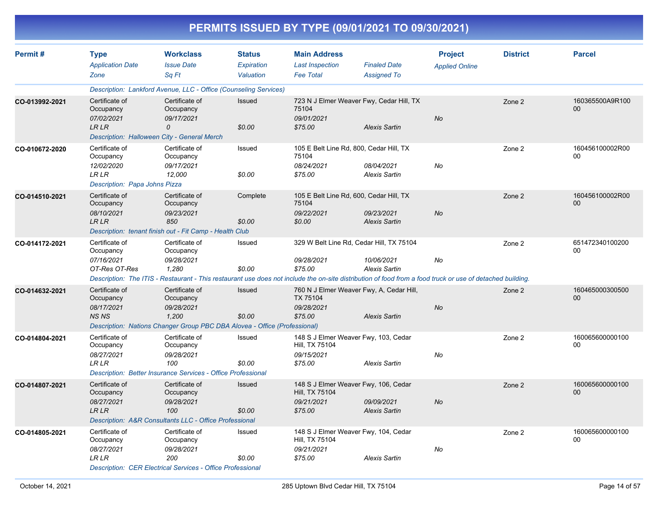|                |                                                                                            |                                                                                                                                 |                                          |                                                                   | PERMITS ISSUED BY TYPE (09/01/2021 TO 09/30/2021)                                                                                                                                                                                           |                                         |                 |                       |
|----------------|--------------------------------------------------------------------------------------------|---------------------------------------------------------------------------------------------------------------------------------|------------------------------------------|-------------------------------------------------------------------|---------------------------------------------------------------------------------------------------------------------------------------------------------------------------------------------------------------------------------------------|-----------------------------------------|-----------------|-----------------------|
| Permit#        | <b>Type</b><br><b>Application Date</b><br>Zone                                             | <b>Workclass</b><br><b>Issue Date</b><br>Sq Ft                                                                                  | <b>Status</b><br>Expiration<br>Valuation | <b>Main Address</b><br><b>Last Inspection</b><br><b>Fee Total</b> | <b>Finaled Date</b><br><b>Assigned To</b>                                                                                                                                                                                                   | <b>Project</b><br><b>Applied Online</b> | <b>District</b> | <b>Parcel</b>         |
|                |                                                                                            | Description: Lankford Avenue, LLC - Office (Counseling Services)                                                                |                                          |                                                                   |                                                                                                                                                                                                                                             |                                         |                 |                       |
| CO-013992-2021 | Certificate of<br>Occupancy<br>07/02/2021<br><b>LRLR</b>                                   | Certificate of<br>Occupancy<br>09/17/2021<br>0<br>Description: Halloween City - General Merch                                   | Issued<br>\$0.00                         | 75104<br>09/01/2021<br>\$75.00                                    | 723 N J Elmer Weaver Fwy, Cedar Hill, TX<br><b>Alexis Sartin</b>                                                                                                                                                                            | No                                      | Zone 2          | 160365500A9R100<br>00 |
| CO-010672-2020 | Certificate of<br>Occupancy<br>12/02/2020<br><b>LR LR</b><br>Description: Papa Johns Pizza | Certificate of<br>Occupancy<br>09/17/2021<br>12,000                                                                             | Issued<br>\$0.00                         | 75104<br>08/24/2021<br>\$75.00                                    | 105 E Belt Line Rd, 800, Cedar Hill, TX<br>08/04/2021<br><b>Alexis Sartin</b>                                                                                                                                                               | No                                      | Zone 2          | 160456100002R00<br>00 |
| CO-014510-2021 | Certificate of<br>Occupancy<br>08/10/2021<br><b>LRLR</b>                                   | Certificate of<br>Occupancy<br>09/23/2021<br>850<br>Description: tenant finish out - Fit Camp - Health Club                     | Complete<br>\$0.00                       | 75104<br>09/22/2021<br>\$0.00                                     | 105 E Belt Line Rd, 600, Cedar Hill, TX<br>09/23/2021<br><b>Alexis Sartin</b>                                                                                                                                                               | No                                      | Zone 2          | 160456100002R00<br>00 |
| CO-014172-2021 | Certificate of<br>Occupancy<br>07/16/2021<br>OT-Res OT-Res                                 | Certificate of<br>Occupancy<br>09/28/2021<br>1,280                                                                              | Issued<br>\$0.00                         | 09/28/2021<br>\$75.00                                             | 329 W Belt Line Rd, Cedar Hill, TX 75104<br>10/06/2021<br><b>Alexis Sartin</b><br>Description: The ITIS - Restaurant - This restaurant use does not include the on-site distribution of food from a food truck or use of detached building. | No                                      | Zone 2          | 651472340100200<br>00 |
| CO-014632-2021 | Certificate of<br>Occupancy<br>08/17/2021<br><b>NSNS</b>                                   | Certificate of<br>Occupancy<br>09/28/2021<br>1,200<br>Description: Nations Changer Group PBC DBA Alovea - Office (Professional) | Issued<br>\$0.00                         | TX 75104<br>09/28/2021<br>\$75.00                                 | 760 N J Elmer Weaver Fwy, A, Cedar Hill,<br><b>Alexis Sartin</b>                                                                                                                                                                            | No                                      | Zone 2          | 160465000300500<br>00 |
| CO-014804-2021 | Certificate of<br>Occupancy<br>08/27/2021<br><b>LR LR</b>                                  | Certificate of<br>Occupancy<br>09/28/2021<br>100<br>Description: Better Insurance Services - Office Professional                | Issued<br>\$0.00                         | Hill, TX 75104<br>09/15/2021<br>\$75.00                           | 148 S J Elmer Weaver Fwy, 103, Cedar<br><b>Alexis Sartin</b>                                                                                                                                                                                | No                                      | Zone 2          | 160065600000100<br>00 |
| CO-014807-2021 | Certificate of<br>Occupancy<br>08/27/2021<br><b>LRLR</b>                                   | Certificate of<br>Occupancy<br>09/28/2021<br>100<br>Description: A&R Consultants LLC - Office Professional                      | Issued<br>\$0.00                         | Hill, TX 75104<br>09/21/2021<br>\$75.00                           | 148 S J Elmer Weaver Fwy, 106, Cedar<br>09/09/2021<br><b>Alexis Sartin</b>                                                                                                                                                                  | No                                      | Zone 2          | 160065600000100<br>00 |
| CO-014805-2021 | Certificate of<br>Occupancy<br>08/27/2021<br>LR LR                                         | Certificate of<br>Occupancy<br>09/28/2021<br>200<br><b>Description: CER Electrical Services - Office Professional</b>           | Issued<br>\$0.00                         | Hill, TX 75104<br>09/21/2021<br>\$75.00                           | 148 S J Elmer Weaver Fwy, 104, Cedar<br><b>Alexis Sartin</b>                                                                                                                                                                                | No                                      | Zone 2          | 160065600000100<br>00 |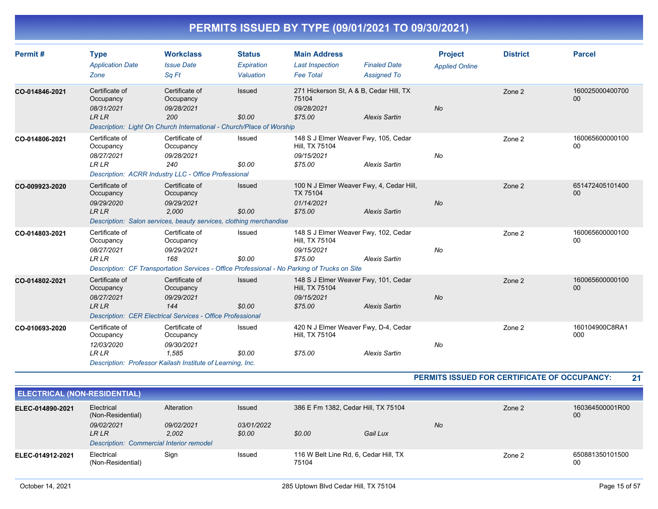| Permit#        | <b>Type</b><br><b>Application Date</b><br>Zone            | <b>Workclass</b><br><b>Issue Date</b><br>Sa Ft                                                                           | <b>Status</b><br>Expiration<br>Valuation | <b>Main Address</b><br><b>Last Inspection</b><br><b>Fee Total</b>                                                                       | <b>Finaled Date</b><br><b>Assigned To</b>                        | <b>Project</b><br><b>Applied Online</b> | <b>District</b> | <b>Parcel</b>             |
|----------------|-----------------------------------------------------------|--------------------------------------------------------------------------------------------------------------------------|------------------------------------------|-----------------------------------------------------------------------------------------------------------------------------------------|------------------------------------------------------------------|-----------------------------------------|-----------------|---------------------------|
| CO-014846-2021 | Certificate of<br>Occupancy<br>08/31/2021<br><b>LR LR</b> | Certificate of<br>Occupancy<br>09/28/2021<br>200<br>Description: Light On Church International - Church/Place of Worship | Issued<br>\$0.00                         | 75104<br>09/28/2021<br>\$75.00                                                                                                          | 271 Hickerson St, A & B, Cedar Hill, TX<br><b>Alexis Sartin</b>  | No                                      | Zone 2          | 160025000400700<br>00     |
| CO-014806-2021 | Certificate of<br>Occupancy<br>08/27/2021<br><b>LRLR</b>  | Certificate of<br>Occupancy<br>09/28/2021<br>240<br>Description: ACRR Industry LLC - Office Professional                 | Issued<br>\$0.00                         | Hill, TX 75104<br>09/15/2021<br>\$75.00                                                                                                 | 148 S J Elmer Weaver Fwy, 105, Cedar<br><b>Alexis Sartin</b>     | No                                      | Zone 2          | 160065600000100<br>00     |
| CO-009923-2020 | Certificate of<br>Occupancy<br>09/29/2020<br><b>LRLR</b>  | Certificate of<br>Occupancy<br>09/29/2021<br>2.000<br>Description: Salon services, beauty services, clothing merchandise | Issued<br>\$0.00                         | TX 75104<br>01/14/2021<br>\$75.00                                                                                                       | 100 N J Elmer Weaver Fwy, 4, Cedar Hill,<br><b>Alexis Sartin</b> | No                                      | Zone 2          | 651472405101400<br>00     |
| CO-014803-2021 | Certificate of<br>Occupancy<br>08/27/2021<br><b>LRLR</b>  | Certificate of<br>Occupancy<br>09/29/2021<br>168                                                                         | Issued<br>\$0.00                         | Hill, TX 75104<br>09/15/2021<br>\$75.00<br>Description: CF Transportation Services - Office Professional - No Parking of Trucks on Site | 148 S J Elmer Weaver Fwy, 102, Cedar<br><b>Alexis Sartin</b>     | No                                      | Zone 2          | 160065600000100<br>00     |
| CO-014802-2021 | Certificate of<br>Occupancy<br>08/27/2021<br><b>LR LR</b> | Certificate of<br>Occupancy<br>09/29/2021<br>144<br><b>Description: CER Electrical Services - Office Professional</b>    | <b>Issued</b><br>\$0.00                  | Hill, TX 75104<br>09/15/2021<br>\$75.00                                                                                                 | 148 S J Elmer Weaver Fwy, 101, Cedar<br><b>Alexis Sartin</b>     | <b>No</b>                               | Zone 2          | 160065600000100<br>$00\,$ |
| CO-010693-2020 | Certificate of<br>Occupancy<br>12/03/2020<br><b>LRLR</b>  | Certificate of<br>Occupancy<br>09/30/2021<br>1.585<br>Description: Professor Kailash Institute of Learning, Inc.         | Issued<br>\$0.00                         | Hill, TX 75104<br>\$75.00                                                                                                               | 420 N J Elmer Weaver Fwy, D-4, Cedar<br><b>Alexis Sartin</b>     | No                                      | Zone 2          | 160104900C8RA1<br>000     |

**PERMITS ISSUED FOR CERTIFICATE OF OCCUPANCY: 21**

| <b>ELECTRICAL (NON-RESIDENTIAL)</b> |                                                                        |                     |                      |                                                |          |    |        |                       |
|-------------------------------------|------------------------------------------------------------------------|---------------------|----------------------|------------------------------------------------|----------|----|--------|-----------------------|
| ELEC-014890-2021                    | Electrical<br>(Non-Residential)                                        | Alteration          | <b>Issued</b>        | 386 E Fm 1382, Cedar Hill, TX 75104            |          |    | Zone 2 | 160364500001R00<br>00 |
|                                     | 09/02/2021<br>LR LR<br><b>Description: Commercial Interior remodel</b> | 09/02/2021<br>2.002 | 03/01/2022<br>\$0.00 | \$0.00                                         | Gail Lux | No |        |                       |
| ELEC-014912-2021                    | Electrical<br>(Non-Residential)                                        | Sign                | Issued               | 116 W Belt Line Rd, 6, Cedar Hill, TX<br>75104 |          |    | Zone 2 | 650881350101500<br>00 |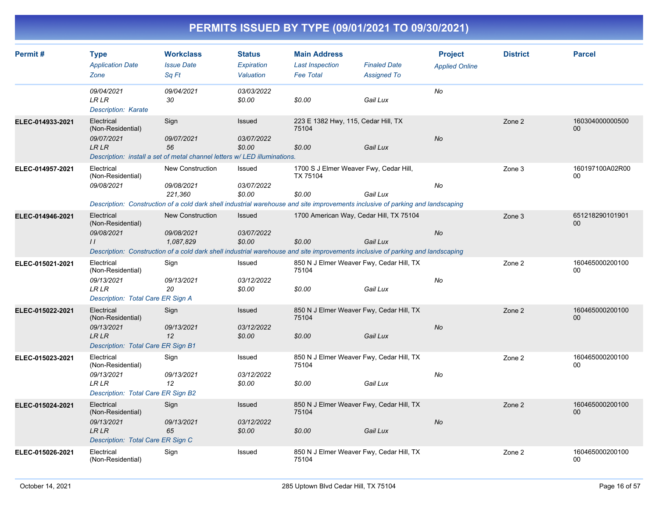| Permit#          | <b>Type</b><br><b>Application Date</b><br>Zone                                                                                                                                  | <b>Workclass</b><br><b>Issue Date</b><br>Sq Ft                                                                                                                                       | <b>Status</b><br>Expiration<br>Valuation | <b>Main Address</b><br><b>Last Inspection</b><br><b>Fee Total</b> | <b>Finaled Date</b><br><b>Assigned To</b> | <b>Project</b><br><b>Applied Online</b> | <b>District</b> | <b>Parcel</b>             |
|------------------|---------------------------------------------------------------------------------------------------------------------------------------------------------------------------------|--------------------------------------------------------------------------------------------------------------------------------------------------------------------------------------|------------------------------------------|-------------------------------------------------------------------|-------------------------------------------|-----------------------------------------|-----------------|---------------------------|
|                  | 09/04/2021<br>LR LR<br><b>Description: Karate</b>                                                                                                                               | 09/04/2021<br>30                                                                                                                                                                     | 03/03/2022<br>\$0.00                     | \$0.00                                                            | Gail Lux                                  | No                                      |                 |                           |
| ELEC-014933-2021 | Electrical<br>(Non-Residential)<br>09/07/2021<br><b>LR LR</b>                                                                                                                   | Sign<br>09/07/2021<br>56<br>Description: install a set of metal channel letters w/LED illuminations.                                                                                 | <b>Issued</b><br>03/07/2022<br>\$0.00    | 223 E 1382 Hwy, 115, Cedar Hill, TX<br>75104<br>\$0.00            | Gail Lux                                  | No                                      | Zone 2          | 160304000000500<br>$00\,$ |
| ELEC-014957-2021 | Electrical<br>(Non-Residential)<br>09/08/2021<br>Description: Construction of a cold dark shell industrial warehouse and site improvements inclusive of parking and landscaping | New Construction<br>09/08/2021<br>221,360                                                                                                                                            | Issued<br>03/07/2022<br>\$0.00           | 1700 S J Elmer Weaver Fwy, Cedar Hill,<br>TX 75104<br>\$0.00      | Gail Lux                                  | No                                      | Zone 3          | 160197100A02R00<br>$00\,$ |
| ELEC-014946-2021 | Electrical<br>(Non-Residential)<br>09/08/2021<br>$\frac{1}{2}$                                                                                                                  | <b>New Construction</b><br>09/08/2021<br>1,087,829<br>Description: Construction of a cold dark shell industrial warehouse and site improvements inclusive of parking and landscaping | Issued<br>03/07/2022<br>\$0.00           | 1700 American Way, Cedar Hill, TX 75104<br>\$0.00                 | Gail Lux                                  | <b>No</b>                               | Zone 3          | 651218290101901<br>00     |
| ELEC-015021-2021 | Electrical<br>(Non-Residential)<br>09/13/2021<br><b>LR LR</b><br>Description: Total Care ER Sign A                                                                              | Sign<br>09/13/2021<br>20                                                                                                                                                             | Issued<br>03/12/2022<br>\$0.00           | 850 N J Elmer Weaver Fwy, Cedar Hill, TX<br>75104<br>\$0.00       | Gail Lux                                  | No                                      | Zone 2          | 160465000200100<br>00     |
| ELEC-015022-2021 | Electrical<br>(Non-Residential)<br>09/13/2021<br><b>LR LR</b><br>Description: Total Care ER Sign B1                                                                             | Sign<br>09/13/2021<br>12                                                                                                                                                             | Issued<br>03/12/2022<br>\$0.00           | 850 N J Elmer Weaver Fwy, Cedar Hill, TX<br>75104<br>\$0.00       | Gail Lux                                  | No                                      | Zone 2          | 160465000200100<br>00     |
| ELEC-015023-2021 | Electrical<br>(Non-Residential)<br>09/13/2021<br><b>LR LR</b><br>Description: Total Care ER Sign B2                                                                             | Sign<br>09/13/2021<br>12                                                                                                                                                             | Issued<br>03/12/2022<br>\$0.00           | 850 N J Elmer Weaver Fwy, Cedar Hill, TX<br>75104<br>\$0.00       | Gail Lux                                  | No                                      | Zone 2          | 160465000200100<br>00     |
| ELEC-015024-2021 | Electrical<br>(Non-Residential)<br>09/13/2021<br><b>LRLR</b><br>Description: Total Care ER Sign C                                                                               | Sign<br>09/13/2021<br>65                                                                                                                                                             | Issued<br>03/12/2022<br>\$0.00           | 850 N J Elmer Weaver Fwy, Cedar Hill, TX<br>75104<br>\$0.00       | Gail Lux                                  | <b>No</b>                               | Zone 2          | 160465000200100<br>$00\,$ |
| ELEC-015026-2021 | Electrical<br>(Non-Residential)                                                                                                                                                 | Sign                                                                                                                                                                                 | Issued                                   | 850 N J Elmer Weaver Fwy, Cedar Hill, TX<br>75104                 |                                           |                                         | Zone 2          | 160465000200100<br>00     |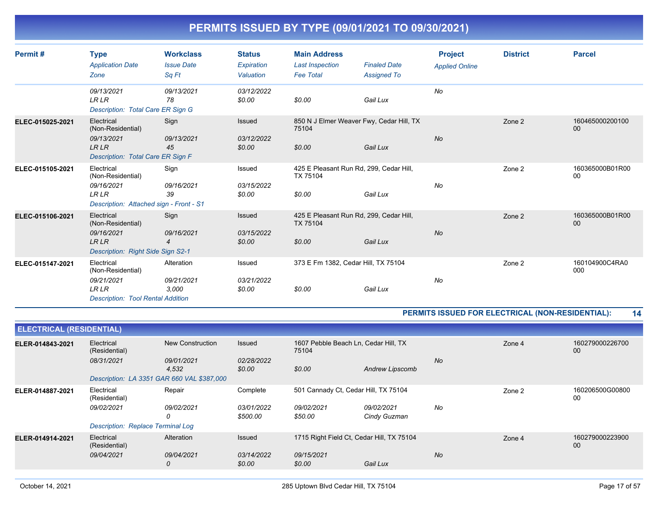| Permit#          | <b>Type</b><br><b>Application Date</b><br>Zone                                                           | <b>Workclass</b><br><b>Issue Date</b><br>Sa Ft | <b>Status</b><br>Expiration<br>Valuation | <b>Main Address</b><br><b>Last Inspection</b><br><b>Fee Total</b> | <b>Finaled Date</b><br><b>Assigned To</b> | <b>Project</b><br><b>Applied Online</b> | <b>District</b> | <b>Parcel</b>         |
|------------------|----------------------------------------------------------------------------------------------------------|------------------------------------------------|------------------------------------------|-------------------------------------------------------------------|-------------------------------------------|-----------------------------------------|-----------------|-----------------------|
|                  | 09/13/2021<br><b>LRLR</b><br>Description: Total Care ER Sign G                                           | 09/13/2021<br>78                               | 03/12/2022<br>\$0.00                     | \$0.00                                                            | Gail Lux                                  | No                                      |                 |                       |
| ELEC-015025-2021 | Electrical<br>(Non-Residential)<br>09/13/2021<br><b>LRLR</b><br>Description: Total Care ER Sign F        | Sign<br>09/13/2021<br>45                       | Issued<br>03/12/2022<br>\$0.00           | 850 N J Elmer Weaver Fwy, Cedar Hill, TX<br>75104<br>\$0.00       | Gail Lux                                  | <b>No</b>                               | Zone 2          | 160465000200100<br>00 |
| ELEC-015105-2021 | Electrical<br>(Non-Residential)<br>09/16/2021<br><b>LR LR</b><br>Description: Attached sign - Front - S1 | Sign<br>09/16/2021<br>39                       | Issued<br>03/15/2022<br>\$0.00           | 425 E Pleasant Run Rd, 299, Cedar Hill,<br>TX 75104<br>\$0.00     | Gail Lux                                  | No                                      | Zone 2          | 160365000B01R00<br>00 |
| ELEC-015106-2021 | Electrical<br>(Non-Residential)<br>09/16/2021<br><b>LR LR</b><br>Description: Right Side Sign S2-1       | Sign<br>09/16/2021<br>$\overline{4}$           | <b>Issued</b><br>03/15/2022<br>\$0.00    | 425 E Pleasant Run Rd, 299, Cedar Hill,<br>TX 75104<br>\$0.00     | Gail Lux                                  | No                                      | Zone 2          | 160365000B01R00<br>00 |
| ELEC-015147-2021 | Electrical<br>(Non-Residential)<br>09/21/2021<br><b>LRLR</b><br><b>Description: Tool Rental Addition</b> | Alteration<br>09/21/2021<br>3.000              | Issued<br>03/21/2022<br>\$0.00           | 373 E Fm 1382, Cedar Hill, TX 75104<br>\$0.00                     | Gail Lux                                  | No                                      | Zone 2          | 160104900C4RA0<br>000 |

#### **PERMITS ISSUED FOR ELECTRICAL (NON-RESIDENTIAL): 14**

| <b>ELECTRICAL (RESIDENTIAL)</b> |                                            |                     |                        |                                               |                            |           |        |                       |
|---------------------------------|--------------------------------------------|---------------------|------------------------|-----------------------------------------------|----------------------------|-----------|--------|-----------------------|
| ELER-014843-2021                | Electrical<br>(Residential)                | New Construction    | Issued                 | 1607 Pebble Beach Ln, Cedar Hill, TX<br>75104 |                            |           | Zone 4 | 160279000226700<br>00 |
|                                 | 08/31/2021                                 | 09/01/2021<br>4,532 | 02/28/2022<br>\$0.00   | \$0.00                                        | Andrew Lipscomb            | <b>No</b> |        |                       |
|                                 | Description: LA 3351 GAR 660 VAL \$387,000 |                     |                        |                                               |                            |           |        |                       |
| ELER-014887-2021                | Electrical<br>(Residential)                | Repair              | Complete               | 501 Cannady Ct, Cedar Hill, TX 75104          |                            |           | Zone 2 | 160206500G00800<br>00 |
|                                 | 09/02/2021                                 | 09/02/2021<br>0     | 03/01/2022<br>\$500.00 | 09/02/2021<br>\$50.00                         | 09/02/2021<br>Cindy Guzman | No        |        |                       |
|                                 | <b>Description: Replace Terminal Log</b>   |                     |                        |                                               |                            |           |        |                       |
| ELER-014914-2021                | Electrical<br>(Residential)                | Alteration          | Issued                 | 1715 Right Field Ct, Cedar Hill, TX 75104     |                            |           | Zone 4 | 160279000223900<br>00 |
|                                 | 09/04/2021                                 | 09/04/2021<br>0     | 03/14/2022<br>\$0.00   | 09/15/2021<br>\$0.00                          | Gail Lux                   | <b>No</b> |        |                       |
|                                 |                                            |                     |                        |                                               |                            |           |        |                       |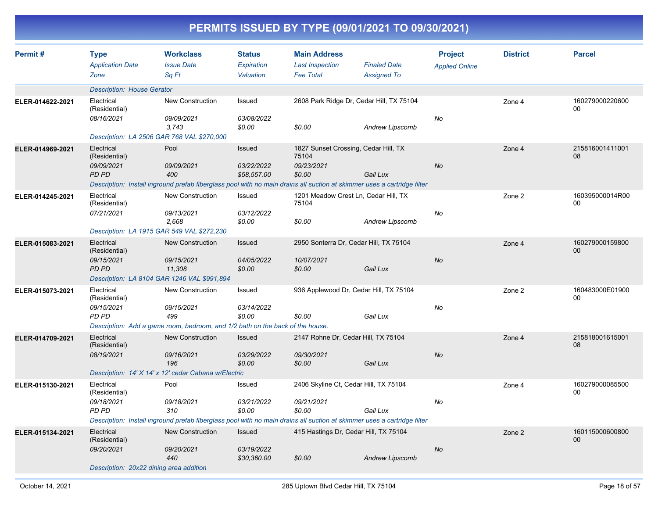|                  |                                                                                                          |                                                                                                                                                      |                                            |                                                                       | PERMITS ISSUED BY TYPE (09/01/2021 TO 09/30/2021) |                                         |                 |                           |
|------------------|----------------------------------------------------------------------------------------------------------|------------------------------------------------------------------------------------------------------------------------------------------------------|--------------------------------------------|-----------------------------------------------------------------------|---------------------------------------------------|-----------------------------------------|-----------------|---------------------------|
| Permit#          | <b>Type</b><br><b>Application Date</b><br>Zone                                                           | <b>Workclass</b><br><b>Issue Date</b><br>Sq Ft                                                                                                       | <b>Status</b><br>Expiration<br>Valuation   | <b>Main Address</b><br><b>Last Inspection</b><br><b>Fee Total</b>     | <b>Finaled Date</b><br><b>Assigned To</b>         | <b>Project</b><br><b>Applied Online</b> | <b>District</b> | <b>Parcel</b>             |
|                  | <b>Description: House Gerator</b>                                                                        |                                                                                                                                                      |                                            |                                                                       |                                                   |                                         |                 |                           |
| ELER-014622-2021 | Electrical<br>(Residential)<br>08/16/2021<br>Description: LA 2506 GAR 768 VAL \$270,000                  | New Construction<br>09/09/2021<br>3,743                                                                                                              | Issued<br>03/08/2022<br>\$0.00             | 2608 Park Ridge Dr, Cedar Hill, TX 75104<br>\$0.00                    | Andrew Lipscomb                                   | No                                      | Zone 4          | 160279000220600<br>00     |
| ELER-014969-2021 | Electrical<br>(Residential)<br>09/09/2021<br><b>PD PD</b>                                                | Pool<br>09/09/2021<br>400<br>Description: Install inground prefab fiberglass pool with no main drains all suction at skimmer uses a cartridge filter | Issued<br>03/22/2022<br>\$58,557.00        | 1827 Sunset Crossing, Cedar Hill, TX<br>75104<br>09/23/2021<br>\$0.00 | Gail Lux                                          | No                                      | Zone 4          | 215816001411001<br>08     |
| ELER-014245-2021 | Electrical<br>(Residential)<br>07/21/2021<br>Description: LA 1915 GAR 549 VAL \$272,230                  | New Construction<br>09/13/2021<br>2,668                                                                                                              | Issued<br>03/12/2022<br>\$0.00             | 1201 Meadow Crest Ln, Cedar Hill, TX<br>75104<br>\$0.00               | <b>Andrew Lipscomb</b>                            | No                                      | Zone 2          | 160395000014R00<br>00     |
| ELER-015083-2021 | Electrical<br>(Residential)<br>09/15/2021<br><b>PD PD</b><br>Description: LA 8104 GAR 1246 VAL \$991,894 | <b>New Construction</b><br>09/15/2021<br>11,308                                                                                                      | <b>Issued</b><br>04/05/2022<br>\$0.00      | 2950 Sonterra Dr, Cedar Hill, TX 75104<br>10/07/2021<br>\$0.00        | Gail Lux                                          | No                                      | Zone 4          | 160279000159800<br>$00\,$ |
| ELER-015073-2021 | Electrical<br>(Residential)<br>09/15/2021<br>PD PD                                                       | New Construction<br>09/15/2021<br>499<br>Description: Add a game room, bedroom, and 1/2 bath on the back of the house.                               | Issued<br>03/14/2022<br>\$0.00             | 936 Applewood Dr, Cedar Hill, TX 75104<br>\$0.00                      | Gail Lux                                          | No                                      | Zone 2          | 160483000E01900<br>00     |
| ELER-014709-2021 | Electrical<br>(Residential)<br>08/19/2021                                                                | <b>New Construction</b><br>09/16/2021<br>196<br>Description: 14' X 14' x 12' cedar Cabana w/Electric                                                 | <b>Issued</b><br>03/29/2022<br>\$0.00      | 2147 Rohne Dr, Cedar Hill, TX 75104<br>09/30/2021<br>\$0.00           | Gail Lux                                          | No                                      | Zone 4          | 215818001615001<br>08     |
| ELER-015130-2021 | Electrical<br>(Residential)<br>09/18/2021<br>PD PD                                                       | Pool<br>09/18/2021<br>310<br>Description: Install inground prefab fiberglass pool with no main drains all suction at skimmer uses a cartridge filter | Issued<br>03/21/2022<br>\$0.00             | 2406 Skyline Ct, Cedar Hill, TX 75104<br>09/21/2021<br>\$0.00         | Gail Lux                                          | No                                      | Zone 4          | 160279000085500<br>00     |
| ELER-015134-2021 | Electrical<br>(Residential)<br>09/20/2021<br>Description: 20x22 dining area addition                     | New Construction<br>09/20/2021<br>440                                                                                                                | <b>Issued</b><br>03/19/2022<br>\$30,360.00 | 415 Hastings Dr, Cedar Hill, TX 75104<br>\$0.00                       | <b>Andrew Lipscomb</b>                            | No                                      | Zone 2          | 160115000600800<br>00     |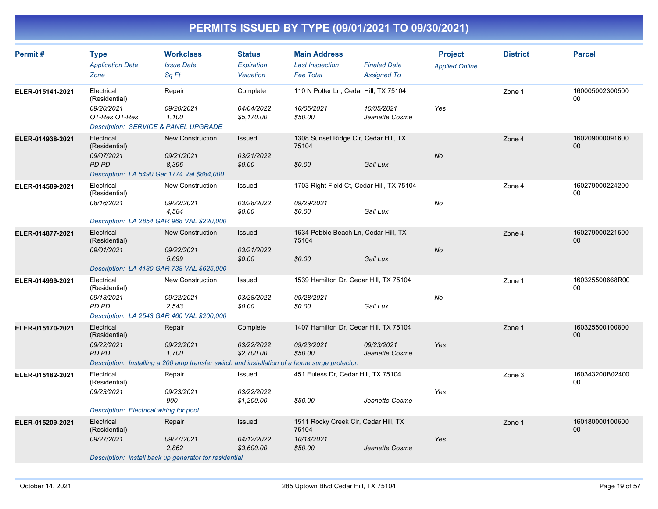| Permit#          | <b>Type</b><br><b>Application Date</b><br>Zone                                                     | <b>Workclass</b><br><b>Issue Date</b><br>Sq Ft                                                                                 | <b>Status</b><br>Expiration<br>Valuation | <b>Main Address</b><br><b>Last Inspection</b><br><b>Fee Total</b>      | <b>Finaled Date</b><br><b>Assigned To</b> | <b>Project</b><br><b>Applied Online</b> | <b>District</b> | <b>Parcel</b>             |
|------------------|----------------------------------------------------------------------------------------------------|--------------------------------------------------------------------------------------------------------------------------------|------------------------------------------|------------------------------------------------------------------------|-------------------------------------------|-----------------------------------------|-----------------|---------------------------|
| ELER-015141-2021 | Electrical<br>(Residential)<br>09/20/2021<br>OT-Res OT-Res<br>Description: SERVICE & PANEL UPGRADE | Repair<br>09/20/2021<br>1,100                                                                                                  | Complete<br>04/04/2022<br>\$5,170.00     | 110 N Potter Ln, Cedar Hill, TX 75104<br>10/05/2021<br>\$50.00         | 10/05/2021<br>Jeanette Cosme              | Yes                                     | Zone 1          | 160005002300500<br>00     |
| ELER-014938-2021 | Electrical<br>(Residential)<br>09/07/2021<br>PD PD<br>Description: LA 5490 Gar 1774 Val \$884,000  | <b>New Construction</b><br>09/21/2021<br>8,396                                                                                 | Issued<br>03/21/2022<br>\$0.00           | 1308 Sunset Ridge Cir, Cedar Hill, TX<br>75104<br>\$0.00               | Gail Lux                                  | No                                      | Zone 4          | 160209000091600<br>$00\,$ |
| ELER-014589-2021 | Electrical<br>(Residential)<br>08/16/2021<br>Description: LA 2854 GAR 968 VAL \$220,000            | <b>New Construction</b><br>09/22/2021<br>4,584                                                                                 | Issued<br>03/28/2022<br>\$0.00           | 1703 Right Field Ct, Cedar Hill, TX 75104<br>09/29/2021<br>\$0.00      | Gail Lux                                  | No                                      | Zone 4          | 160279000224200<br>00     |
| ELER-014877-2021 | Electrical<br>(Residential)<br>09/01/2021<br>Description: LA 4130 GAR 738 VAL \$625,000            | <b>New Construction</b><br>09/22/2021<br>5,699                                                                                 | Issued<br>03/21/2022<br>\$0.00           | 1634 Pebble Beach Ln, Cedar Hill, TX<br>75104<br>\$0.00                | Gail Lux                                  | <b>No</b>                               | Zone 4          | 160279000221500<br>$00\,$ |
| ELER-014999-2021 | Electrical<br>(Residential)<br>09/13/2021<br>PD PD<br>Description: LA 2543 GAR 460 VAL \$200,000   | <b>New Construction</b><br>09/22/2021<br>2,543                                                                                 | Issued<br>03/28/2022<br>\$0.00           | 1539 Hamilton Dr, Cedar Hill, TX 75104<br>09/28/2021<br>\$0.00         | Gail Lux                                  | No                                      | Zone 1          | 160325500668R00<br>00     |
| ELER-015170-2021 | Electrical<br>(Residential)<br>09/22/2021<br><b>PD PD</b>                                          | Repair<br>09/22/2021<br>1,700<br>Description: Installing a 200 amp transfer switch and installation of a home surge protector. | Complete<br>03/22/2022<br>\$2,700.00     | 1407 Hamilton Dr, Cedar Hill, TX 75104<br>09/23/2021<br>\$50.00        | 09/23/2021<br>Jeanette Cosme              | Yes                                     | Zone 1          | 160325500100800<br>$00\,$ |
| ELER-015182-2021 | Electrical<br>(Residential)<br>09/23/2021<br>Description: Electrical wiring for pool               | Repair<br>09/23/2021<br>900                                                                                                    | Issued<br>03/22/2022<br>\$1,200.00       | 451 Euless Dr, Cedar Hill, TX 75104<br>\$50.00                         | Jeanette Cosme                            | Yes                                     | Zone 3          | 160343200B02400<br>00     |
| ELER-015209-2021 | Electrical<br>(Residential)<br>09/27/2021                                                          | Repair<br>09/27/2021<br>2,862<br>Description: install back up generator for residential                                        | Issued<br>04/12/2022<br>\$3,600.00       | 1511 Rocky Creek Cir, Cedar Hill, TX<br>75104<br>10/14/2021<br>\$50.00 | Jeanette Cosme                            | Yes                                     | Zone 1          | 160180000100600<br>00     |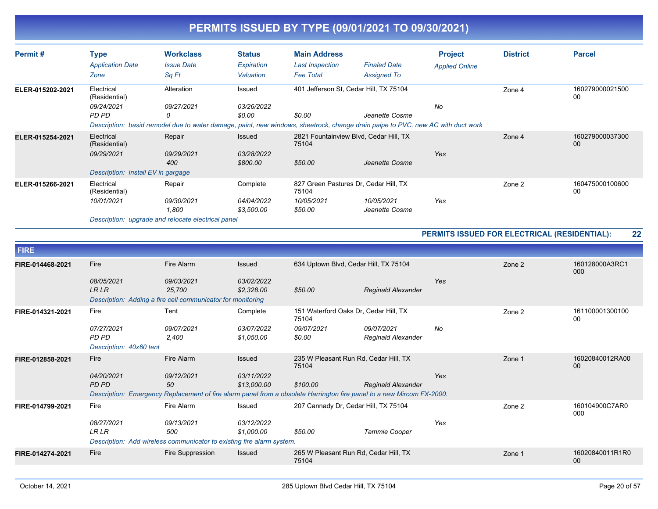| Permit#          | <b>Type</b><br><b>Application Date</b><br>Zone                                  | <b>Workclass</b><br><b>Issue Date</b><br>Sq Ft                                                                                                                   | <b>Status</b><br>Expiration<br>Valuation    | <b>Main Address</b><br>Last Inspection<br><b>Fee Total</b>              | <b>Finaled Date</b><br><b>Assigned To</b> | <b>Project</b><br><b>Applied Online</b> | <b>District</b> | <b>Parcel</b>         |
|------------------|---------------------------------------------------------------------------------|------------------------------------------------------------------------------------------------------------------------------------------------------------------|---------------------------------------------|-------------------------------------------------------------------------|-------------------------------------------|-----------------------------------------|-----------------|-----------------------|
| ELER-015202-2021 | Electrical<br>(Residential)<br>09/24/2021<br>PD PD                              | Alteration<br>09/27/2021<br>0<br>Description: basid remodel due to water damage, paint, new windows, sheetrock, change drain paipe to PVC, new AC with duct work | Issued<br><i>03/26/2022</i><br>\$0.00       | 401 Jefferson St, Cedar Hill, TX 75104<br>\$0.00                        | Jeanette Cosme                            | No                                      | Zone 4          | 160279000021500<br>00 |
| ELER-015254-2021 | Electrical<br>(Residential)<br>09/29/2021<br>Description: Install EV in gargage | Repair<br>09/29/2021<br>400                                                                                                                                      | <b>Issued</b><br>03/28/2022<br>\$800.00     | 2821 Fountainview Blvd, Cedar Hill, TX<br>75104<br>\$50.00              | Jeanette Cosme                            | Yes                                     | Zone 4          | 160279000037300<br>00 |
| ELER-015266-2021 | Electrical<br>(Residential)<br>10/01/2021                                       | Repair<br>09/30/2021<br>1,800                                                                                                                                    | Complete<br><i>04/04/2022</i><br>\$3,500.00 | 827 Green Pastures Dr. Cedar Hill, TX<br>75104<br>10/05/2021<br>\$50.00 | 10/05/2021<br>Jeanette Cosme              | Yes                                     | Zone 2          | 160475000100600<br>00 |

*Description: upgrade and relocate electrical panel*

#### **PERMITS ISSUED FOR ELECTRICAL (RESIDENTIAL): 22**

| <b>FIRE</b>      |                            |                                                                                                                       |                           |                                                |                                         |     |        |                       |
|------------------|----------------------------|-----------------------------------------------------------------------------------------------------------------------|---------------------------|------------------------------------------------|-----------------------------------------|-----|--------|-----------------------|
| FIRE-014468-2021 | Fire                       | Fire Alarm                                                                                                            | <b>Issued</b>             | 634 Uptown Blvd, Cedar Hill, TX 75104          |                                         |     | Zone 2 | 160128000A3RC1<br>000 |
|                  | 08/05/2021<br><b>LR LR</b> | 09/03/2021<br>25,700                                                                                                  | 03/02/2022<br>\$2,328.00  | \$50.00                                        | <b>Reginald Alexander</b>               | Yes |        |                       |
|                  |                            | Description: Adding a fire cell communicator for monitoring                                                           |                           |                                                |                                         |     |        |                       |
| FIRE-014321-2021 | Fire                       | Tent                                                                                                                  | Complete                  | 151 Waterford Oaks Dr, Cedar Hill, TX<br>75104 |                                         |     | Zone 2 | 161100001300100<br>00 |
|                  | 07/27/2021<br><b>PD PD</b> | 09/07/2021<br>2,400                                                                                                   | 03/07/2022<br>\$1,050.00  | 09/07/2021<br>\$0.00                           | 09/07/2021<br><b>Reginald Alexander</b> | No  |        |                       |
|                  | Description: 40x60 tent    |                                                                                                                       |                           |                                                |                                         |     |        |                       |
| FIRE-012858-2021 | Fire                       | Fire Alarm                                                                                                            | <b>Issued</b>             | 235 W Pleasant Run Rd, Cedar Hill, TX<br>75104 |                                         |     | Zone 1 | 16020840012RA00<br>00 |
|                  | 04/20/2021<br><b>PD PD</b> | 09/12/2021<br>50                                                                                                      | 03/11/2022<br>\$13,000.00 | \$100.00                                       | <b>Reginald Alexander</b>               | Yes |        |                       |
|                  |                            | Description: Emergency Replacement of fire alarm panel from a obsolete Harrington fire panel to a new Mircom FX-2000. |                           |                                                |                                         |     |        |                       |
| FIRE-014799-2021 | Fire                       | Fire Alarm                                                                                                            | Issued                    | 207 Cannady Dr, Cedar Hill, TX 75104           |                                         |     | Zone 2 | 160104900C7AR0<br>000 |
|                  | 08/27/2021<br><b>LR LR</b> | 09/13/2021<br>500                                                                                                     | 03/12/2022<br>\$1,000.00  | \$50.00                                        | Tammie Cooper                           | Yes |        |                       |
|                  |                            | Description: Add wireless communicator to existing fire alarm system.                                                 |                           |                                                |                                         |     |        |                       |
| FIRE-014274-2021 | Fire                       | Fire Suppression                                                                                                      | <b>Issued</b>             | 265 W Pleasant Run Rd, Cedar Hill, TX<br>75104 |                                         |     | Zone 1 | 16020840011R1R0<br>00 |
|                  |                            |                                                                                                                       |                           |                                                |                                         |     |        |                       |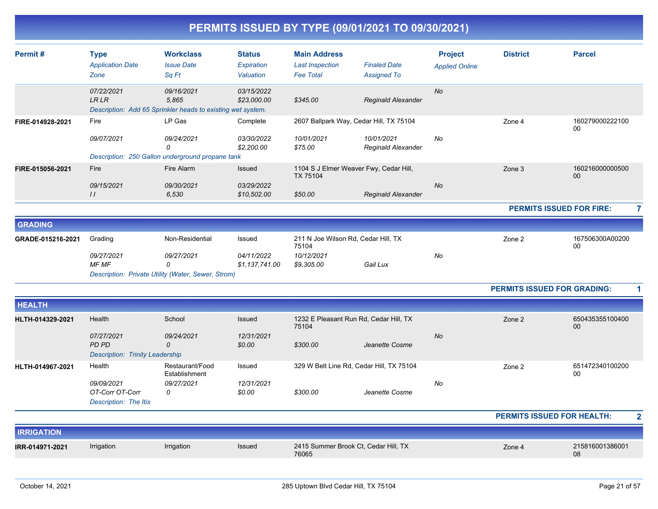| Permit#           | <b>Type</b><br><b>Application Date</b>                               | <b>Workclass</b><br><b>Issue Date</b>                                              | <b>Status</b><br>Expiration  | <b>Main Address</b><br><b>Last Inspection</b> | <b>Finaled Date</b>                      | <b>Project</b><br><b>Applied Online</b> | <b>District</b>                    | <b>Parcel</b>                   |                         |
|-------------------|----------------------------------------------------------------------|------------------------------------------------------------------------------------|------------------------------|-----------------------------------------------|------------------------------------------|-----------------------------------------|------------------------------------|---------------------------------|-------------------------|
|                   | Zone                                                                 | Sq Ft                                                                              | Valuation                    | <b>Fee Total</b>                              | <b>Assigned To</b>                       |                                         |                                    |                                 |                         |
|                   | 07/22/2021<br><b>LR LR</b>                                           | 09/16/2021<br>5,865<br>Description: Add 65 Sprinkler heads to existing wet system. | 03/15/2022<br>\$23,000.00    | \$345.00                                      | <b>Reginald Alexander</b>                | No                                      |                                    |                                 |                         |
| FIRE-014928-2021  | Fire                                                                 | LP Gas                                                                             | Complete                     |                                               | 2607 Ballpark Way, Cedar Hill, TX 75104  |                                         | Zone 4                             | 160279000222100<br>00           |                         |
|                   | 09/07/2021                                                           | 09/24/2021<br>0                                                                    | 03/30/2022<br>\$2,200.00     | 10/01/2021<br>\$75.00                         | 10/01/2021<br><b>Reginald Alexander</b>  | No                                      |                                    |                                 |                         |
|                   |                                                                      | Description: 250 Gallon underground propane tank                                   |                              |                                               |                                          |                                         |                                    |                                 |                         |
| FIRE-015056-2021  | Fire                                                                 | Fire Alarm                                                                         | <b>Issued</b>                | TX 75104                                      | 1104 S J Elmer Weaver Fwy, Cedar Hill,   |                                         | Zone 3                             | 160216000000500<br>00           |                         |
|                   | 09/15/2021<br>$\frac{1}{2}$                                          | 09/30/2021<br>6,530                                                                | 03/29/2022<br>\$10,502.00    | \$50.00                                       | Reginald Alexander                       | No                                      |                                    |                                 |                         |
|                   |                                                                      |                                                                                    |                              |                                               |                                          |                                         |                                    | <b>PERMITS ISSUED FOR FIRE:</b> | 7                       |
| <b>GRADING</b>    |                                                                      |                                                                                    |                              |                                               |                                          |                                         |                                    |                                 |                         |
| GRADE-015216-2021 | Grading                                                              | Non-Residential                                                                    | Issued                       | 211 N Joe Wilson Rd, Cedar Hill, TX<br>75104  |                                          |                                         | Zone 2                             | 167506300A00200<br>00           |                         |
|                   | 09/27/2021<br><b>MF MF</b>                                           | 09/27/2021<br>0<br>Description: Private Utility (Water, Sewer, Strom)              | 04/11/2022<br>\$1,137,741.00 | 10/12/2021<br>\$9,305.00                      | Gail Lux                                 | No                                      |                                    |                                 |                         |
|                   |                                                                      |                                                                                    |                              |                                               |                                          |                                         | <b>PERMITS ISSUED FOR GRADING:</b> |                                 | 1                       |
| <b>HEALTH</b>     |                                                                      |                                                                                    |                              |                                               |                                          |                                         |                                    |                                 |                         |
| HLTH-014329-2021  | Health                                                               | School                                                                             | <b>Issued</b>                | 75104                                         | 1232 E Pleasant Run Rd, Cedar Hill, TX   |                                         | Zone 2                             | 650435355100400<br>00           |                         |
|                   | 07/27/2021<br><b>PD PD</b><br><b>Description: Trinity Leadership</b> | 09/24/2021<br>0                                                                    | 12/31/2021<br>\$0.00         | \$300.00                                      | Jeanette Cosme                           | No                                      |                                    |                                 |                         |
| HLTH-014967-2021  | Health                                                               | Restaurant/Food<br>Establishment                                                   | Issued                       |                                               | 329 W Belt Line Rd, Cedar Hill, TX 75104 |                                         | Zone 2                             | 651472340100200<br>00           |                         |
|                   | 09/09/2021<br>OT-Corr OT-Corr<br>Description: The Itis               | 09/27/2021<br>0                                                                    | 12/31/2021<br>\$0.00         | \$300.00                                      | Jeanette Cosme                           | No                                      |                                    |                                 |                         |
|                   |                                                                      |                                                                                    |                              |                                               |                                          |                                         | <b>PERMITS ISSUED FOR HEALTH:</b>  |                                 | $\overline{\mathbf{2}}$ |
| <b>IRRIGATION</b> |                                                                      |                                                                                    |                              |                                               |                                          |                                         |                                    |                                 |                         |
| IRR-014971-2021   | Irrigation                                                           | Irrigation                                                                         | Issued                       | 76065                                         | 2415 Summer Brook Ct, Cedar Hill, TX     |                                         | Zone 4                             | 215816001386001<br>08           |                         |
|                   |                                                                      |                                                                                    |                              |                                               |                                          |                                         |                                    |                                 |                         |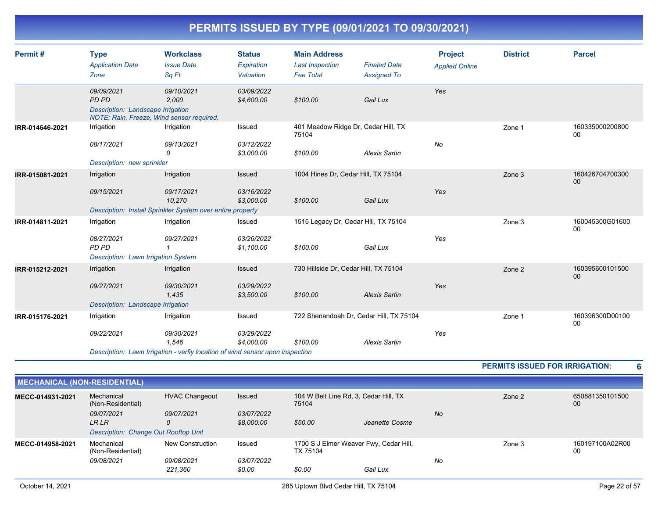| Permit#         | <b>Type</b><br><b>Application Date</b><br>Zone                                                        | <b>Workclass</b><br><b>Issue Date</b><br>Sq Ft                                                                     | <b>Status</b><br>Expiration<br>Valuation | <b>Main Address</b><br><b>Last Inspection</b><br><b>Fee Total</b> | <b>Finaled Date</b><br><b>Assigned To</b> | <b>Project</b><br><b>Applied Online</b> | <b>District</b> | <b>Parcel</b>         |
|-----------------|-------------------------------------------------------------------------------------------------------|--------------------------------------------------------------------------------------------------------------------|------------------------------------------|-------------------------------------------------------------------|-------------------------------------------|-----------------------------------------|-----------------|-----------------------|
|                 | 09/09/2021<br>PD PD<br>Description: Landscape Irrigation<br>NOTE: Rain, Freeze, Wind sensor required. | 09/10/2021<br>2,000                                                                                                | 03/09/2022<br>\$4,600.00                 | \$100.00                                                          | Gail Lux                                  | Yes                                     |                 |                       |
| IRR-014646-2021 | Irrigation<br>08/17/2021<br>Description: new sprinkler                                                | Irrigation<br>09/13/2021<br>0                                                                                      | Issued<br>03/12/2022<br>\$3,000.00       | 401 Meadow Ridge Dr, Cedar Hill, TX<br>75104<br>\$100.00          | <b>Alexis Sartin</b>                      | No                                      | Zone 1          | 160335000200800<br>00 |
| IRR-015081-2021 | Irrigation<br>09/15/2021                                                                              | Irrigation<br>09/17/2021<br>10,270<br>Description: Install Sprinkler System over entire property                   | Issued<br>03/16/2022<br>\$3,000.00       | 1004 Hines Dr, Cedar Hill, TX 75104<br>\$100.00                   | Gail Lux                                  | Yes                                     | Zone 3          | 160426704700300<br>00 |
| IRR-014811-2021 | Irrigation<br>08/27/2021<br>PD PD<br>Description: Lawn Irrigation System                              | Irrigation<br>09/27/2021                                                                                           | Issued<br>03/26/2022<br>\$1,100.00       | 1515 Legacy Dr, Cedar Hill, TX 75104<br>\$100.00                  | Gail Lux                                  | Yes                                     | Zone 3          | 160045300G01600<br>00 |
| IRR-015212-2021 | Irrigation<br>09/27/2021<br>Description: Landscape Irrigation                                         | Irrigation<br>09/30/2021<br>1.435                                                                                  | Issued<br>03/29/2022<br>\$3,500.00       | 730 Hillside Dr, Cedar Hill, TX 75104<br>\$100.00                 | <b>Alexis Sartin</b>                      | Yes                                     | Zone 2          | 160395600101500<br>00 |
| IRR-015176-2021 | Irrigation<br>09/22/2021                                                                              | Irrigation<br>09/30/2021<br>1.546<br>Description: Lawn Irrigation - verfiy location of wind sensor upon inspection | Issued<br>03/29/2022<br>\$4,000.00       | 722 Shenandoah Dr, Cedar Hill, TX 75104<br>\$100.00               | <b>Alexis Sartin</b>                      | Yes                                     | Zone 1          | 160396300D00100<br>00 |

**PERMITS ISSUED FOR IRRIGATION: 6**

| <b>MECHANICAL (NON-RESIDENTIAL)</b> |                                      |                                                                                          |                          |                                                    |                |           |                       |                       |
|-------------------------------------|--------------------------------------|------------------------------------------------------------------------------------------|--------------------------|----------------------------------------------------|----------------|-----------|-----------------------|-----------------------|
| MECC-014931-2021                    | Mechanical<br>(Non-Residential)      | <b>HVAC Changeout</b><br><b>Issued</b><br>104 W Belt Line Rd, 3, Cedar Hill, TX<br>75104 |                          |                                                    | Zone 2         |           | 650881350101500<br>00 |                       |
|                                     | 09/07/2021<br>LR LR                  | 09/07/2021<br>0                                                                          | 03/07/2022<br>\$8,000.00 | \$50.00                                            | Jeanette Cosme | <b>No</b> |                       |                       |
|                                     | Description: Change Out Rooftop Unit |                                                                                          |                          |                                                    |                |           |                       |                       |
| MECC-014958-2021                    | Mechanical<br>(Non-Residential)      | New Construction                                                                         | Issued                   | 1700 S J Elmer Weaver Fwy, Cedar Hill,<br>TX 75104 |                |           | Zone 3                | 160197100A02R00<br>00 |
|                                     | 09/08/2021                           | 09/08/2021                                                                               | <i>03/07/2022</i>        |                                                    |                | No        |                       |                       |
|                                     |                                      | 221.360                                                                                  | \$0.00                   | \$0.00                                             | Gail Lux       |           |                       |                       |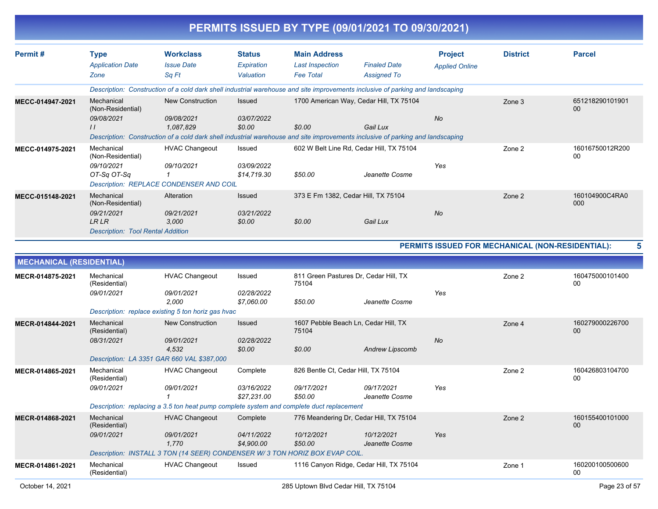|                                 |                                                                                                                                |                                                                                                                                |                           |                                            | PERMITS ISSUED BY TYPE (09/01/2021 TO 09/30/2021) |                                                  |                 |                       |
|---------------------------------|--------------------------------------------------------------------------------------------------------------------------------|--------------------------------------------------------------------------------------------------------------------------------|---------------------------|--------------------------------------------|---------------------------------------------------|--------------------------------------------------|-----------------|-----------------------|
| Permit#                         | <b>Type</b>                                                                                                                    | <b>Workclass</b>                                                                                                               | <b>Status</b>             | <b>Main Address</b>                        |                                                   | <b>Project</b>                                   | <b>District</b> | <b>Parcel</b>         |
|                                 | <b>Application Date</b><br>Zone                                                                                                | <b>Issue Date</b><br>Sq Ft                                                                                                     | Expiration<br>Valuation   | <b>Last Inspection</b><br><b>Fee Total</b> | <b>Finaled Date</b><br><b>Assigned To</b>         | <b>Applied Online</b>                            |                 |                       |
|                                 |                                                                                                                                | Description: Construction of a cold dark shell industrial warehouse and site improvements inclusive of parking and landscaping |                           |                                            |                                                   |                                                  |                 |                       |
| MECC-014947-2021                | Mechanical<br>(Non-Residential)                                                                                                | <b>New Construction</b>                                                                                                        | <b>Issued</b>             |                                            | 1700 American Way, Cedar Hill, TX 75104           |                                                  | Zone 3          | 651218290101901<br>00 |
|                                 | 09/08/2021<br>$\prime$                                                                                                         | 09/08/2021<br>1,087,829                                                                                                        | 03/07/2022<br>\$0.00      | \$0.00                                     | Gail Lux                                          | No                                               |                 |                       |
|                                 | Description: Construction of a cold dark shell industrial warehouse and site improvements inclusive of parking and landscaping |                                                                                                                                |                           |                                            |                                                   |                                                  |                 |                       |
| MECC-014975-2021                | Mechanical<br>(Non-Residential)                                                                                                | <b>HVAC Changeout</b>                                                                                                          | Issued                    |                                            | 602 W Belt Line Rd, Cedar Hill, TX 75104          |                                                  | Zone 2          | 16016750012R200<br>00 |
|                                 | 09/10/2021<br>OT-Sq OT-Sq                                                                                                      | 09/10/2021<br>$\mathcal I$                                                                                                     | 03/09/2022<br>\$14,719.30 | \$50.00                                    | Jeanette Cosme                                    | Yes                                              |                 |                       |
| MECC-015148-2021                | Mechanical<br>(Non-Residential)                                                                                                | Description: REPLACE CONDENSER AND COIL<br>Alteration                                                                          | Issued                    |                                            | 373 E Fm 1382, Cedar Hill, TX 75104               |                                                  | Zone 2          | 160104900C4RA0<br>000 |
|                                 | 09/21/2021<br>LR LR<br><b>Description: Tool Rental Addition</b>                                                                | 09/21/2021<br>3,000                                                                                                            | 03/21/2022<br>\$0.00      | \$0.00                                     | Gail Lux                                          | No                                               |                 |                       |
|                                 |                                                                                                                                |                                                                                                                                |                           |                                            |                                                   | PERMITS ISSUED FOR MECHANICAL (NON-RESIDENTIAL): |                 | 5                     |
| <b>MECHANICAL (RESIDENTIAL)</b> |                                                                                                                                |                                                                                                                                |                           |                                            |                                                   |                                                  |                 |                       |
| MECR-014875-2021                | Mechanical<br>(Residential)                                                                                                    | <b>HVAC Changeout</b>                                                                                                          | Issued                    | 75104                                      | 811 Green Pastures Dr, Cedar Hill, TX             |                                                  | Zone 2          | 160475000101400<br>00 |
|                                 | 09/01/2021                                                                                                                     | 09/01/2021<br>2,000                                                                                                            | 02/28/2022<br>\$7,060.00  | \$50.00                                    | Jeanette Cosme                                    | Yes                                              |                 |                       |
|                                 |                                                                                                                                | Description: replace existing 5 ton horiz gas hvac                                                                             |                           |                                            |                                                   |                                                  |                 |                       |
| MECR-014844-2021                | Mechanical<br>(Residential)                                                                                                    | <b>New Construction</b>                                                                                                        | <b>Issued</b>             | 75104                                      | 1607 Pebble Beach Ln, Cedar Hill, TX              |                                                  | Zone 4          | 160279000226700<br>00 |
|                                 | 08/31/2021                                                                                                                     | 09/01/2021<br>4,532                                                                                                            | 02/28/2022<br>\$0.00      | \$0.00                                     | <b>Andrew Lipscomb</b>                            | No                                               |                 |                       |
|                                 | Mechanical                                                                                                                     | Description: LA 3351 GAR 660 VAL \$387,000                                                                                     |                           |                                            |                                                   |                                                  |                 |                       |
| MECR-014865-2021                | (Residential)                                                                                                                  | <b>HVAC Changeout</b>                                                                                                          | Complete                  | 826 Bentle Ct, Cedar Hill, TX 75104        |                                                   |                                                  | Zone 2          | 160426803104700<br>00 |
|                                 | 09/01/2021                                                                                                                     | 09/01/2021<br>$\mathbf{1}$                                                                                                     | 03/16/2022<br>\$27,231.00 | 09/17/2021<br>\$50.00                      | 09/17/2021<br>Jeanette Cosme                      | Yes                                              |                 |                       |
|                                 |                                                                                                                                | Description: replacing a 3.5 ton heat pump complete system and complete duct replacement                                       |                           |                                            |                                                   |                                                  |                 |                       |
| MECR-014868-2021                | Mechanical<br>(Residential)                                                                                                    | <b>HVAC Changeout</b>                                                                                                          | Complete                  |                                            | 776 Meandering Dr, Cedar Hill, TX 75104           |                                                  | Zone 2          | 160155400101000<br>00 |
|                                 | 09/01/2021                                                                                                                     | 09/01/2021<br>1,770                                                                                                            | 04/11/2022<br>\$4,900.00  | 10/12/2021<br>\$50.00                      | 10/12/2021<br>Jeanette Cosme                      | Yes                                              |                 |                       |
|                                 |                                                                                                                                | Description: INSTALL 3 TON (14 SEER) CONDENSER W/3 TON HORIZ BOX EVAP COIL.                                                    |                           |                                            |                                                   |                                                  |                 |                       |
| MECR-014861-2021                | Mechanical<br>(Residential)                                                                                                    | <b>HVAC Changeout</b>                                                                                                          | Issued                    |                                            | 1116 Canyon Ridge, Cedar Hill, TX 75104           |                                                  | Zone 1          | 160200100500600<br>00 |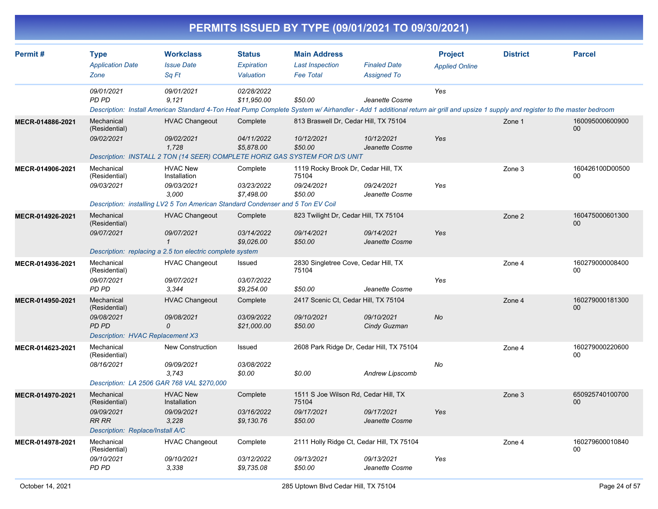| PERMITS ISSUED BY TYPE (09/01/2021 TO 09/30/2021) |                                                                                                      |                                                                                                                                                                                                        |                                          |                                                                        |                                           |                                         |                 |                           |  |  |
|---------------------------------------------------|------------------------------------------------------------------------------------------------------|--------------------------------------------------------------------------------------------------------------------------------------------------------------------------------------------------------|------------------------------------------|------------------------------------------------------------------------|-------------------------------------------|-----------------------------------------|-----------------|---------------------------|--|--|
| Permit#                                           | <b>Type</b><br><b>Application Date</b><br>Zone                                                       | <b>Workclass</b><br><b>Issue Date</b><br>Sq Ft                                                                                                                                                         | <b>Status</b><br>Expiration<br>Valuation | <b>Main Address</b><br><b>Last Inspection</b><br><b>Fee Total</b>      | <b>Finaled Date</b><br><b>Assigned To</b> | <b>Project</b><br><b>Applied Online</b> | <b>District</b> | <b>Parcel</b>             |  |  |
|                                                   | 09/01/2021<br><b>PD PD</b>                                                                           | 09/01/2021<br>9,121<br>Description: Install American Standard 4-Ton Heat Pump Complete System w/ Airhandler - Add 1 additional return air grill and upsize 1 supply and register to the master bedroom | 02/28/2022<br>\$11,950.00                | \$50.00                                                                | Jeanette Cosme                            | Yes                                     |                 |                           |  |  |
| MECR-014886-2021                                  | Mechanical<br>(Residential)<br>09/02/2021                                                            | <b>HVAC Changeout</b><br>09/02/2021<br>1,728<br>Description: INSTALL 2 TON (14 SEER) COMPLETE HORIZ GAS SYSTEM FOR D/S UNIT                                                                            | Complete<br>04/11/2022<br>\$5,878.00     | 813 Braswell Dr, Cedar Hill, TX 75104<br>10/12/2021<br>\$50.00         | 10/12/2021<br>Jeanette Cosme              | Yes                                     | Zone 1          | 160095000600900<br>$00\,$ |  |  |
| MECR-014906-2021                                  | Mechanical<br>(Residential)<br>09/03/2021                                                            | <b>HVAC New</b><br>Installation<br>09/03/2021<br>3,000<br>Description: installing LV2 5 Ton American Standard Condenser and 5 Ton EV Coil                                                              | Complete<br>03/23/2022<br>\$7,498.00     | 1119 Rocky Brook Dr, Cedar Hill, TX<br>75104<br>09/24/2021<br>\$50.00  | 09/24/2021<br>Jeanette Cosme              | Yes                                     | Zone 3          | 160426100D00500<br>00     |  |  |
| MECR-014926-2021                                  | Mechanical<br>(Residential)<br>09/07/2021                                                            | <b>HVAC Changeout</b><br>09/07/2021<br>1<br>Description: replacing a 2.5 ton electric complete system                                                                                                  | Complete<br>03/14/2022<br>\$9,026.00     | 823 Twilight Dr, Cedar Hill, TX 75104<br>09/14/2021<br>\$50.00         | 09/14/2021<br>Jeanette Cosme              | Yes                                     | Zone 2          | 160475000601300<br>$00\,$ |  |  |
| MECR-014936-2021                                  | Mechanical<br>(Residential)<br>09/07/2021<br>PD PD                                                   | <b>HVAC Changeout</b><br>09/07/2021<br>3,344                                                                                                                                                           | Issued<br>03/07/2022<br>\$9,254.00       | 2830 Singletree Cove, Cedar Hill, TX<br>75104<br>\$50.00               | Jeanette Cosme                            | Yes                                     | Zone 4          | 160279000008400<br>00     |  |  |
| MECR-014950-2021                                  | Mechanical<br>(Residential)<br>09/08/2021<br><b>PD PD</b><br><b>Description: HVAC Replacement X3</b> | <b>HVAC Changeout</b><br>09/08/2021<br>0                                                                                                                                                               | Complete<br>03/09/2022<br>\$21,000.00    | 2417 Scenic Ct, Cedar Hill, TX 75104<br>09/10/2021<br>\$50.00          | 09/10/2021<br>Cindy Guzman                | No                                      | Zone 4          | 160279000181300<br>00     |  |  |
| MECR-014623-2021                                  | Mechanical<br>(Residential)<br>08/16/2021<br>Description: LA 2506 GAR 768 VAL \$270,000              | New Construction<br>09/09/2021<br>3,743                                                                                                                                                                | Issued<br>03/08/2022<br>\$0.00           | 2608 Park Ridge Dr, Cedar Hill, TX 75104<br>\$0.00                     | Andrew Lipscomb                           | No                                      | Zone 4          | 160279000220600<br>00     |  |  |
| MECR-014970-2021                                  | Mechanical<br>(Residential)<br>09/09/2021<br><b>RR RR</b><br>Description: Replace/Install A/C        | <b>HVAC New</b><br>Installation<br>09/09/2021<br>3,228                                                                                                                                                 | Complete<br>03/16/2022<br>\$9,130.76     | 1511 S Joe Wilson Rd, Cedar Hill, TX<br>75104<br>09/17/2021<br>\$50.00 | 09/17/2021<br>Jeanette Cosme              | Yes                                     | Zone 3          | 650925740100700<br>00     |  |  |
| MECR-014978-2021                                  | Mechanical<br>(Residential)<br>09/10/2021<br>PD PD                                                   | <b>HVAC Changeout</b><br>09/10/2021<br>3,338                                                                                                                                                           | Complete<br>03/12/2022<br>\$9,735.08     | 2111 Holly Ridge Ct, Cedar Hill, TX 75104<br>09/13/2021<br>\$50.00     | 09/13/2021<br>Jeanette Cosme              | Yes                                     | Zone 4          | 160279600010840<br>00     |  |  |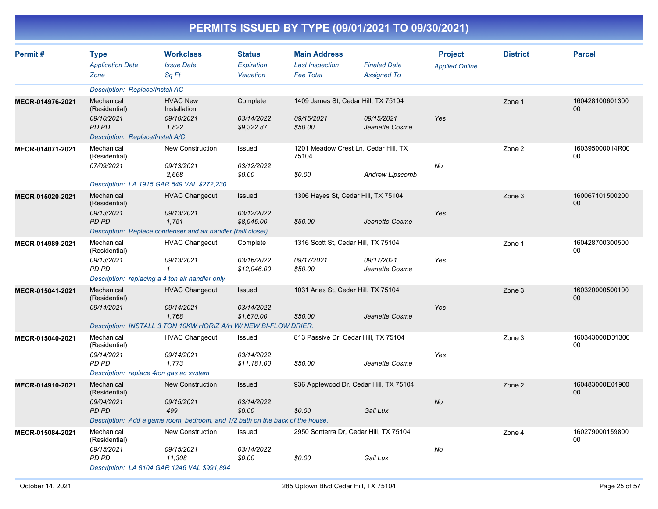| Permit#          | <b>Type</b><br><b>Application Date</b><br>Zone                                                       | <b>Workclass</b><br><b>Issue Date</b><br>Sq Ft                                                                                | <b>Status</b><br>Expiration<br>Valuation  | <b>Main Address</b><br><b>Last Inspection</b><br><b>Fee Total</b> | <b>Finaled Date</b><br><b>Assigned To</b>          | <b>Project</b><br><b>Applied Online</b> | <b>District</b> | <b>Parcel</b>                     |
|------------------|------------------------------------------------------------------------------------------------------|-------------------------------------------------------------------------------------------------------------------------------|-------------------------------------------|-------------------------------------------------------------------|----------------------------------------------------|-----------------------------------------|-----------------|-----------------------------------|
|                  | Description: Replace/Install AC                                                                      |                                                                                                                               |                                           |                                                                   |                                                    |                                         |                 |                                   |
| MECR-014976-2021 | Mechanical<br>(Residential)<br>09/10/2021<br>PD PD<br>Description: Replace/Install A/C               | <b>HVAC New</b><br>Installation<br>09/10/2021<br>1.822                                                                        | Complete<br>03/14/2022<br>\$9,322.87      | 1409 James St, Cedar Hill, TX 75104<br>09/15/2021<br>\$50.00      | 09/15/2021<br>Jeanette Cosme                       | Yes                                     | Zone 1          | 160428100601300<br>0 <sub>0</sub> |
| MECR-014071-2021 | Mechanical<br>(Residential)<br>07/09/2021                                                            | <b>New Construction</b><br>09/13/2021<br>2.668<br>Description: LA 1915 GAR 549 VAL \$272,230                                  | Issued<br>03/12/2022<br>\$0.00            | 1201 Meadow Crest Ln, Cedar Hill, TX<br>75104<br>\$0.00           | <b>Andrew Lipscomb</b>                             | No                                      | Zone 2          | 160395000014R00<br>00             |
| MECR-015020-2021 | Mechanical<br>(Residential)<br>09/13/2021<br>PD PD                                                   | <b>HVAC Changeout</b><br>09/13/2021<br>1.751<br>Description: Replace condenser and air handler (hall closet)                  | Issued<br>03/12/2022<br>\$8,946.00        | 1306 Hayes St, Cedar Hill, TX 75104<br>\$50.00                    | Jeanette Cosme                                     | Yes                                     | Zone 3          | 160067101500200<br>00             |
| MECR-014989-2021 | Mechanical<br>(Residential)<br>09/13/2021<br><b>PD PD</b>                                            | <b>HVAC Changeout</b><br>09/13/2021<br>$\mathbf{1}$<br>Description: replacing a 4 ton air handler only                        | Complete<br>03/16/2022<br>\$12,046.00     | 1316 Scott St, Cedar Hill, TX 75104<br>09/17/2021<br>\$50.00      | 09/17/2021<br>Jeanette Cosme                       | Yes                                     | Zone 1          | 160428700300500<br>00             |
| MECR-015041-2021 | Mechanical<br>(Residential)<br>09/14/2021                                                            | <b>HVAC Changeout</b><br>09/14/2021<br>1.768<br>Description: INSTALL 3 TON 10KW HORIZ A/H W/ NEW BI-FLOW DRIER.               | <b>Issued</b><br>03/14/2022<br>\$1.670.00 | 1031 Aries St, Cedar Hill, TX 75104<br>\$50.00                    | Jeanette Cosme                                     | Yes                                     | Zone 3          | 160320000500100<br>00             |
| MECR-015040-2021 | Mechanical<br>(Residential)<br>09/14/2021<br><b>PD PD</b><br>Description: replace 4ton gas ac system | <b>HVAC Changeout</b><br>09/14/2021<br>1,773                                                                                  | Issued<br>03/14/2022<br>\$11,181.00       | 813 Passive Dr, Cedar Hill, TX 75104<br>\$50.00                   | Jeanette Cosme                                     | Yes                                     | Zone 3          | 160343000D01300<br>00             |
| MECR-014910-2021 | Mechanical<br>(Residential)<br>09/04/2021<br>PD PD                                                   | <b>New Construction</b><br>09/15/2021<br>499<br>Description: Add a game room, bedroom, and 1/2 bath on the back of the house. | Issued<br>03/14/2022<br>\$0.00            | \$0.00                                                            | 936 Applewood Dr, Cedar Hill, TX 75104<br>Gail Lux | No                                      | Zone 2          | 160483000E01900<br>00             |
| MECR-015084-2021 | Mechanical<br>(Residential)<br>09/15/2021<br>PD PD                                                   | <b>New Construction</b><br>09/15/2021<br>11,308<br>Description: LA 8104 GAR 1246 VAL \$991,894                                | Issued<br>03/14/2022<br>\$0.00            | \$0.00                                                            | 2950 Sonterra Dr, Cedar Hill, TX 75104<br>Gail Lux | No                                      | Zone 4          | 160279000159800<br>00             |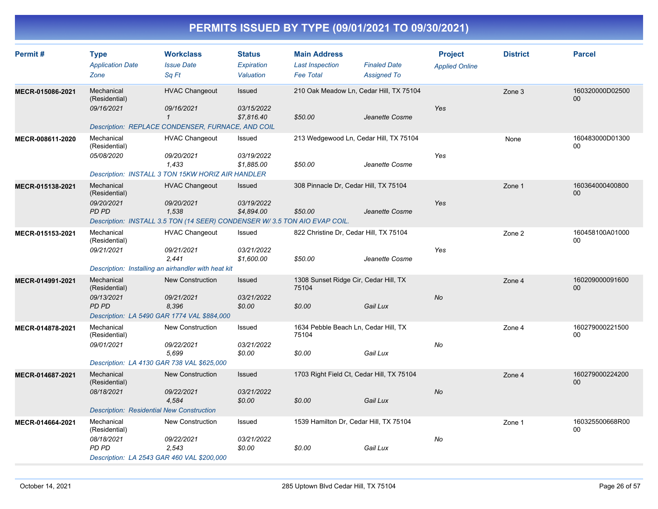| Permit #         | <b>Type</b><br><b>Application Date</b><br>Zone                                                                                         | <b>Workclass</b><br><b>Issue Date</b><br>Sq Ft                                                    | <b>Status</b><br><b>Expiration</b><br>Valuation | <b>Main Address</b><br><b>Last Inspection</b><br><b>Fee Total</b> | <b>Finaled Date</b><br><b>Assigned To</b> | <b>Project</b><br><b>Applied Online</b> | <b>District</b> | <b>Parcel</b>                      |
|------------------|----------------------------------------------------------------------------------------------------------------------------------------|---------------------------------------------------------------------------------------------------|-------------------------------------------------|-------------------------------------------------------------------|-------------------------------------------|-----------------------------------------|-----------------|------------------------------------|
| MECR-015086-2021 | Mechanical<br>(Residential)<br>09/16/2021<br>Description: REPLACE CONDENSER, FURNACE, AND COIL                                         | <b>HVAC Changeout</b><br>09/16/2021<br>$\mathbf{1}$                                               | Issued<br>03/15/2022<br>\$7,816.40              | 210 Oak Meadow Ln, Cedar Hill, TX 75104<br>\$50.00                | Jeanette Cosme                            | Yes                                     | Zone 3          | 160320000D02500<br>00 <sup>°</sup> |
| MECR-008611-2020 | Mechanical<br>(Residential)<br>05/08/2020                                                                                              | <b>HVAC Changeout</b><br>09/20/2021<br>1,433<br>Description: INSTALL 3 TON 15KW HORIZ AIR HANDLER | Issued<br>03/19/2022<br>\$1,885.00              | 213 Wedgewood Ln, Cedar Hill, TX 75104<br>\$50.00                 | Jeanette Cosme                            | Yes                                     | None            | 160483000D01300<br>$00\,$          |
| MECR-015138-2021 | Mechanical<br>(Residential)<br>09/20/2021<br><b>PD PD</b><br>Description: INSTALL 3.5 TON (14 SEER) CONDENSER W/3.5 TON AIO EVAP COIL. | <b>HVAC Changeout</b><br>09/20/2021<br>1,538                                                      | Issued<br>03/19/2022<br>\$4,894.00              | 308 Pinnacle Dr, Cedar Hill, TX 75104<br>\$50.00                  | Jeanette Cosme                            | Yes                                     | Zone 1          | 160364000400800<br>$00\,$          |
| MECR-015153-2021 | Mechanical<br>(Residential)<br>09/21/2021<br>Description: Installing an airhandler with heat kit                                       | <b>HVAC Changeout</b><br>09/21/2021<br>2,441                                                      | Issued<br>03/21/2022<br>\$1,600.00              | 822 Christine Dr, Cedar Hill, TX 75104<br>\$50.00                 | Jeanette Cosme                            | Yes                                     | Zone 2          | 160458100A01000<br>$00\,$          |
| MECR-014991-2021 | Mechanical<br>(Residential)<br>09/13/2021<br><b>PD PD</b><br>Description: LA 5490 GAR 1774 VAL \$884,000                               | <b>New Construction</b><br>09/21/2021<br>8,396                                                    | <b>Issued</b><br>03/21/2022<br>\$0.00           | 1308 Sunset Ridge Cir, Cedar Hill, TX<br>75104<br>\$0.00          | Gail Lux                                  | <b>No</b>                               | Zone 4          | 160209000091600<br>$00\,$          |
| MECR-014878-2021 | Mechanical<br>(Residential)<br>09/01/2021<br>Description: LA 4130 GAR 738 VAL \$625,000                                                | <b>New Construction</b><br>09/22/2021<br>5,699                                                    | Issued<br>03/21/2022<br>\$0.00                  | 1634 Pebble Beach Ln, Cedar Hill, TX<br>75104<br>\$0.00           | Gail Lux                                  | No                                      | Zone 4          | 160279000221500<br>00              |
| MECR-014687-2021 | Mechanical<br>(Residential)<br>08/18/2021<br><b>Description: Residential New Construction</b>                                          | <b>New Construction</b><br>09/22/2021<br>4,584                                                    | Issued<br>03/21/2022<br>\$0.00                  | 1703 Right Field Ct, Cedar Hill, TX 75104<br>\$0.00               | Gail Lux                                  | <b>No</b>                               | Zone 4          | 160279000224200<br>00              |
| MECR-014664-2021 | Mechanical<br>(Residential)<br>08/18/2021<br>PD PD<br>Description: LA 2543 GAR 460 VAL \$200,000                                       | New Construction<br>09/22/2021<br>2,543                                                           | Issued<br>03/21/2022<br>\$0.00                  | 1539 Hamilton Dr, Cedar Hill, TX 75104<br>\$0.00                  | Gail Lux                                  | No                                      | Zone 1          | 160325500668R00<br>$00\,$          |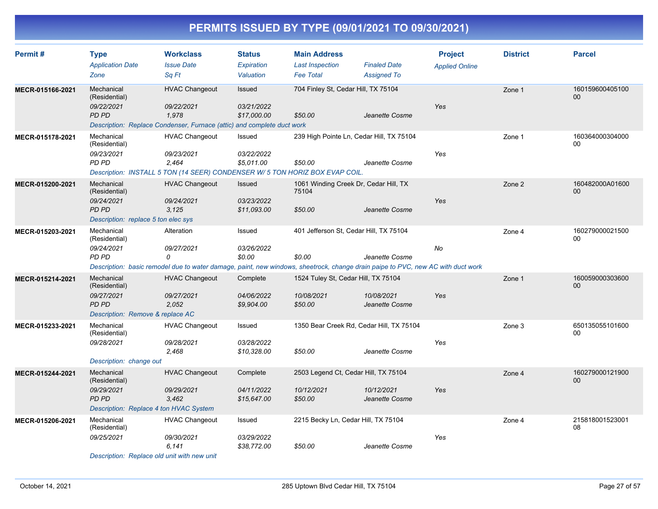| Permit#          | <b>Type</b>                                                                              | <b>Workclass</b>                                                                                                                | <b>Status</b>                        | <b>Main Address</b>                                          |                                           | <b>Project</b>        | <b>District</b> | <b>Parcel</b>             |
|------------------|------------------------------------------------------------------------------------------|---------------------------------------------------------------------------------------------------------------------------------|--------------------------------------|--------------------------------------------------------------|-------------------------------------------|-----------------------|-----------------|---------------------------|
|                  | <b>Application Date</b><br>Zone                                                          | <b>Issue Date</b><br>Sq Ft                                                                                                      | <b>Expiration</b><br>Valuation       | <b>Last Inspection</b><br><b>Fee Total</b>                   | <b>Finaled Date</b><br><b>Assigned To</b> | <b>Applied Online</b> |                 |                           |
| MECR-015166-2021 | Mechanical<br>(Residential)                                                              | <b>HVAC Changeout</b>                                                                                                           | Issued                               | 704 Finley St, Cedar Hill, TX 75104                          |                                           |                       | Zone 1          | 160159600405100<br>$00\,$ |
|                  | 09/22/2021<br>PD PD                                                                      | 09/22/2021<br>1,978<br>Description: Replace Condenser, Furnace (attic) and complete duct work                                   | 03/21/2022<br>\$17,000.00            | \$50.00                                                      | Jeanette Cosme                            | <b>Yes</b>            |                 |                           |
| MECR-015178-2021 | Mechanical<br>(Residential)<br>09/23/2021<br>PD PD                                       | <b>HVAC Changeout</b><br>09/23/2021<br>2.464<br>Description: INSTALL 5 TON (14 SEER) CONDENSER W/ 5 TON HORIZ BOX EVAP COIL.    | Issued<br>03/22/2022<br>\$5,011.00   | 239 High Pointe Ln, Cedar Hill, TX 75104<br>\$50.00          | Jeanette Cosme                            | Yes                   | Zone 1          | 160364000304000<br>00     |
| MECR-015200-2021 | Mechanical<br>(Residential)                                                              | <b>HVAC Changeout</b>                                                                                                           | Issued                               | 1061 Winding Creek Dr, Cedar Hill, TX<br>75104               |                                           |                       | Zone 2          | 160482000A01600<br>$00\,$ |
|                  | 09/24/2021<br>PD PD<br>Description: replace 5 ton elec sys                               | 09/24/2021<br>3,125                                                                                                             | 03/23/2022<br>\$11,093.00            | \$50.00                                                      | Jeanette Cosme                            | Yes                   |                 |                           |
| MECR-015203-2021 | Mechanical<br>(Residential)<br>09/24/2021<br>PD PD                                       | Alteration<br>09/27/2021<br>0                                                                                                   | Issued<br>03/26/2022<br>\$0.00       | 401 Jefferson St, Cedar Hill, TX 75104<br>\$0.00             | Jeanette Cosme                            | <b>No</b>             | Zone 4          | 160279000021500<br>00     |
|                  |                                                                                          | Description: basic remodel due to water damage, paint, new windows, sheetrock, change drain paipe to PVC, new AC with duct work |                                      |                                                              |                                           |                       |                 |                           |
| MECR-015214-2021 | Mechanical<br>(Residential)<br>09/27/2021<br>PD PD<br>Description: Remove & replace AC   | <b>HVAC Changeout</b><br>09/27/2021<br>2,052                                                                                    | Complete<br>04/06/2022<br>\$9,904.00 | 1524 Tuley St, Cedar Hill, TX 75104<br>10/08/2021<br>\$50.00 | 10/08/2021<br>Jeanette Cosme              | Yes                   | Zone 1          | 160059000303600<br>00     |
| MECR-015233-2021 | Mechanical<br>(Residential)<br>09/28/2021                                                | <b>HVAC Changeout</b><br>09/28/2021<br>2,468                                                                                    | Issued<br>03/28/2022<br>\$10,328.00  | 1350 Bear Creek Rd, Cedar Hill, TX 75104<br>\$50.00          | Jeanette Cosme                            | Yes                   | Zone 3          | 650135055101600<br>00     |
| MECR-015244-2021 | Description: change out<br>Mechanical                                                    | <b>HVAC Changeout</b>                                                                                                           | Complete                             | 2503 Legend Ct, Cedar Hill, TX 75104                         |                                           |                       | Zone 4          | 160279000121900           |
|                  | (Residential)<br>09/29/2021<br><b>PD PD</b><br>Description: Replace 4 ton HVAC System    | 09/29/2021<br>3,462                                                                                                             | 04/11/2022<br>\$15,647.00            | 10/12/2021<br>\$50.00                                        | 10/12/2021<br>Jeanette Cosme              | Yes                   |                 | 00                        |
| MECR-015206-2021 | Mechanical<br>(Residential)<br>09/25/2021<br>Description: Replace old unit with new unit | <b>HVAC Changeout</b><br>09/30/2021<br>6.141                                                                                    | Issued<br>03/29/2022<br>\$38,772.00  | 2215 Becky Ln, Cedar Hill, TX 75104<br>\$50.00               | Jeanette Cosme                            | Yes                   | Zone 4          | 215818001523001<br>08     |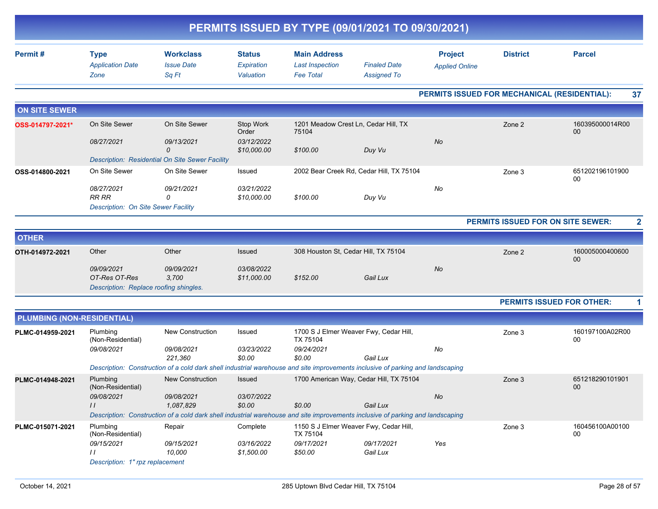|                                   |                                                                       |                                                                                                                                |                                          | PERMITS ISSUED BY TYPE (09/01/2021 TO 09/30/2021)                 |                                           |                                              |                                   |                                  |
|-----------------------------------|-----------------------------------------------------------------------|--------------------------------------------------------------------------------------------------------------------------------|------------------------------------------|-------------------------------------------------------------------|-------------------------------------------|----------------------------------------------|-----------------------------------|----------------------------------|
| Permit#                           | <b>Type</b><br><b>Application Date</b><br>Zone                        | <b>Workclass</b><br><b>Issue Date</b><br>Sq Ft                                                                                 | <b>Status</b><br>Expiration<br>Valuation | <b>Main Address</b><br><b>Last Inspection</b><br><b>Fee Total</b> | <b>Finaled Date</b><br><b>Assigned To</b> | <b>Project</b><br><b>Applied Online</b>      | <b>District</b>                   | <b>Parcel</b>                    |
|                                   |                                                                       |                                                                                                                                |                                          |                                                                   |                                           | PERMITS ISSUED FOR MECHANICAL (RESIDENTIAL): |                                   | 37                               |
| <b>ON SITE SEWER</b>              |                                                                       |                                                                                                                                |                                          |                                                                   |                                           |                                              |                                   |                                  |
| OSS-014797-2021*                  | On Site Sewer                                                         | On Site Sewer                                                                                                                  | Stop Work<br>Order                       | 1201 Meadow Crest Ln, Cedar Hill, TX<br>75104                     |                                           |                                              | Zone 2                            | 160395000014R00<br>00            |
|                                   | 08/27/2021                                                            | 09/13/2021<br>0                                                                                                                | 03/12/2022<br>\$10,000.00                | \$100.00                                                          | Duy Vu                                    | <b>No</b>                                    |                                   |                                  |
|                                   |                                                                       | Description: Residential On Site Sewer Facility                                                                                |                                          |                                                                   |                                           |                                              |                                   |                                  |
| OSS-014800-2021                   | On Site Sewer                                                         | On Site Sewer                                                                                                                  | Issued                                   |                                                                   | 2002 Bear Creek Rd, Cedar Hill, TX 75104  |                                              | Zone 3                            | 651202196101900<br>00            |
|                                   | 08/27/2021<br><b>RR RR</b><br>Description: On Site Sewer Facility     | 09/21/2021<br>$\Omega$                                                                                                         | 03/21/2022<br>\$10,000.00                | \$100.00                                                          | Duy Vu                                    | No                                           |                                   |                                  |
|                                   |                                                                       |                                                                                                                                |                                          |                                                                   |                                           |                                              | PERMITS ISSUED FOR ON SITE SEWER: |                                  |
| <b>OTHER</b>                      |                                                                       |                                                                                                                                |                                          |                                                                   |                                           |                                              |                                   |                                  |
| OTH-014972-2021                   | Other                                                                 | Other                                                                                                                          | Issued                                   | 308 Houston St, Cedar Hill, TX 75104                              |                                           |                                              | Zone 2                            | 160005000400600<br>00            |
|                                   | 09/09/2021<br>OT-Res OT-Res<br>Description: Replace roofing shingles. | 09/09/2021<br>3,700                                                                                                            | 03/08/2022<br>\$11,000.00                | \$152.00                                                          | Gail Lux                                  | No                                           |                                   |                                  |
|                                   |                                                                       |                                                                                                                                |                                          |                                                                   |                                           |                                              |                                   | <b>PERMITS ISSUED FOR OTHER:</b> |
| <b>PLUMBING (NON-RESIDENTIAL)</b> |                                                                       |                                                                                                                                |                                          |                                                                   |                                           |                                              |                                   |                                  |
| PLMC-014959-2021                  | Plumbing<br>(Non-Residential)                                         | <b>New Construction</b>                                                                                                        | Issued                                   | TX 75104                                                          | 1700 S J Elmer Weaver Fwy, Cedar Hill,    |                                              | Zone 3                            | 160197100A02R00<br>00            |
|                                   | 09/08/2021                                                            | 09/08/2021<br>221,360                                                                                                          | 03/23/2022<br>\$0.00                     | 09/24/2021<br>\$0.00                                              | Gail Lux                                  | No                                           |                                   |                                  |
|                                   |                                                                       | Description: Construction of a cold dark shell industrial warehouse and site improvements inclusive of parking and landscaping |                                          |                                                                   |                                           |                                              |                                   |                                  |
| PLMC-014948-2021                  | Plumbing<br>(Non-Residential)                                         | <b>New Construction</b>                                                                                                        | Issued                                   |                                                                   | 1700 American Way, Cedar Hill, TX 75104   |                                              | Zone 3                            | 651218290101901<br>00            |
|                                   | 09/08/2021<br>$\frac{1}{2}$                                           | 09/08/2021<br>1,087,829                                                                                                        | <i>03/07/2022</i><br>\$0.00              | \$0.00                                                            | Gail Lux                                  | $N\!o$                                       |                                   |                                  |
|                                   |                                                                       | Description: Construction of a cold dark shell industrial warehouse and site improvements inclusive of parking and landscaping |                                          |                                                                   |                                           |                                              |                                   |                                  |
| PLMC-015071-2021                  | Plumbing<br>(Non-Residential)                                         | Repair                                                                                                                         | Complete                                 | TX 75104                                                          | 1150 S J Elmer Weaver Fwy, Cedar Hill,    |                                              | Zone 3                            | 160456100A00100<br>00            |
|                                   | 09/15/2021<br>$\overline{11}$<br>Description: 1" rpz replacement      | 09/15/2021<br>10,000                                                                                                           | 03/16/2022<br>\$1,500.00                 | 09/17/2021<br>\$50.00                                             | 09/17/2021<br>Gail Lux                    | Yes                                          |                                   |                                  |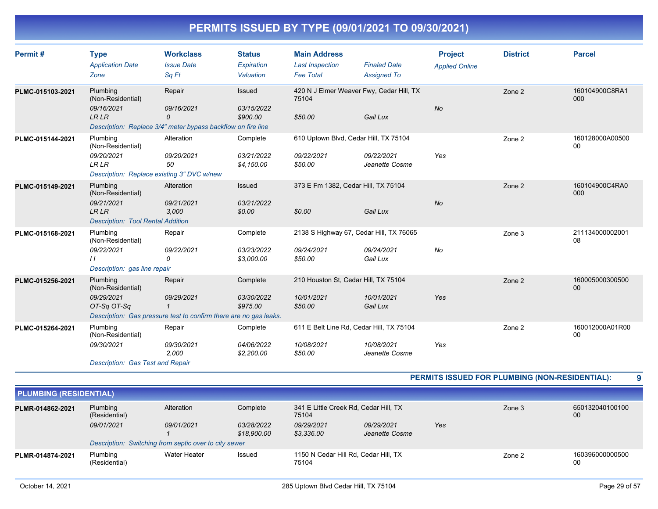| Permit#          | <b>Type</b><br><b>Application Date</b><br>Zone                                                         | <b>Workclass</b><br><b>Issue Date</b><br>Sq Ft                                            | <b>Status</b><br>Expiration<br>Valuation | <b>Main Address</b><br><b>Last Inspection</b><br><b>Fee Total</b> | <b>Finaled Date</b><br><b>Assigned To</b>                                | <b>Project</b><br><b>Applied Online</b> | <b>District</b> | <b>Parcel</b>         |
|------------------|--------------------------------------------------------------------------------------------------------|-------------------------------------------------------------------------------------------|------------------------------------------|-------------------------------------------------------------------|--------------------------------------------------------------------------|-----------------------------------------|-----------------|-----------------------|
| PLMC-015103-2021 | Plumbing<br>(Non-Residential)<br>09/16/2021<br><b>LRLR</b>                                             | Repair<br>09/16/2021<br>0<br>Description: Replace 3/4" meter bypass backflow on fire line | Issued<br>03/15/2022<br>\$900.00         | 75104<br>\$50.00                                                  | 420 N J Elmer Weaver Fwy, Cedar Hill, TX<br>Gail Lux                     | <b>No</b>                               | Zone 2          | 160104900C8RA1<br>000 |
| PLMC-015144-2021 | Plumbing<br>(Non-Residential)<br>09/20/2021<br><b>LR LR</b>                                            | Alteration<br>09/20/2021<br>50<br>Description: Replace existing 3" DVC w/new              | Complete<br>03/21/2022<br>\$4,150.00     | 09/22/2021<br>\$50.00                                             | 610 Uptown Blvd, Cedar Hill, TX 75104<br>09/22/2021<br>Jeanette Cosme    | Yes                                     | Zone 2          | 160128000A00500<br>00 |
| PLMC-015149-2021 | Plumbing<br>(Non-Residential)<br>09/21/2021<br><b>LRLR</b><br><b>Description: Tool Rental Addition</b> | Alteration<br>09/21/2021<br>3,000                                                         | <b>Issued</b><br>03/21/2022<br>\$0.00    | \$0.00                                                            | 373 E Fm 1382, Cedar Hill, TX 75104<br>Gail Lux                          | <b>No</b>                               | Zone 2          | 160104900C4RA0<br>000 |
| PLMC-015168-2021 | Plumbing<br>(Non-Residential)<br>09/22/2021<br>$\prime\prime$<br>Description: gas line repair          | Repair<br>09/22/2021<br>0                                                                 | Complete<br>03/23/2022<br>\$3,000.00     | 09/24/2021<br>\$50.00                                             | 2138 S Highway 67, Cedar Hill, TX 76065<br>09/24/2021<br>Gail Lux        | No                                      | Zone 3          | 211134000002001<br>08 |
| PLMC-015256-2021 | Plumbing<br>(Non-Residential)<br>09/29/2021<br>OT-Sa OT-Sa                                             | Repair<br>09/29/2021<br>Description: Gas pressure test to confirm there are no gas leaks. | Complete<br>03/30/2022<br>\$975.00       | 10/01/2021<br>\$50.00                                             | 210 Houston St, Cedar Hill, TX 75104<br>10/01/2021<br>Gail Lux           | Yes                                     | Zone 2          | 160005000300500<br>00 |
| PLMC-015264-2021 | Plumbing<br>(Non-Residential)<br>09/30/2021<br><b>Description: Gas Test and Repair</b>                 | Repair<br>09/30/2021<br>2,000                                                             | Complete<br>04/06/2022<br>\$2,200.00     | 10/08/2021<br>\$50.00                                             | 611 E Belt Line Rd, Cedar Hill, TX 75104<br>10/08/2021<br>Jeanette Cosme | Yes                                     | Zone 2          | 160012000A01R00<br>00 |

**PERMITS ISSUED FOR PLUMBING (NON-RESIDENTIAL): 9**

| <b>PLUMBING (RESIDENTIAL)</b> |                                                       |              |                           |                                                |                              |     |        |                       |
|-------------------------------|-------------------------------------------------------|--------------|---------------------------|------------------------------------------------|------------------------------|-----|--------|-----------------------|
| PLMR-014862-2021              | Plumbing<br>(Residential)                             | Alteration   | Complete                  | 341 E Little Creek Rd, Cedar Hill, TX<br>75104 |                              |     | Zone 3 | 650132040100100<br>00 |
|                               | 09/01/2021                                            | 09/01/2021   | 03/28/2022<br>\$18,900.00 | 09/29/2021<br>\$3,336.00                       | 09/29/2021<br>Jeanette Cosme | Yes |        |                       |
|                               | Description: Switching from septic over to city sewer |              |                           |                                                |                              |     |        |                       |
| PLMR-014874-2021              | Plumbing<br>(Residential)                             | Water Heater | Issued                    | 1150 N Cedar Hill Rd, Cedar Hill, TX<br>75104  |                              |     | Zone 2 | 160396000000500<br>00 |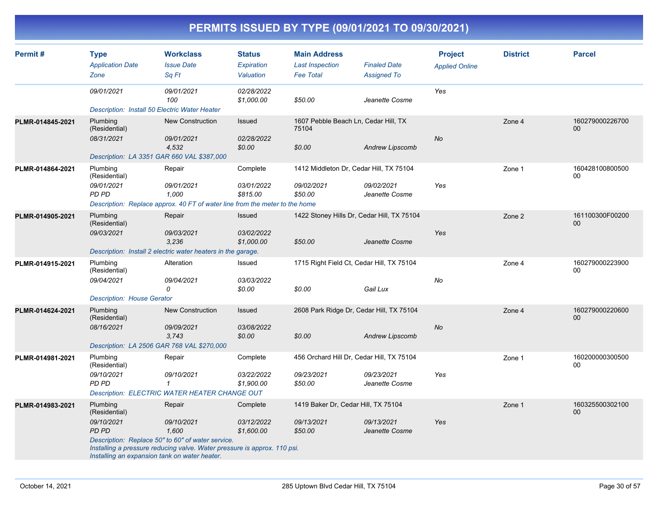| Permit#          | <b>Type</b>                                   | <b>Workclass</b>                                                                                                              | <b>Status</b>            | <b>Main Address</b>                           |                              | <b>Project</b>        | <b>District</b> | <b>Parcel</b>         |
|------------------|-----------------------------------------------|-------------------------------------------------------------------------------------------------------------------------------|--------------------------|-----------------------------------------------|------------------------------|-----------------------|-----------------|-----------------------|
|                  | <b>Application Date</b>                       | <b>Issue Date</b>                                                                                                             | Expiration               | <b>Last Inspection</b>                        | <b>Finaled Date</b>          | <b>Applied Online</b> |                 |                       |
|                  | Zone                                          | Sa Ft                                                                                                                         | Valuation                | <b>Fee Total</b>                              | <b>Assigned To</b>           |                       |                 |                       |
|                  | 09/01/2021                                    | 09/01/2021<br>100                                                                                                             | 02/28/2022<br>\$1,000.00 | \$50.00                                       | Jeanette Cosme               | Yes                   |                 |                       |
|                  | Description: Install 50 Electric Water Heater |                                                                                                                               |                          |                                               |                              |                       |                 |                       |
| PLMR-014845-2021 | Plumbing<br>(Residential)                     | <b>New Construction</b>                                                                                                       | <b>Issued</b>            | 1607 Pebble Beach Ln, Cedar Hill, TX<br>75104 |                              |                       | Zone 4          | 160279000226700<br>00 |
|                  | 08/31/2021                                    | 09/01/2021<br>4,532                                                                                                           | 02/28/2022<br>\$0.00     | \$0.00                                        | <b>Andrew Lipscomb</b>       | No                    |                 |                       |
|                  |                                               | Description: LA 3351 GAR 660 VAL \$387,000                                                                                    |                          |                                               |                              |                       |                 |                       |
| PLMR-014864-2021 | Plumbing<br>(Residential)                     | Repair                                                                                                                        | Complete                 | 1412 Middleton Dr, Cedar Hill, TX 75104       |                              |                       | Zone 1          | 160428100800500<br>00 |
|                  | 09/01/2021<br>PD PD                           | 09/01/2021<br>1.000                                                                                                           | 03/01/2022<br>\$815.00   | 09/02/2021<br>\$50.00                         | 09/02/2021<br>Jeanette Cosme | Yes                   |                 |                       |
|                  |                                               | Description: Replace approx. 40 FT of water line from the meter to the home                                                   |                          |                                               |                              |                       |                 |                       |
| PLMR-014905-2021 | Plumbing<br>(Residential)                     | Repair                                                                                                                        | Issued                   | 1422 Stoney Hills Dr, Cedar Hill, TX 75104    |                              |                       | Zone 2          | 161100300F00200<br>00 |
|                  | 09/03/2021                                    | 09/03/2021<br>3.236                                                                                                           | 03/02/2022<br>\$1,000.00 | \$50.00                                       | Jeanette Cosme               | Yes                   |                 |                       |
|                  |                                               | Description: Install 2 electric water heaters in the garage.                                                                  |                          |                                               |                              |                       |                 |                       |
| PLMR-014915-2021 | Plumbing<br>(Residential)                     | Alteration                                                                                                                    | Issued                   | 1715 Right Field Ct, Cedar Hill, TX 75104     |                              |                       | Zone 4          | 160279000223900<br>00 |
|                  | 09/04/2021                                    | 09/04/2021<br>$\Omega$                                                                                                        | 03/03/2022<br>\$0.00     | \$0.00                                        | Gail Lux                     | No                    |                 |                       |
|                  | <b>Description: House Gerator</b>             |                                                                                                                               |                          |                                               |                              |                       |                 |                       |
| PLMR-014624-2021 | Plumbing<br>(Residential)                     | <b>New Construction</b>                                                                                                       | Issued                   | 2608 Park Ridge Dr, Cedar Hill, TX 75104      |                              |                       | Zone 4          | 160279000220600<br>00 |
|                  | 08/16/2021                                    | 09/09/2021<br>3.743                                                                                                           | 03/08/2022<br>\$0.00     | \$0.00                                        | Andrew Lipscomb              | <b>No</b>             |                 |                       |
|                  |                                               | Description: LA 2506 GAR 768 VAL \$270,000                                                                                    |                          |                                               |                              |                       |                 |                       |
| PLMR-014981-2021 | Plumbing<br>(Residential)                     | Repair                                                                                                                        | Complete                 | 456 Orchard Hill Dr, Cedar Hill, TX 75104     |                              |                       | Zone 1          | 160200000300500<br>00 |
|                  | 09/10/2021<br>PD PD                           | 09/10/2021<br>$\mathbf{1}$                                                                                                    | 03/22/2022<br>\$1.900.00 | 09/23/2021<br>\$50.00                         | 09/23/2021<br>Jeanette Cosme | Yes                   |                 |                       |
|                  |                                               | Description: ELECTRIC WATER HEATER CHANGE OUT                                                                                 |                          |                                               |                              |                       |                 |                       |
| PLMR-014983-2021 | Plumbing<br>(Residential)                     | Repair                                                                                                                        | Complete                 | 1419 Baker Dr, Cedar Hill, TX 75104           |                              |                       | Zone 1          | 160325500302100<br>00 |
|                  | 09/10/2021<br>PD PD                           | 09/10/2021<br>1.600                                                                                                           | 03/12/2022<br>\$1,600.00 | 09/13/2021<br>\$50.00                         | 09/13/2021<br>Jeanette Cosme | Yes                   |                 |                       |
|                  | Installing an expansion tank on water heater. | Description: Replace 50" to 60" of water service.<br>Installing a pressure reducing valve. Water pressure is approx. 110 psi. |                          |                                               |                              |                       |                 |                       |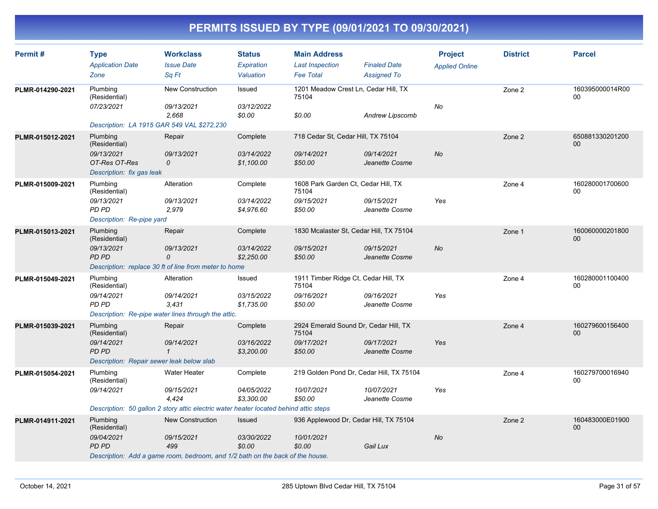| Permit#          | <b>Type</b><br><b>Application Date</b><br>Zone                                                                                      | <b>Workclass</b><br><b>Issue Date</b><br>Sa Ft                                                                                                                                                                         | <b>Status</b><br>Expiration<br>Valuation | <b>Main Address</b><br><b>Last Inspection</b><br><b>Fee Total</b>       | <b>Finaled Date</b><br><b>Assigned To</b> | <b>Project</b><br><b>Applied Online</b> | <b>District</b> | <b>Parcel</b>         |
|------------------|-------------------------------------------------------------------------------------------------------------------------------------|------------------------------------------------------------------------------------------------------------------------------------------------------------------------------------------------------------------------|------------------------------------------|-------------------------------------------------------------------------|-------------------------------------------|-----------------------------------------|-----------------|-----------------------|
| PLMR-014290-2021 | Plumbing<br>(Residential)<br>07/23/2021                                                                                             | <b>New Construction</b><br>09/13/2021<br>2,668                                                                                                                                                                         | Issued<br>03/12/2022<br>\$0.00           | 1201 Meadow Crest Ln, Cedar Hill, TX<br>75104<br>\$0.00                 | <b>Andrew Lipscomb</b>                    | No                                      | Zone 2          | 160395000014R00<br>00 |
| PLMR-015012-2021 | Description: LA 1915 GAR 549 VAL \$272,230<br>Plumbing<br>(Residential)<br>09/13/2021<br>OT-Res OT-Res<br>Description: fix gas leak | Repair<br>09/13/2021<br>0                                                                                                                                                                                              | Complete<br>03/14/2022<br>\$1,100.00     | 718 Cedar St, Cedar Hill, TX 75104<br>09/14/2021<br>\$50.00             | 09/14/2021<br>Jeanette Cosme              | No                                      | Zone 2          | 650881330201200<br>00 |
| PLMR-015009-2021 | Plumbing<br>(Residential)<br>09/13/2021<br>PD PD<br>Description: Re-pipe yard                                                       | Alteration<br>09/13/2021<br>2,979                                                                                                                                                                                      | Complete<br>03/14/2022<br>\$4,976.60     | 1608 Park Garden Ct, Cedar Hill, TX<br>75104<br>09/15/2021<br>\$50.00   | 09/15/2021<br>Jeanette Cosme              | Yes                                     | Zone 4          | 160280001700600<br>00 |
| PLMR-015013-2021 | Plumbing<br>(Residential)<br>09/13/2021<br>PD PD                                                                                    | Repair<br>09/13/2021<br>0<br>Description: replace 30 ft of line from meter to home                                                                                                                                     | Complete<br>03/14/2022<br>\$2,250.00     | 1830 Mcalaster St, Cedar Hill, TX 75104<br>09/15/2021<br>\$50.00        | 09/15/2021<br>Jeanette Cosme              | <b>No</b>                               | Zone 1          | 160060000201800<br>00 |
| PLMR-015049-2021 | Plumbing<br>(Residential)<br>09/14/2021<br>PD PD                                                                                    | Alteration<br>09/14/2021<br>3,431<br>Description: Re-pipe water lines through the attic.                                                                                                                               | Issued<br>03/15/2022<br>\$1,735.00       | 1911 Timber Ridge Ct, Cedar Hill, TX<br>75104<br>09/16/2021<br>\$50.00  | 09/16/2021<br>Jeanette Cosme              | Yes                                     | Zone 4          | 160280001100400<br>00 |
| PLMR-015039-2021 | Plumbing<br>(Residential)<br>09/14/2021<br>PD PD<br>Description: Repair sewer leak below slab                                       | Repair<br>09/14/2021<br>$\mathbf{1}$                                                                                                                                                                                   | Complete<br>03/16/2022<br>\$3,200.00     | 2924 Emerald Sound Dr, Cedar Hill, TX<br>75104<br>09/17/2021<br>\$50.00 | 09/17/2021<br>Jeanette Cosme              | Yes                                     | Zone 4          | 160279600156400<br>00 |
| PLMR-015054-2021 | Plumbing<br>(Residential)<br>09/14/2021                                                                                             | <b>Water Heater</b><br>09/15/2021<br>4,424                                                                                                                                                                             | Complete<br>04/05/2022<br>\$3,300.00     | 219 Golden Pond Dr, Cedar Hill, TX 75104<br>10/07/2021<br>\$50.00       | 10/07/2021<br>Jeanette Cosme              | Yes                                     | Zone 4          | 160279700016940<br>00 |
| PLMR-014911-2021 | Plumbing<br>(Residential)<br>09/04/2021<br><b>PD PD</b>                                                                             | Description: 50 gallon 2 story attic electric water heater located behind attic steps<br><b>New Construction</b><br>09/15/2021<br>499<br>Description: Add a game room, bedroom, and 1/2 bath on the back of the house. | <b>Issued</b><br>03/30/2022<br>\$0.00    | 936 Applewood Dr, Cedar Hill, TX 75104<br>10/01/2021<br>\$0.00          | Gail Lux                                  | No                                      | Zone 2          | 160483000E01900<br>00 |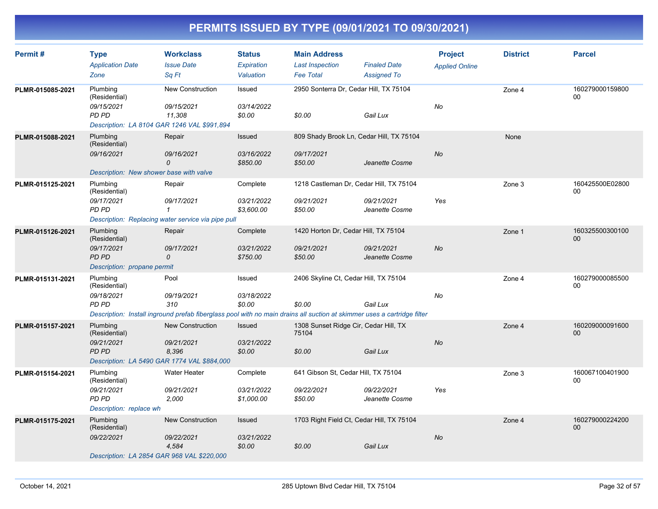| Permit#          | <b>Type</b><br><b>Application Date</b>                             | <b>Workclass</b><br><b>Issue Date</b>                                                                                   | <b>Status</b><br>Expiration | <b>Main Address</b><br><b>Last Inspection</b>  | <b>Finaled Date</b>          | <b>Project</b><br><b>Applied Online</b> | <b>District</b> | <b>Parcel</b>         |
|------------------|--------------------------------------------------------------------|-------------------------------------------------------------------------------------------------------------------------|-----------------------------|------------------------------------------------|------------------------------|-----------------------------------------|-----------------|-----------------------|
|                  | Zone                                                               | Sq Ft                                                                                                                   | Valuation                   | <b>Fee Total</b>                               | <b>Assigned To</b>           |                                         |                 |                       |
| PLMR-015085-2021 | Plumbing<br>(Residential)                                          | New Construction                                                                                                        | Issued                      | 2950 Sonterra Dr, Cedar Hill, TX 75104         |                              |                                         | Zone 4          | 160279000159800<br>00 |
|                  | 09/15/2021<br>PD PD<br>Description: LA 8104 GAR 1246 VAL \$991,894 | 09/15/2021<br>11,308                                                                                                    | 03/14/2022<br>\$0.00        | \$0.00                                         | Gail Lux                     | No                                      |                 |                       |
| PLMR-015088-2021 | Plumbing<br>(Residential)                                          | Repair                                                                                                                  | <b>Issued</b>               | 809 Shady Brook Ln, Cedar Hill, TX 75104       |                              |                                         | None            |                       |
|                  | 09/16/2021                                                         | 09/16/2021<br>0                                                                                                         | 03/16/2022<br>\$850.00      | 09/17/2021<br>\$50.00                          | Jeanette Cosme               | <b>No</b>                               |                 |                       |
|                  | Description: New shower base with valve                            |                                                                                                                         |                             |                                                |                              |                                         |                 |                       |
| PLMR-015125-2021 | Plumbing<br>(Residential)                                          | Repair                                                                                                                  | Complete                    | 1218 Castleman Dr, Cedar Hill, TX 75104        |                              |                                         | Zone 3          | 160425500E02800<br>00 |
|                  | 09/17/2021<br>PD PD                                                | 09/17/2021<br>1<br>Description: Replacing water service via pipe pull                                                   | 03/21/2022<br>\$3,600.00    | 09/21/2021<br>\$50.00                          | 09/21/2021<br>Jeanette Cosme | Yes                                     |                 |                       |
| PLMR-015126-2021 | Plumbing<br>(Residential)                                          | Repair                                                                                                                  | Complete                    | 1420 Horton Dr, Cedar Hill, TX 75104           |                              |                                         | Zone 1          | 160325500300100<br>00 |
|                  | 09/17/2021<br>PD PD                                                | 09/17/2021<br>0                                                                                                         | 03/21/2022<br>\$750.00      | 09/21/2021<br>\$50.00                          | 09/21/2021<br>Jeanette Cosme | <b>No</b>                               |                 |                       |
|                  | Description: propane permit                                        |                                                                                                                         |                             |                                                |                              |                                         |                 |                       |
| PLMR-015131-2021 | Plumbing<br>(Residential)                                          | Pool                                                                                                                    | Issued                      | 2406 Skyline Ct, Cedar Hill, TX 75104          |                              |                                         | Zone 4          | 160279000085500<br>00 |
|                  | 09/18/2021<br>PD PD                                                | 09/19/2021<br>310                                                                                                       | 03/18/2022<br>\$0.00        | \$0.00                                         | Gail Lux                     | No                                      |                 |                       |
|                  |                                                                    | Description: Install inground prefab fiberglass pool with no main drains all suction at skimmer uses a cartridge filter |                             |                                                |                              |                                         |                 |                       |
| PLMR-015157-2021 | Plumbing<br>(Residential)                                          | New Construction                                                                                                        | Issued                      | 1308 Sunset Ridge Cir, Cedar Hill, TX<br>75104 |                              |                                         | Zone 4          | 160209000091600<br>00 |
|                  | 09/21/2021<br>PD PD<br>Description: LA 5490 GAR 1774 VAL \$884,000 | 09/21/2021<br>8,396                                                                                                     | 03/21/2022<br>\$0.00        | \$0.00                                         | Gail Lux                     | <b>No</b>                               |                 |                       |
| PLMR-015154-2021 | Plumbing<br>(Residential)                                          | Water Heater                                                                                                            | Complete                    | 641 Gibson St, Cedar Hill, TX 75104            |                              |                                         | Zone 3          | 160067100401900<br>00 |
|                  | 09/21/2021<br>PD PD                                                | 09/21/2021<br>2,000                                                                                                     | 03/21/2022<br>\$1,000.00    | 09/22/2021<br>\$50.00                          | 09/22/2021<br>Jeanette Cosme | Yes                                     |                 |                       |
|                  | Description: replace wh                                            |                                                                                                                         |                             |                                                |                              |                                         |                 |                       |
| PLMR-015175-2021 | Plumbing<br>(Residential)                                          | New Construction                                                                                                        | <b>Issued</b>               | 1703 Right Field Ct, Cedar Hill, TX 75104      |                              |                                         | Zone 4          | 160279000224200<br>00 |
|                  | 09/22/2021<br>Description: LA 2854 GAR 968 VAL \$220,000           | 09/22/2021<br>4,584                                                                                                     | 03/21/2022<br>\$0.00        | \$0.00                                         | Gail Lux                     | No                                      |                 |                       |
|                  |                                                                    |                                                                                                                         |                             |                                                |                              |                                         |                 |                       |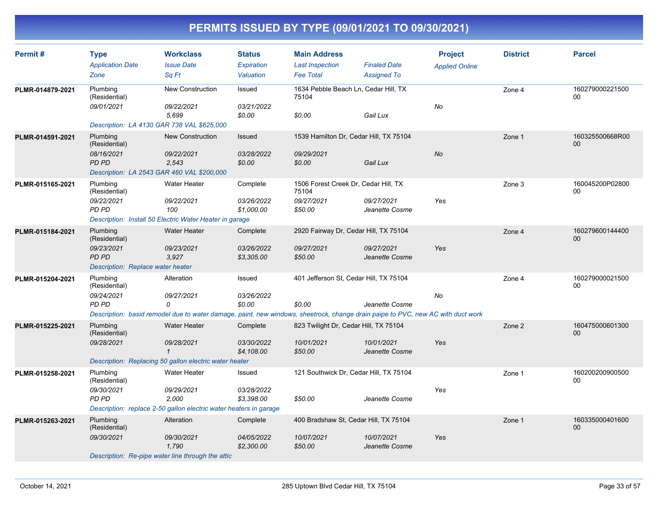| Permit#          | <b>Type</b><br><b>Application Date</b>                            | <b>Workclass</b><br><b>Issue Date</b>                                                                                           | <b>Status</b><br>Expiration | <b>Main Address</b><br><b>Last Inspection</b> | <b>Finaled Date</b>          | <b>Project</b><br><b>Applied Online</b> | <b>District</b> | <b>Parcel</b>             |
|------------------|-------------------------------------------------------------------|---------------------------------------------------------------------------------------------------------------------------------|-----------------------------|-----------------------------------------------|------------------------------|-----------------------------------------|-----------------|---------------------------|
|                  | Zone                                                              | Sa Ft                                                                                                                           | Valuation                   | <b>Fee Total</b>                              | <b>Assigned To</b>           |                                         |                 |                           |
| PLMR-014879-2021 | Plumbing<br>(Residential)                                         | New Construction                                                                                                                | Issued                      | 1634 Pebble Beach Ln, Cedar Hill, TX<br>75104 |                              |                                         | Zone 4          | 160279000221500<br>00     |
|                  | 09/01/2021                                                        | 09/22/2021<br>5.699                                                                                                             | 03/21/2022<br>\$0.00        | \$0.00                                        | Gail Lux                     | No                                      |                 |                           |
|                  | Description: LA 4130 GAR 738 VAL \$625,000                        |                                                                                                                                 |                             |                                               |                              |                                         |                 |                           |
| PLMR-014591-2021 | Plumbing<br>(Residential)                                         | New Construction                                                                                                                | <b>Issued</b>               | 1539 Hamilton Dr, Cedar Hill, TX 75104        |                              |                                         | Zone 1          | 160325500668R00<br>00     |
|                  | 08/16/2021<br>PD PD                                               | 09/22/2021<br>2,543                                                                                                             | 03/28/2022<br>\$0.00        | 09/29/2021<br>\$0.00                          | Gail Lux                     | <b>No</b>                               |                 |                           |
|                  | Description: LA 2543 GAR 460 VAL \$200,000                        |                                                                                                                                 |                             |                                               |                              |                                         |                 |                           |
| PLMR-015165-2021 | Plumbing<br>(Residential)                                         | Water Heater                                                                                                                    | Complete                    | 1506 Forest Creek Dr, Cedar Hill, TX<br>75104 |                              |                                         | Zone 3          | 160045200P02800<br>00     |
|                  | 09/22/2021<br>PD PD                                               | 09/22/2021<br>100                                                                                                               | 03/26/2022<br>\$1,000.00    | 09/27/2021<br>\$50.00                         | 09/27/2021<br>Jeanette Cosme | Yes                                     |                 |                           |
|                  |                                                                   | Description: Install 50 Electric Water Heater in garage                                                                         |                             |                                               |                              |                                         |                 |                           |
| PLMR-015184-2021 | Plumbing<br>(Residential)                                         | <b>Water Heater</b>                                                                                                             | Complete                    | 2920 Fairway Dr, Cedar Hill, TX 75104         |                              |                                         | Zone 4          | 160279600144400<br>$00\,$ |
|                  | 09/23/2021<br>PD PD                                               | 09/23/2021<br>3.927                                                                                                             | 03/26/2022<br>\$3,305.00    | 09/27/2021<br>\$50.00                         | 09/27/2021<br>Jeanette Cosme | Yes                                     |                 |                           |
|                  | Description: Replace water heater                                 |                                                                                                                                 |                             |                                               |                              |                                         |                 |                           |
| PLMR-015204-2021 | Plumbing<br>(Residential)                                         | Alteration                                                                                                                      | Issued                      | 401 Jefferson St, Cedar Hill, TX 75104        |                              |                                         | Zone 4          | 160279000021500<br>00     |
|                  | 09/24/2021<br>PD PD                                               | 09/27/2021<br>0                                                                                                                 | 03/26/2022<br>\$0.00        | \$0.00                                        | Jeanette Cosme               | No                                      |                 |                           |
|                  |                                                                   | Description: basid remodel due to water damage, paint, new windows, sheetrock, change drain paipe to PVC, new AC with duct work |                             |                                               |                              |                                         |                 |                           |
| PLMR-015225-2021 | Plumbing<br>(Residential)                                         | Water Heater                                                                                                                    | Complete                    | 823 Twilight Dr, Cedar Hill, TX 75104         |                              |                                         | Zone 2          | 160475000601300<br>00     |
|                  | 09/28/2021                                                        | 09/28/2021<br>$\mathbf{1}$                                                                                                      | 03/30/2022<br>\$4,108.00    | 10/01/2021<br>\$50.00                         | 10/01/2021<br>Jeanette Cosme | Yes                                     |                 |                           |
|                  |                                                                   | Description: Replacing 50 gallon electric water heater                                                                          |                             |                                               |                              |                                         |                 |                           |
| PLMR-015258-2021 | Plumbing<br>(Residential)                                         | Water Heater                                                                                                                    | Issued                      | 121 Southwick Dr, Cedar Hill, TX 75104        |                              |                                         | Zone 1          | 160200200900500<br>00     |
|                  | 09/30/2021<br>PD PD                                               | 09/29/2021<br>2,000                                                                                                             | 03/28/2022<br>\$3,398.00    | \$50.00                                       | Jeanette Cosme               | Yes                                     |                 |                           |
|                  | Description: replace 2-50 gallon electric water heaters in garage |                                                                                                                                 |                             |                                               |                              |                                         |                 |                           |
| PLMR-015263-2021 | Plumbing<br>(Residential)                                         | Alteration                                                                                                                      | Complete                    | 400 Bradshaw St, Cedar Hill, TX 75104         |                              |                                         | Zone 1          | 160335000401600<br>$00\,$ |
|                  | 09/30/2021                                                        | 09/30/2021<br>1,790                                                                                                             | 04/05/2022<br>\$2,300.00    | 10/07/2021<br>\$50.00                         | 10/07/2021<br>Jeanette Cosme | Yes                                     |                 |                           |
|                  |                                                                   | Description: Re-pipe water line through the attic                                                                               |                             |                                               |                              |                                         |                 |                           |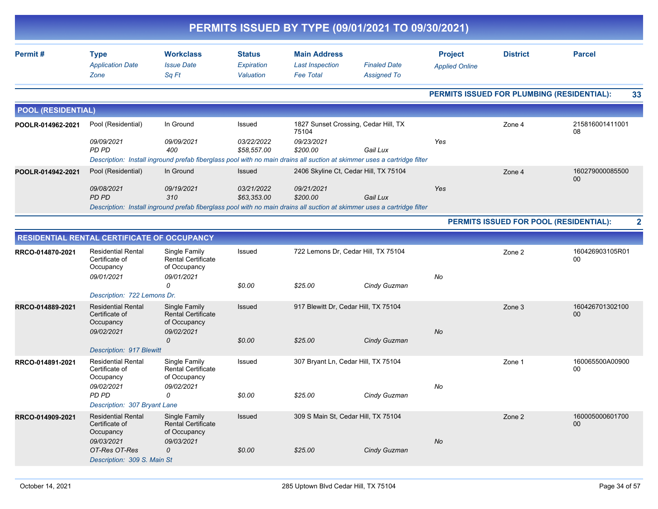| PERMITS ISSUED BY TYPE (09/01/2021 TO 09/30/2021) |                                                                                                         |                                                                                                                                              |                                          |                                                                   |                                           |                                         |                 |                                                  |  |  |
|---------------------------------------------------|---------------------------------------------------------------------------------------------------------|----------------------------------------------------------------------------------------------------------------------------------------------|------------------------------------------|-------------------------------------------------------------------|-------------------------------------------|-----------------------------------------|-----------------|--------------------------------------------------|--|--|
| Permit#                                           | <b>Type</b><br><b>Application Date</b><br>Zone                                                          | <b>Workclass</b><br><b>Issue Date</b><br>Sq Ft                                                                                               | <b>Status</b><br>Expiration<br>Valuation | <b>Main Address</b><br><b>Last Inspection</b><br><b>Fee Total</b> | <b>Finaled Date</b><br><b>Assigned To</b> | <b>Project</b><br><b>Applied Online</b> | <b>District</b> | <b>Parcel</b>                                    |  |  |
|                                                   |                                                                                                         |                                                                                                                                              |                                          |                                                                   |                                           |                                         |                 | PERMITS ISSUED FOR PLUMBING (RESIDENTIAL):<br>33 |  |  |
| <b>POOL (RESIDENTIAL)</b>                         |                                                                                                         |                                                                                                                                              |                                          |                                                                   |                                           |                                         |                 |                                                  |  |  |
| POOLR-014962-2021                                 | Pool (Residential)                                                                                      | In Ground                                                                                                                                    | Issued                                   | 1827 Sunset Crossing, Cedar Hill, TX<br>75104                     |                                           |                                         | Zone 4          | 215816001411001<br>08                            |  |  |
|                                                   | 09/09/2021<br>PD PD                                                                                     | 09/09/2021<br>400<br>Description: Install inground prefab fiberglass pool with no main drains all suction at skimmer uses a cartridge filter | 03/22/2022<br>\$58,557.00                | 09/23/2021<br>\$200.00                                            | Gail Lux                                  | Yes                                     |                 |                                                  |  |  |
| POOLR-014942-2021                                 | Pool (Residential)                                                                                      | In Ground                                                                                                                                    | <b>Issued</b>                            | 2406 Skyline Ct, Cedar Hill, TX 75104                             |                                           |                                         | Zone 4          | 160279000085500<br>00                            |  |  |
|                                                   | 09/08/2021<br>PD PD                                                                                     | 09/19/2021<br>310                                                                                                                            | 03/21/2022<br>\$63,353.00                | 09/21/2021<br>\$200.00                                            | Gail Lux                                  | Yes                                     |                 |                                                  |  |  |
|                                                   |                                                                                                         | Description: Install inground prefab fiberglass pool with no main drains all suction at skimmer uses a cartridge filter                      |                                          |                                                                   |                                           |                                         |                 | PERMITS ISSUED FOR POOL (RESIDENTIAL):           |  |  |
|                                                   |                                                                                                         |                                                                                                                                              |                                          |                                                                   |                                           |                                         |                 | $\overline{\mathbf{2}}$                          |  |  |
| RRCO-014870-2021                                  | RESIDENTIAL RENTAL CERTIFICATE OF OCCUPANCY<br><b>Residential Rental</b><br>Certificate of<br>Occupancy | Single Family<br><b>Rental Certificate</b><br>of Occupancy                                                                                   | Issued                                   | 722 Lemons Dr. Cedar Hill, TX 75104                               |                                           |                                         | Zone 2          | 160426903105R01<br>00                            |  |  |
|                                                   | 09/01/2021<br>Description: 722 Lemons Dr.                                                               | 09/01/2021<br>$\Omega$                                                                                                                       | \$0.00                                   | \$25.00                                                           | Cindy Guzman                              | No                                      |                 |                                                  |  |  |
| RRCO-014889-2021                                  | <b>Residential Rental</b><br>Certificate of<br>Occupancy                                                | Single Family<br><b>Rental Certificate</b><br>of Occupancy                                                                                   | Issued                                   | 917 Blewitt Dr, Cedar Hill, TX 75104                              |                                           |                                         | Zone 3          | 160426701302100<br>00                            |  |  |
|                                                   | 09/02/2021<br><b>Description: 917 Blewitt</b>                                                           | 09/02/2021<br>0                                                                                                                              | \$0.00                                   | \$25.00                                                           | Cindy Guzman                              | No                                      |                 |                                                  |  |  |
| RRCO-014891-2021                                  | <b>Residential Rental</b><br>Certificate of<br>Occupancy<br>09/02/2021                                  | Single Family<br><b>Rental Certificate</b><br>of Occupancy<br>09/02/2021                                                                     | Issued                                   | 307 Bryant Ln, Cedar Hill, TX 75104                               |                                           | No                                      | Zone 1          | 160065500A00900<br>00                            |  |  |
|                                                   | PD PD<br>Description: 307 Bryant Lane                                                                   | $\Omega$                                                                                                                                     | \$0.00                                   | \$25.00                                                           | Cindy Guzman                              |                                         |                 |                                                  |  |  |
| RRCO-014909-2021                                  | <b>Residential Rental</b><br>Certificate of<br>Occupancy<br>09/03/2021                                  | Single Family<br><b>Rental Certificate</b><br>of Occupancy<br>09/03/2021                                                                     | Issued                                   | 309 S Main St, Cedar Hill, TX 75104                               |                                           | $N\sigma$                               | Zone 2          | 160005000601700<br>00 <sub>0</sub>               |  |  |
|                                                   | OT-Res OT-Res<br>Description: 309 S. Main St                                                            | 0                                                                                                                                            | \$0.00                                   | \$25.00                                                           | Cindy Guzman                              |                                         |                 |                                                  |  |  |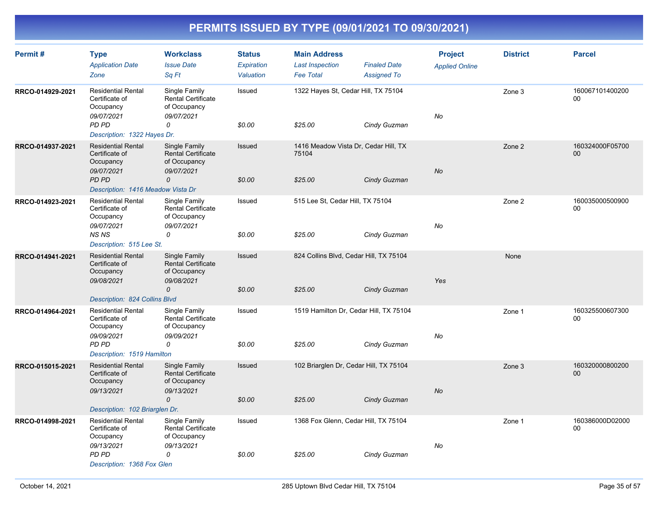| Permit#          | <b>Type</b><br><b>Application Date</b><br>Zone                         | <b>Workclass</b><br><b>Issue Date</b><br>Sq Ft                           | <b>Status</b><br><b>Expiration</b><br>Valuation | <b>Main Address</b><br><b>Last Inspection</b><br><b>Fee Total</b> | <b>Finaled Date</b><br><b>Assigned To</b> | <b>Project</b><br><b>Applied Online</b> | <b>District</b> | <b>Parcel</b>         |
|------------------|------------------------------------------------------------------------|--------------------------------------------------------------------------|-------------------------------------------------|-------------------------------------------------------------------|-------------------------------------------|-----------------------------------------|-----------------|-----------------------|
| RRCO-014929-2021 | <b>Residential Rental</b><br>Certificate of<br>Occupancy<br>09/07/2021 | Single Family<br><b>Rental Certificate</b><br>of Occupancy<br>09/07/2021 | Issued                                          | 1322 Hayes St, Cedar Hill, TX 75104                               |                                           | No                                      | Zone 3          | 160067101400200<br>00 |
|                  | PD PD<br>Description: 1322 Hayes Dr.                                   | 0                                                                        | \$0.00                                          | \$25.00                                                           | Cindy Guzman                              |                                         |                 |                       |
| RRCO-014937-2021 | <b>Residential Rental</b><br>Certificate of<br>Occupancy<br>09/07/2021 | Single Family<br><b>Rental Certificate</b><br>of Occupancy<br>09/07/2021 | Issued                                          | 1416 Meadow Vista Dr, Cedar Hill, TX<br>75104                     |                                           | <b>No</b>                               | Zone 2          | 160324000F05700<br>00 |
|                  | PD PD<br>Description: 1416 Meadow Vista Dr                             | 0                                                                        | \$0.00                                          | \$25.00                                                           | Cindy Guzman                              |                                         |                 |                       |
| RRCO-014923-2021 | <b>Residential Rental</b><br>Certificate of<br>Occupancy<br>09/07/2021 | Single Family<br><b>Rental Certificate</b><br>of Occupancy<br>09/07/2021 | Issued                                          | 515 Lee St, Cedar Hill, TX 75104                                  |                                           | No                                      | Zone 2          | 160035000500900<br>00 |
|                  | <b>NSNS</b><br>Description: 515 Lee St.                                | 0                                                                        | \$0.00                                          | \$25.00                                                           | Cindy Guzman                              |                                         |                 |                       |
| RRCO-014941-2021 | <b>Residential Rental</b><br>Certificate of<br>Occupancy<br>09/08/2021 | Single Family<br><b>Rental Certificate</b><br>of Occupancy<br>09/08/2021 | Issued                                          | 824 Collins Blvd, Cedar Hill, TX 75104                            |                                           | Yes                                     | None            |                       |
|                  | Description: 824 Collins Blvd                                          | $\mathcal{O}$                                                            | \$0.00                                          | \$25.00                                                           | Cindy Guzman                              |                                         |                 |                       |
| RRCO-014964-2021 | <b>Residential Rental</b><br>Certificate of<br>Occupancy               | Single Family<br><b>Rental Certificate</b><br>of Occupancy               | Issued                                          | 1519 Hamilton Dr, Cedar Hill, TX 75104                            |                                           |                                         | Zone 1          | 160325500607300<br>00 |
|                  | 09/09/2021<br>PD PD<br>Description: 1519 Hamilton                      | 09/09/2021<br>0                                                          | \$0.00                                          | \$25.00                                                           | Cindy Guzman                              | No                                      |                 |                       |
| RRCO-015015-2021 | <b>Residential Rental</b><br>Certificate of<br>Occupancy               | Single Family<br><b>Rental Certificate</b><br>of Occupancy               | Issued                                          | 102 Briarglen Dr, Cedar Hill, TX 75104                            |                                           |                                         | Zone 3          | 160320000800200<br>00 |
|                  | 09/13/2021<br>Description: 102 Briarglen Dr.                           | 09/13/2021<br>$\Omega$                                                   | \$0.00                                          | \$25.00                                                           | Cindy Guzman                              | <b>No</b>                               |                 |                       |
| RRCO-014998-2021 | <b>Residential Rental</b>                                              | Single Family                                                            | Issued                                          | 1368 Fox Glenn, Cedar Hill, TX 75104                              |                                           |                                         | Zone 1          | 160386000D02000       |
|                  | Certificate of<br>Occupancy<br>09/13/2021                              | Rental Certificate<br>of Occupancy<br>09/13/2021                         |                                                 |                                                                   |                                           | No                                      |                 | 00                    |
|                  | PD PD<br>Description: 1368 Fox Glen                                    | 0                                                                        | \$0.00                                          | \$25.00                                                           | Cindy Guzman                              |                                         |                 |                       |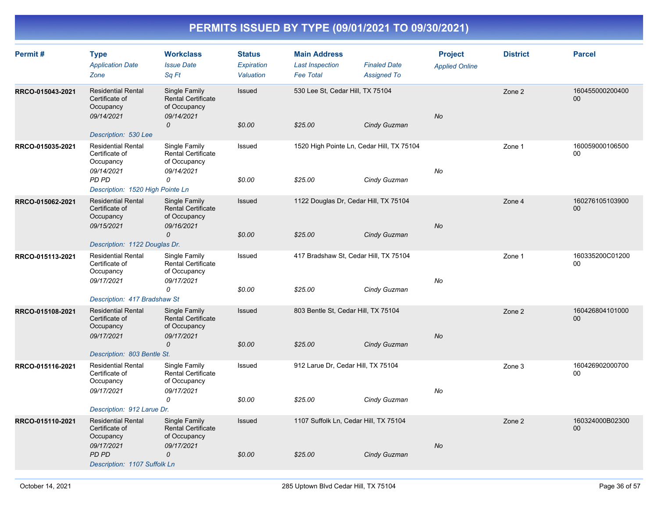| Permit#          | <b>Type</b><br><b>Application Date</b><br>Zone                                                                                                       | <b>Workclass</b><br><b>Issue Date</b><br>Sq Ft                                            | <b>Status</b><br>Expiration<br>Valuation | <b>Main Address</b><br><b>Last Inspection</b><br><b>Fee Total</b> | <b>Finaled Date</b><br><b>Assigned To</b> | <b>Project</b><br><b>Applied Online</b> | <b>District</b> | <b>Parcel</b>         |
|------------------|------------------------------------------------------------------------------------------------------------------------------------------------------|-------------------------------------------------------------------------------------------|------------------------------------------|-------------------------------------------------------------------|-------------------------------------------|-----------------------------------------|-----------------|-----------------------|
| RRCO-015043-2021 | <b>Residential Rental</b><br>Certificate of<br>Occupancy<br>09/14/2021<br>Description: 530 Lee                                                       | Single Family<br><b>Rental Certificate</b><br>of Occupancy<br>09/14/2021<br>0             | Issued<br>\$0.00                         | 530 Lee St, Cedar Hill, TX 75104<br>\$25.00                       | Cindy Guzman                              | No                                      | Zone 2          | 160455000200400<br>00 |
| RRCO-015035-2021 | <b>Residential Rental</b><br>Certificate of<br>Occupancy<br>09/14/2021<br>PD PD<br>Description: 1520 High Pointe Ln                                  | Single Family<br><b>Rental Certificate</b><br>of Occupancy<br>09/14/2021<br>0             | Issued<br>\$0.00                         | 1520 High Pointe Ln, Cedar Hill, TX 75104<br>\$25.00              | Cindy Guzman                              | No                                      | Zone 1          | 160059000106500<br>00 |
| RRCO-015062-2021 | <b>Residential Rental</b><br>Certificate of<br>Occupancy<br>09/15/2021<br>Description: 1122 Douglas Dr.                                              | Single Family<br><b>Rental Certificate</b><br>of Occupancy<br>09/16/2021<br>0             | Issued<br>\$0.00                         | 1122 Douglas Dr, Cedar Hill, TX 75104<br>\$25.00                  | Cindy Guzman                              | <b>No</b>                               | Zone 4          | 160276105103900<br>00 |
| RRCO-015113-2021 | <b>Residential Rental</b><br>Certificate of<br>Occupancy<br>09/17/2021<br>Description: 417 Bradshaw St                                               | Single Family<br><b>Rental Certificate</b><br>of Occupancy<br>09/17/2021<br>0             | Issued<br>\$0.00                         | 417 Bradshaw St, Cedar Hill, TX 75104<br>\$25.00                  | Cindy Guzman                              | No                                      | Zone 1          | 160335200C01200<br>00 |
| RRCO-015108-2021 | <b>Residential Rental</b><br>Certificate of<br>Occupancy<br>09/17/2021<br>Description: 803 Bentle St.                                                | Single Family<br><b>Rental Certificate</b><br>of Occupancy<br>09/17/2021<br>$\mathcal{O}$ | Issued<br>\$0.00                         | 803 Bentle St, Cedar Hill, TX 75104<br>\$25.00                    | Cindy Guzman                              | <b>No</b>                               | Zone 2          | 160426804101000<br>00 |
| RRCO-015116-2021 | <b>Residential Rental</b><br>Certificate of<br>Occupancy<br>09/17/2021                                                                               | Single Family<br><b>Rental Certificate</b><br>of Occupancy<br>09/17/2021<br>0             | Issued<br>\$0.00                         | 912 Larue Dr, Cedar Hill, TX 75104<br>\$25.00                     | Cindy Guzman                              | No                                      | Zone 3          | 160426902000700<br>00 |
| RRCO-015110-2021 | Description: 912 Larue Dr.<br><b>Residential Rental</b><br>Certificate of<br>Occupancy<br>09/17/2021<br><b>PD PD</b><br>Description: 1107 Suffolk Ln | Single Family<br><b>Rental Certificate</b><br>of Occupancy<br>09/17/2021<br>$\mathcal{O}$ | Issued<br>\$0.00                         | 1107 Suffolk Ln, Cedar Hill, TX 75104<br>\$25.00                  | Cindy Guzman                              | No                                      | Zone 2          | 160324000B02300<br>00 |
|                  |                                                                                                                                                      |                                                                                           |                                          |                                                                   |                                           |                                         |                 |                       |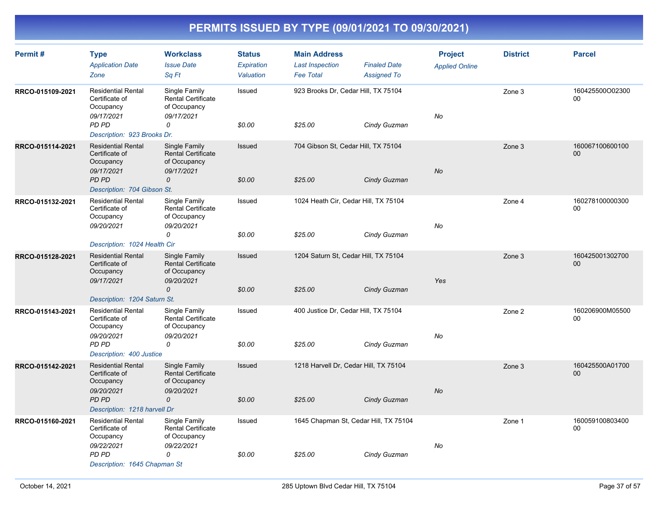| Permit#          | <b>Type</b><br><b>Application Date</b><br>Zone                                  | <b>Workclass</b><br><b>Issue Date</b><br>Sq Ft                           | <b>Status</b><br>Expiration<br>Valuation | <b>Main Address</b><br><b>Last Inspection</b><br><b>Fee Total</b> | <b>Finaled Date</b><br><b>Assigned To</b> | <b>Project</b><br><b>Applied Online</b> | <b>District</b> | <b>Parcel</b>         |
|------------------|---------------------------------------------------------------------------------|--------------------------------------------------------------------------|------------------------------------------|-------------------------------------------------------------------|-------------------------------------------|-----------------------------------------|-----------------|-----------------------|
| RRCO-015109-2021 | <b>Residential Rental</b><br>Certificate of<br>Occupancy<br>09/17/2021<br>PD PD | Single Family<br><b>Rental Certificate</b><br>of Occupancy<br>09/17/2021 | Issued                                   | 923 Brooks Dr, Cedar Hill, TX 75104                               |                                           | No                                      | Zone 3          | 160425500O02300<br>00 |
|                  | Description: 923 Brooks Dr.                                                     | 0                                                                        | \$0.00                                   | \$25.00                                                           | Cindy Guzman                              |                                         |                 |                       |
| RRCO-015114-2021 | <b>Residential Rental</b><br>Certificate of<br>Occupancy<br>09/17/2021          | Single Family<br><b>Rental Certificate</b><br>of Occupancy<br>09/17/2021 | <b>Issued</b>                            | 704 Gibson St, Cedar Hill, TX 75104                               |                                           | No                                      | Zone 3          | 160067100600100<br>00 |
|                  | PD PD<br>Description: 704 Gibson St.                                            | 0                                                                        | \$0.00                                   | \$25.00                                                           | Cindy Guzman                              |                                         |                 |                       |
| RRCO-015132-2021 | <b>Residential Rental</b><br>Certificate of<br>Occupancy<br>09/20/2021          | Single Family<br><b>Rental Certificate</b><br>of Occupancy<br>09/20/2021 | Issued                                   | 1024 Heath Cir, Cedar Hill, TX 75104                              |                                           | No                                      | Zone 4          | 160278100000300<br>00 |
|                  |                                                                                 | 0                                                                        | \$0.00                                   | \$25.00                                                           | Cindy Guzman                              |                                         |                 |                       |
| RRCO-015128-2021 | Description: 1024 Health Cir<br><b>Residential Rental</b>                       | Single Family                                                            | Issued                                   | 1204 Saturn St, Cedar Hill, TX 75104                              |                                           |                                         | Zone 3          | 160425001302700       |
|                  | Certificate of<br>Occupancy<br>09/17/2021                                       | <b>Rental Certificate</b><br>of Occupancy<br>09/20/2021                  |                                          |                                                                   |                                           | Yes                                     |                 | 00                    |
|                  | Description: 1204 Saturn St.                                                    | $\mathcal{O}$                                                            | \$0.00                                   | \$25.00                                                           | Cindy Guzman                              |                                         |                 |                       |
| RRCO-015143-2021 | <b>Residential Rental</b><br>Certificate of<br>Occupancy                        | Single Family<br><b>Rental Certificate</b><br>of Occupancy               | Issued                                   | 400 Justice Dr, Cedar Hill, TX 75104                              |                                           |                                         | Zone 2          | 160206900M05500<br>00 |
|                  | 09/20/2021<br>PD PD<br>Description: 400 Justice                                 | 09/20/2021<br>0                                                          | \$0.00                                   | \$25.00                                                           | Cindy Guzman                              | No                                      |                 |                       |
| RRCO-015142-2021 | <b>Residential Rental</b><br>Certificate of<br>Occupancy                        | Single Family<br><b>Rental Certificate</b><br>of Occupancy               | Issued                                   | 1218 Harvell Dr, Cedar Hill, TX 75104                             |                                           |                                         | Zone 3          | 160425500A01700<br>00 |
|                  | 09/20/2021<br>PD PD<br>Description: 1218 harvell Dr                             | 09/20/2021<br>$\mathcal{O}$                                              | \$0.00                                   | \$25.00                                                           | Cindy Guzman                              | <b>No</b>                               |                 |                       |
| RRCO-015160-2021 | <b>Residential Rental</b><br>Certificate of<br>Occupancy                        | Single Family<br><b>Rental Certificate</b><br>of Occupancy               | Issued                                   | 1645 Chapman St, Cedar Hill, TX 75104                             |                                           |                                         | Zone 1          | 160059100803400<br>00 |
|                  | 09/22/2021<br>PD PD<br>Description: 1645 Chapman St                             | 09/22/2021<br>0                                                          | \$0.00                                   | \$25.00                                                           | Cindy Guzman                              | No                                      |                 |                       |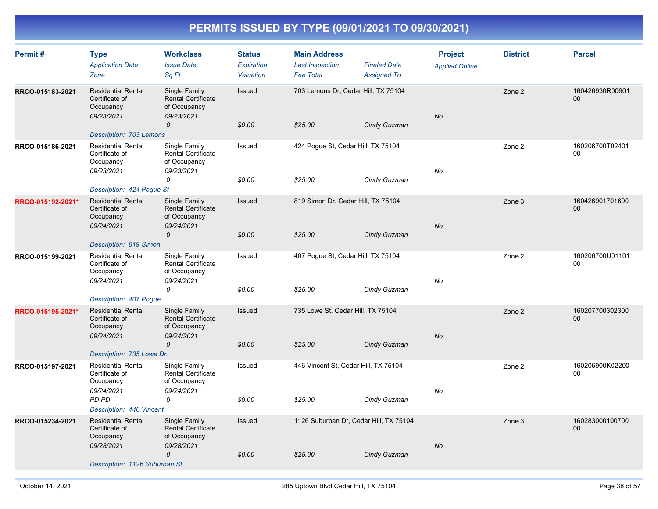| Permit#           | <b>Type</b><br><b>Application Date</b><br>Zone                                                                     | <b>Workclass</b><br><b>Issue Date</b><br>Sq Ft                                       | <b>Status</b><br>Expiration<br>Valuation | <b>Main Address</b><br><b>Last Inspection</b><br><b>Fee Total</b> | <b>Finaled Date</b><br><b>Assigned To</b> | <b>Project</b><br><b>Applied Online</b> | <b>District</b> | <b>Parcel</b>             |
|-------------------|--------------------------------------------------------------------------------------------------------------------|--------------------------------------------------------------------------------------|------------------------------------------|-------------------------------------------------------------------|-------------------------------------------|-----------------------------------------|-----------------|---------------------------|
| RRCO-015183-2021  | <b>Residential Rental</b><br>Certificate of<br>Occupancy<br>09/23/2021<br>Description: 703 Lemons                  | Single Family<br><b>Rental Certificate</b><br>of Occupancy<br>09/23/2021<br>0        | Issued<br>\$0.00                         | 703 Lemons Dr, Cedar Hill, TX 75104<br>\$25.00                    | Cindy Guzman                              | No                                      | Zone 2          | 160426930R00901<br>00     |
| RRCO-015186-2021  | <b>Residential Rental</b><br>Certificate of<br>Occupancy<br>09/23/2021<br>Description: 424 Pogue St                | Single Family<br><b>Rental Certificate</b><br>of Occupancy<br>09/23/2021<br>0        | Issued<br>\$0.00                         | 424 Pogue St, Cedar Hill, TX 75104<br>\$25.00                     | Cindy Guzman                              | No                                      | Zone 2          | 160206700T02401<br>00     |
| RRCO-015192-2021* | <b>Residential Rental</b><br>Certificate of<br>Occupancy<br>09/24/2021<br>Description: 819 Simon                   | Single Family<br><b>Rental Certificate</b><br>of Occupancy<br>09/24/2021<br>0        | Issued<br>\$0.00                         | 819 Simon Dr, Cedar Hill, TX 75104<br>\$25.00                     | Cindy Guzman                              | <b>No</b>                               | Zone 3          | 160426901701600<br>$00\,$ |
| RRCO-015199-2021  | <b>Residential Rental</b><br>Certificate of<br>Occupancy<br>09/24/2021<br>Description: 407 Pogue                   | Single Family<br><b>Rental Certificate</b><br>of Occupancy<br>09/24/2021<br>0        | Issued<br>\$0.00                         | 407 Pogue St, Cedar Hill, TX 75104<br>\$25.00                     | Cindy Guzman                              | No                                      | Zone 2          | 160206700U01101<br>$00\,$ |
| RRCO-015195-2021* | <b>Residential Rental</b><br>Certificate of<br>Occupancy<br>09/24/2021<br>Description: 735 Lowe Dr.                | Single Family<br><b>Rental Certificate</b><br>of Occupancy<br>09/24/2021<br>0        | Issued<br>\$0.00                         | 735 Lowe St, Cedar Hill, TX 75104<br>\$25.00                      | Cindy Guzman                              | No                                      | Zone 2          | 160207700302300<br>$00\,$ |
| RRCO-015197-2021  | <b>Residential Rental</b><br>Certificate of<br>Occupancy<br>09/24/2021<br><b>PD PD</b><br>Description: 446 Vincent | Single Family<br><b>Rental Certificate</b><br>of Occupancy<br>09/24/2021<br>0        | Issued<br>\$0.00                         | 446 Vincent St, Cedar Hill, TX 75104<br>\$25.00                   | Cindy Guzman                              | No                                      | Zone 2          | 160206900K02200<br>$00\,$ |
| RRCO-015234-2021  | <b>Residential Rental</b><br>Certificate of<br>Occupancy<br>09/28/2021<br>Description: 1126 Suburban St            | Single Family<br><b>Rental Certificate</b><br>of Occupancy<br>09/28/2021<br>$\Omega$ | Issued<br>\$0.00                         | 1126 Suburban Dr, Cedar Hill, TX 75104<br>\$25.00                 | Cindy Guzman                              | No                                      | Zone 3          | 160283000100700<br>$00\,$ |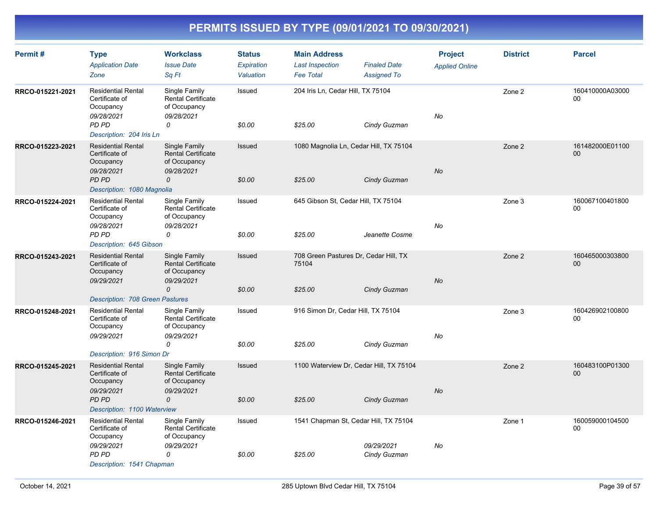| Permit#          | <b>Type</b><br><b>Application Date</b><br>Zone                                  | <b>Workclass</b><br><b>Issue Date</b><br>Sq Ft                                | <b>Status</b><br><b>Expiration</b><br>Valuation | <b>Main Address</b><br><b>Last Inspection</b><br><b>Fee Total</b> | <b>Finaled Date</b><br><b>Assigned To</b> | <b>Project</b><br><b>Applied Online</b> | <b>District</b> | <b>Parcel</b>             |
|------------------|---------------------------------------------------------------------------------|-------------------------------------------------------------------------------|-------------------------------------------------|-------------------------------------------------------------------|-------------------------------------------|-----------------------------------------|-----------------|---------------------------|
| RRCO-015221-2021 | <b>Residential Rental</b><br>Certificate of<br>Occupancy<br>09/28/2021<br>PD PD | Single Family<br><b>Rental Certificate</b><br>of Occupancy<br>09/28/2021<br>0 | Issued<br>\$0.00                                | 204 Iris Ln, Cedar Hill, TX 75104<br>\$25.00                      | Cindy Guzman                              | No                                      | Zone 2          | 160410000A03000<br>00     |
|                  | Description: 204 Iris Ln                                                        |                                                                               |                                                 |                                                                   |                                           |                                         |                 |                           |
| RRCO-015223-2021 | <b>Residential Rental</b><br>Certificate of<br>Occupancy<br>09/28/2021          | Single Family<br><b>Rental Certificate</b><br>of Occupancy<br>09/28/2021      | Issued                                          | 1080 Magnolia Ln, Cedar Hill, TX 75104                            |                                           | <b>No</b>                               | Zone 2          | 161482000E01100<br>00     |
|                  | PD PD<br>Description: 1080 Magnolia                                             | 0                                                                             | \$0.00                                          | \$25.00                                                           | Cindy Guzman                              |                                         |                 |                           |
| RRCO-015224-2021 | <b>Residential Rental</b><br>Certificate of<br>Occupancy<br>09/28/2021          | Single Family<br><b>Rental Certificate</b><br>of Occupancy<br>09/28/2021      | Issued                                          | 645 Gibson St, Cedar Hill, TX 75104                               |                                           | No                                      | Zone 3          | 160067100401800<br>00     |
|                  | PD PD<br>Description: 645 Gibson                                                | 0                                                                             | \$0.00                                          | \$25.00                                                           | Jeanette Cosme                            |                                         |                 |                           |
| RRCO-015243-2021 | <b>Residential Rental</b><br>Certificate of<br>Occupancy<br>09/29/2021          | Single Family<br><b>Rental Certificate</b><br>of Occupancy<br>09/29/2021      | Issued                                          | 708 Green Pastures Dr, Cedar Hill, TX<br>75104                    |                                           | <b>No</b>                               | Zone 2          | 160465000303800<br>$00\,$ |
|                  | <b>Description: 708 Green Pastures</b>                                          | $\mathcal{O}$                                                                 | \$0.00                                          | \$25.00                                                           | Cindy Guzman                              |                                         |                 |                           |
| RRCO-015248-2021 | <b>Residential Rental</b><br>Certificate of<br>Occupancy                        | Single Family<br><b>Rental Certificate</b><br>of Occupancy                    | Issued                                          | 916 Simon Dr, Cedar Hill, TX 75104                                |                                           |                                         | Zone 3          | 160426902100800<br>00     |
|                  | 09/29/2021<br>Description: 916 Simon Dr                                         | 09/29/2021<br>0                                                               | \$0.00                                          | \$25.00                                                           | Cindy Guzman                              | No                                      |                 |                           |
| RRCO-015245-2021 | <b>Residential Rental</b><br>Certificate of<br>Occupancy                        | Single Family<br><b>Rental Certificate</b><br>of Occupancy                    | Issued                                          | 1100 Waterview Dr, Cedar Hill, TX 75104                           |                                           |                                         | Zone 2          | 160483100P01300<br>00     |
|                  | 09/29/2021<br>PD PD<br>Description: 1100 Waterview                              | 09/29/2021<br>$\mathcal{O}$                                                   | \$0.00                                          | \$25.00                                                           | Cindy Guzman                              | <b>No</b>                               |                 |                           |
| RRCO-015246-2021 | <b>Residential Rental</b><br>Certificate of<br>Occupancy                        | Single Family<br>Rental Certificate<br>of Occupancy                           | Issued                                          | 1541 Chapman St, Cedar Hill, TX 75104                             |                                           |                                         | Zone 1          | 160059000104500<br>00     |
|                  | 09/29/2021<br>PD PD<br>Description: 1541 Chapman                                | 09/29/2021<br>0                                                               | \$0.00                                          | \$25.00                                                           | 09/29/2021<br>Cindy Guzman                | No                                      |                 |                           |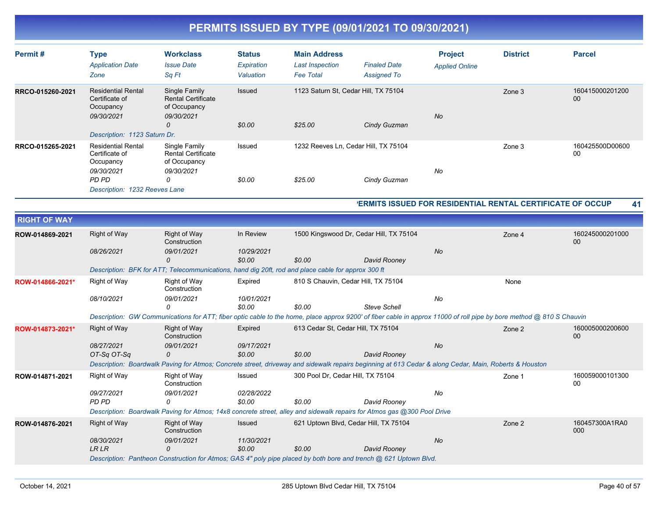| Permit#             | <b>Type</b><br><b>Application Date</b><br>Zone                         | <b>Workclass</b><br><b>Issue Date</b><br>Sq Ft                                                                                                                       | <b>Status</b><br>Expiration<br>Valuation | <b>Main Address</b><br><b>Last Inspection</b><br><b>Fee Total</b> | <b>Finaled Date</b><br><b>Assigned To</b> | <b>Project</b><br><b>Applied Online</b>                    | <b>District</b> | <b>Parcel</b>             |
|---------------------|------------------------------------------------------------------------|----------------------------------------------------------------------------------------------------------------------------------------------------------------------|------------------------------------------|-------------------------------------------------------------------|-------------------------------------------|------------------------------------------------------------|-----------------|---------------------------|
| RRCO-015260-2021    | <b>Residential Rental</b><br>Certificate of<br>Occupancy<br>09/30/2021 | Single Family<br><b>Rental Certificate</b><br>of Occupancy<br>09/30/2021<br>$\Omega$                                                                                 | Issued                                   | 1123 Saturn St, Cedar Hill, TX 75104                              |                                           | <b>No</b>                                                  | Zone 3          | 160415000201200<br>00     |
|                     | Description: 1123 Saturn Dr.                                           |                                                                                                                                                                      | \$0.00                                   | \$25.00                                                           | Cindy Guzman                              |                                                            |                 |                           |
| RRCO-015265-2021    | <b>Residential Rental</b><br>Certificate of<br>Occupancy               | Single Family<br><b>Rental Certificate</b><br>of Occupancy                                                                                                           | Issued                                   |                                                                   | 1232 Reeves Ln, Cedar Hill, TX 75104      |                                                            | Zone 3          | 160425500D00600<br>$00\,$ |
|                     | 09/30/2021<br>PD PD                                                    | 09/30/2021<br>0                                                                                                                                                      | \$0.00                                   | \$25.00                                                           | Cindy Guzman                              | No                                                         |                 |                           |
|                     | Description: 1232 Reeves Lane                                          |                                                                                                                                                                      |                                          |                                                                   |                                           |                                                            |                 |                           |
|                     |                                                                        |                                                                                                                                                                      |                                          |                                                                   |                                           | 'ERMITS ISSUED FOR RESIDENTIAL RENTAL CERTIFICATE OF OCCUP |                 | 41                        |
| <b>RIGHT OF WAY</b> |                                                                        |                                                                                                                                                                      |                                          |                                                                   |                                           |                                                            |                 |                           |
|                     |                                                                        |                                                                                                                                                                      |                                          |                                                                   |                                           |                                                            |                 |                           |
| ROW-014869-2021     | Right of Way                                                           | <b>Right of Way</b><br>Construction                                                                                                                                  | In Review                                |                                                                   | 1500 Kingswood Dr, Cedar Hill, TX 75104   |                                                            | Zone 4          | 160245000201000<br>00     |
|                     | 08/26/2021                                                             | 09/01/2021<br>$\mathcal{O}$                                                                                                                                          | 10/29/2021<br>\$0.00                     | \$0.00                                                            | David Rooney                              | No                                                         |                 |                           |
|                     |                                                                        | Description: BFK for ATT; Telecommunications, hand dig 20ft, rod and place cable for approx 300 ft                                                                   |                                          |                                                                   |                                           |                                                            |                 |                           |
| ROW-014866-2021*    | Right of Way                                                           | Right of Way<br>Construction                                                                                                                                         | Expired                                  | 810 S Chauvin, Cedar Hill, TX 75104                               |                                           |                                                            | None            |                           |
|                     | 08/10/2021                                                             | 09/01/2021<br>$\Omega$                                                                                                                                               | 10/01/2021<br>\$0.00                     | \$0.00                                                            | <b>Steve Schell</b>                       | No                                                         |                 |                           |
|                     |                                                                        | Description: GW Communications for ATT; fiber optic cable to the home, place approx 9200' of fiber cable in approx 11000 of roll pipe by bore method @ 810 S Chauvin |                                          |                                                                   |                                           |                                                            |                 |                           |
| ROW-014873-2021*    | Right of Way                                                           | Right of Way<br>Construction                                                                                                                                         | Expired                                  | 613 Cedar St, Cedar Hill, TX 75104                                |                                           |                                                            | Zone 2          | 160005000200600<br>00     |
|                     | 08/27/2021<br>OT-Sa OT-Sa                                              | 09/01/2021<br>$\mathcal{O}$                                                                                                                                          | 09/17/2021<br>\$0.00                     | \$0.00                                                            | David Rooney                              | No                                                         |                 |                           |
|                     |                                                                        | Description: Boardwalk Paving for Atmos; Concrete street, driveway and sidewalk repairs beginning at 613 Cedar & along Cedar, Main, Roberts & Houston                |                                          |                                                                   |                                           |                                                            |                 |                           |
| ROW-014871-2021     | Right of Way                                                           | Right of Way<br>Construction                                                                                                                                         | Issued                                   | 300 Pool Dr. Cedar Hill, TX 75104                                 |                                           |                                                            | Zone 1          | 160059000101300<br>00     |
|                     | 09/27/2021<br><b>PD PD</b>                                             | 09/01/2021<br>0                                                                                                                                                      | 02/28/2022<br>\$0.00                     | \$0.00                                                            | David Rooney                              | No                                                         |                 |                           |
|                     |                                                                        | Description: Boardwalk Paving for Atmos; 14x8 concrete street, alley and sidewalk repairs for Atmos gas @300 Pool Drive                                              |                                          |                                                                   |                                           |                                                            |                 |                           |
| ROW-014876-2021     | Right of Way                                                           | Right of Way<br>Construction                                                                                                                                         | Issued                                   |                                                                   | 621 Uptown Blvd, Cedar Hill, TX 75104     |                                                            | Zone 2          | 160457300A1RA0<br>000     |
|                     | 08/30/2021<br><b>LR LR</b>                                             | 09/01/2021<br>0                                                                                                                                                      | 11/30/2021<br>\$0.00                     | \$0.00                                                            | David Rooney                              | <b>No</b>                                                  |                 |                           |
|                     |                                                                        | Description: Pantheon Construction for Atmos; GAS 4" poly pipe placed by both bore and trench @ 621 Uptown Blvd.                                                     |                                          |                                                                   |                                           |                                                            |                 |                           |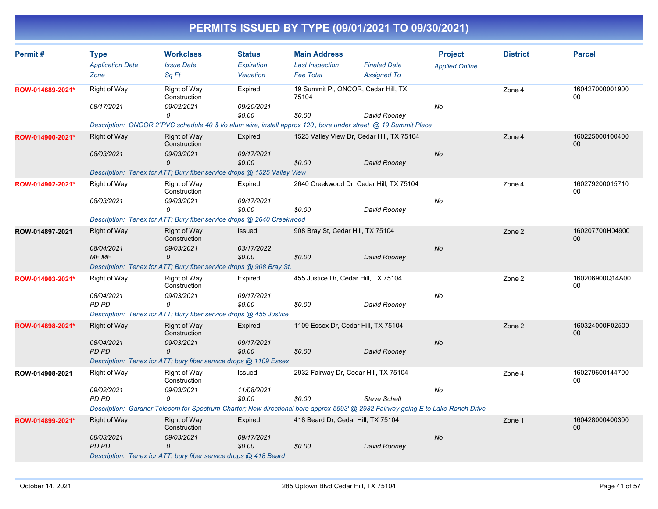| Permit#          | <b>Type</b>             | <b>Workclass</b>                                                        | <b>Status</b> | <b>Main Address</b>                  |                                                                                                                                 | <b>Project</b>        | <b>District</b> | <b>Parcel</b>                     |
|------------------|-------------------------|-------------------------------------------------------------------------|---------------|--------------------------------------|---------------------------------------------------------------------------------------------------------------------------------|-----------------------|-----------------|-----------------------------------|
|                  | <b>Application Date</b> | <b>Issue Date</b>                                                       | Expiration    | <b>Last Inspection</b>               | <b>Finaled Date</b>                                                                                                             | <b>Applied Online</b> |                 |                                   |
|                  | Zone                    | Sa Ft                                                                   | Valuation     | <b>Fee Total</b>                     | <b>Assigned To</b>                                                                                                              |                       |                 |                                   |
| ROW-014689-2021* | Right of Way            | Right of Way<br>Construction                                            | Expired       | 75104                                | 19 Summit PI, ONCOR, Cedar Hill, TX                                                                                             |                       | Zone 4          | 160427000001900<br>00             |
|                  | 08/17/2021              | 09/02/2021                                                              | 09/20/2021    |                                      |                                                                                                                                 | No                    |                 |                                   |
|                  |                         | 0                                                                       | \$0.00        | \$0.00                               | David Rooney                                                                                                                    |                       |                 |                                   |
|                  |                         |                                                                         |               |                                      | Description: ONCOR 2"PVC schedule 40 & I/o alum wire, install approx 120', bore under street @ 19 Summit Place                  |                       |                 |                                   |
| ROW-014900-2021* | Right of Way            | Right of Way<br>Construction                                            | Expired       |                                      | 1525 Valley View Dr, Cedar Hill, TX 75104                                                                                       |                       | Zone 4          | 160225000100400<br>00             |
|                  | 08/03/2021              | 09/03/2021                                                              | 09/17/2021    |                                      |                                                                                                                                 | No                    |                 |                                   |
|                  |                         | 0                                                                       | \$0.00        | \$0.00                               | David Rooney                                                                                                                    |                       |                 |                                   |
|                  |                         | Description: Tenex for ATT; Bury fiber service drops @ 1525 Valley View |               |                                      |                                                                                                                                 |                       |                 |                                   |
| ROW-014902-2021* | <b>Right of Way</b>     | <b>Right of Way</b><br>Construction                                     | Expired       |                                      | 2640 Creekwood Dr, Cedar Hill, TX 75104                                                                                         |                       | Zone 4          | 160279200015710<br>00             |
|                  | 08/03/2021              | 09/03/2021                                                              | 09/17/2021    |                                      |                                                                                                                                 | No                    |                 |                                   |
|                  |                         | 0                                                                       | \$0.00        | \$0.00                               | David Rooney                                                                                                                    |                       |                 |                                   |
|                  |                         | Description: Tenex for ATT; Bury fiber service drops @ 2640 Creekwood   |               |                                      |                                                                                                                                 |                       |                 |                                   |
| ROW-014897-2021  | Right of Way            | <b>Right of Way</b><br>Construction                                     | Issued        | 908 Bray St, Cedar Hill, TX 75104    |                                                                                                                                 |                       | Zone 2          | 160207700H04900<br>00             |
|                  | 08/04/2021              | 09/03/2021                                                              | 03/17/2022    |                                      |                                                                                                                                 | No                    |                 |                                   |
|                  | MF MF                   | 0                                                                       | \$0.00        | \$0.00                               | David Rooney                                                                                                                    |                       |                 |                                   |
|                  |                         | Description: Tenex for ATT; Bury fiber service drops @ 908 Bray St.     |               |                                      |                                                                                                                                 |                       |                 |                                   |
| ROW-014903-2021* | Right of Way            | Right of Way<br>Construction                                            | Expired       | 455 Justice Dr, Cedar Hill, TX 75104 |                                                                                                                                 |                       | Zone 2          | 160206900Q14A00<br>0 <sub>0</sub> |
|                  | 08/04/2021              | 09/03/2021                                                              | 09/17/2021    |                                      |                                                                                                                                 | No                    |                 |                                   |
|                  | PD PD                   | 0                                                                       | \$0.00        | \$0.00                               | David Rooney                                                                                                                    |                       |                 |                                   |
|                  |                         | Description: Tenex for ATT; Bury fiber service drops @ 455 Justice      |               |                                      |                                                                                                                                 |                       |                 |                                   |
| ROW-014898-2021* | <b>Right of Way</b>     | <b>Right of Way</b><br>Construction                                     | Expired       |                                      | 1109 Essex Dr, Cedar Hill, TX 75104                                                                                             |                       | Zone 2          | 160324000F02500<br>00             |
|                  | 08/04/2021              | 09/03/2021                                                              | 09/17/2021    |                                      |                                                                                                                                 | No                    |                 |                                   |
|                  | <b>PD PD</b>            | 0                                                                       | \$0.00        | \$0.00                               | David Rooney                                                                                                                    |                       |                 |                                   |
|                  |                         | Description: Tenex for ATT; bury fiber service drops @ 1109 Essex       |               |                                      |                                                                                                                                 |                       |                 |                                   |
| ROW-014908-2021  | Right of Way            | Right of Way<br>Construction                                            | Issued        |                                      | 2932 Fairway Dr, Cedar Hill, TX 75104                                                                                           |                       | Zone 4          | 160279600144700<br>00             |
|                  | 09/02/2021              | 09/03/2021                                                              | 11/08/2021    |                                      |                                                                                                                                 | No                    |                 |                                   |
|                  | PD PD                   | 0                                                                       | \$0.00        | \$0.00                               | <b>Steve Schell</b>                                                                                                             |                       |                 |                                   |
|                  |                         |                                                                         |               |                                      | Description: Gardner Telecom for Spectrum-Charter; New directional bore approx 5593' @ 2932 Fairway going E to Lake Ranch Drive |                       |                 |                                   |
| ROW-014899-2021* | Right of Way            | <b>Right of Way</b><br>Construction                                     | Expired       | 418 Beard Dr, Cedar Hill, TX 75104   |                                                                                                                                 |                       | Zone 1          | 160428000400300<br>00             |
|                  | 08/03/2021              | 09/03/2021                                                              | 09/17/2021    |                                      |                                                                                                                                 | No                    |                 |                                   |
|                  | PD PD                   | 0                                                                       | \$0.00        | \$0.00                               | David Rooney                                                                                                                    |                       |                 |                                   |
|                  |                         | Description: Tenex for ATT; bury fiber service drops @ 418 Beard        |               |                                      |                                                                                                                                 |                       |                 |                                   |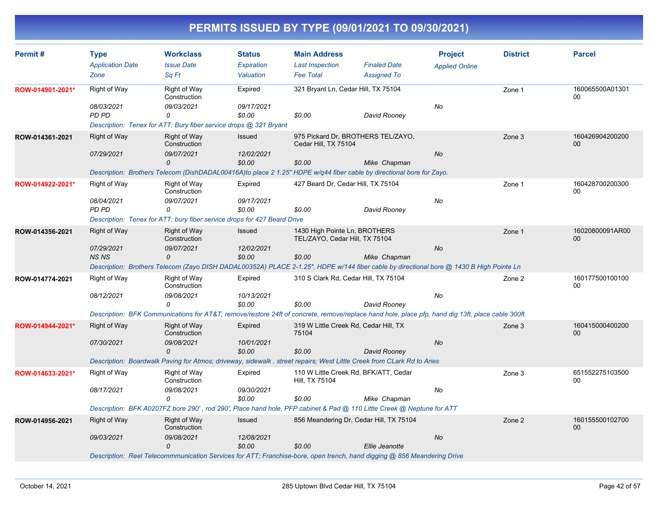| Permit#          | <b>Type</b>                                                              | <b>Workclass</b>                                                                                                                                 | <b>Status</b> | <b>Main Address</b>                                             |                                         | <b>Project</b>        | <b>District</b> | <b>Parcel</b>         |  |  |
|------------------|--------------------------------------------------------------------------|--------------------------------------------------------------------------------------------------------------------------------------------------|---------------|-----------------------------------------------------------------|-----------------------------------------|-----------------------|-----------------|-----------------------|--|--|
|                  | <b>Application Date</b>                                                  | <b>Issue Date</b>                                                                                                                                | Expiration    | <b>Last Inspection</b>                                          | <b>Finaled Date</b>                     | <b>Applied Online</b> |                 |                       |  |  |
|                  | Zone                                                                     | Sq Ft                                                                                                                                            | Valuation     | <b>Fee Total</b>                                                | <b>Assigned To</b>                      |                       |                 |                       |  |  |
| ROW-014901-2021* | Right of Way                                                             | Right of Way<br>Construction                                                                                                                     | Expired       |                                                                 | 321 Bryant Ln, Cedar Hill, TX 75104     |                       | Zone 1          | 160065500A01301<br>00 |  |  |
|                  | 08/03/2021                                                               | 09/03/2021                                                                                                                                       | 09/17/2021    |                                                                 |                                         | No                    |                 |                       |  |  |
|                  | PD PD                                                                    | $\Omega$                                                                                                                                         | \$0.00        | \$0.00                                                          | David Rooney                            |                       |                 |                       |  |  |
|                  |                                                                          | Description: Tenex for ATT; Bury fiber service drops @ 321 Bryant                                                                                |               |                                                                 |                                         |                       |                 |                       |  |  |
| ROW-014361-2021  | <b>Right of Way</b>                                                      | <b>Right of Way</b><br>Construction                                                                                                              | Issued        | Cedar Hill, TX 75104                                            | 975 Pickard Dr, BROTHERS TEL/ZAYO,      |                       | Zone 3          | 160426904200200<br>00 |  |  |
|                  | 07/29/2021                                                               | 09/07/2021                                                                                                                                       | 12/02/2021    |                                                                 |                                         | No                    |                 |                       |  |  |
|                  |                                                                          | 0<br>Description: Brothers Telecom (DishDADAL00416A)to place 2 1.25" HDPE w/q44 fiber cable by directional bore for Zayo.                        | \$0.00        | \$0.00                                                          | Mike Chapman                            |                       |                 |                       |  |  |
|                  |                                                                          |                                                                                                                                                  |               | 427 Beard Dr. Cedar Hill, TX 75104                              |                                         |                       |                 | 160428700200300       |  |  |
| ROW-014922-2021* | <b>Right of Way</b>                                                      | Right of Way<br>Construction                                                                                                                     | Expired       |                                                                 |                                         |                       | Zone 1          | 00                    |  |  |
|                  | 08/04/2021                                                               | 09/07/2021                                                                                                                                       | 09/17/2021    |                                                                 |                                         | No                    |                 |                       |  |  |
|                  | <b>PD PD</b>                                                             | 0                                                                                                                                                | \$0.00        | \$0.00                                                          | David Rooney                            |                       |                 |                       |  |  |
|                  | Description: Tenex for ATT; bury fiber service drops for 427 Beard Drive |                                                                                                                                                  |               |                                                                 |                                         |                       |                 |                       |  |  |
| ROW-014356-2021  | <b>Right of Way</b>                                                      | Right of Way<br>Construction                                                                                                                     | Issued        | 1430 High Pointe Ln, BROTHERS<br>TEL/ZAYO, Cedar Hill, TX 75104 |                                         |                       | Zone 1          | 16020800091AR00<br>00 |  |  |
|                  | 07/29/2021                                                               | 09/07/2021                                                                                                                                       | 12/02/2021    |                                                                 |                                         | No                    |                 |                       |  |  |
|                  | <b>NS NS</b>                                                             | 0                                                                                                                                                | \$0.00        | \$0.00                                                          | Mike Chapman                            |                       |                 |                       |  |  |
|                  |                                                                          | Description: Brothers Telecom (Zayo DISH DADAL00352A) PLACE 2-1.25", HDPE w/144 fiber cable by directional bore @ 1430 B High Pointe Ln          |               |                                                                 |                                         |                       |                 |                       |  |  |
| ROW-014774-2021  | Right of Way                                                             | Right of Way<br>Construction                                                                                                                     | Expired       | 310 S Clark Rd, Cedar Hill, TX 75104                            |                                         |                       | Zone 2          | 160177500100100<br>00 |  |  |
|                  | 08/12/2021                                                               | 09/08/2021                                                                                                                                       | 10/13/2021    |                                                                 |                                         | No                    |                 |                       |  |  |
|                  |                                                                          | 0                                                                                                                                                | \$0.00        | \$0.00                                                          | David Rooney                            |                       |                 |                       |  |  |
|                  |                                                                          | Description: BFK Communications for AT&T remove/restore 24ft of concrete, remove/replace hand hole, place pfp, hand dig 13ft, place cable 300ft. |               |                                                                 |                                         |                       |                 |                       |  |  |
| ROW-014944-2021* | <b>Right of Way</b>                                                      | <b>Right of Way</b><br>Construction                                                                                                              | Expired       | 319 W Little Creek Rd, Cedar Hill, TX<br>75104                  |                                         |                       | Zone 3          | 160415000400200<br>00 |  |  |
|                  | 07/30/2021                                                               | 09/08/2021                                                                                                                                       | 10/01/2021    |                                                                 |                                         | No                    |                 |                       |  |  |
|                  |                                                                          | $\Omega$                                                                                                                                         | \$0.00        | \$0.00                                                          | David Rooney                            |                       |                 |                       |  |  |
|                  |                                                                          | Description: Boardwalk Paving for Atmos; driveway, sidewalk, street repairs; West Little Creek from CLark Rd to Aries                            |               |                                                                 |                                         |                       |                 |                       |  |  |
| ROW-014633-2021* | <b>Right of Way</b>                                                      | <b>Right of Way</b><br>Construction                                                                                                              | Expired       | Hill, TX 75104                                                  | 110 W Little Creek Rd, BFK/ATT, Cedar   |                       | Zone 3          | 651552275103500<br>00 |  |  |
|                  | 08/17/2021                                                               | 09/08/2021                                                                                                                                       | 09/30/2021    |                                                                 |                                         | No                    |                 |                       |  |  |
|                  |                                                                          | 0                                                                                                                                                | \$0.00        | \$0.00                                                          | Mike Chapman                            |                       |                 |                       |  |  |
|                  |                                                                          | Description: BFK A0207FZ bore 290', rod 290', Place hand hole, PFP cabinet & Pad @ 110 Little Creek @ Neptune for ATT                            |               |                                                                 |                                         |                       |                 |                       |  |  |
| ROW-014956-2021  | <b>Right of Way</b>                                                      | Right of Way<br>Construction                                                                                                                     | Issued        |                                                                 | 856 Meandering Dr, Cedar Hill, TX 75104 |                       | Zone 2          | 160155500102700<br>00 |  |  |
|                  | 09/03/2021                                                               | 09/08/2021                                                                                                                                       | 12/08/2021    |                                                                 |                                         | No                    |                 |                       |  |  |
|                  |                                                                          | $\Omega$<br>Description: Reel Telecommmunication Services for ATT; Franchise-bore, open trench, hand digging @ 856 Meandering Drive              | \$0.00        | \$0.00                                                          | Ellie Jeanotte                          |                       |                 |                       |  |  |
|                  |                                                                          |                                                                                                                                                  |               |                                                                 |                                         |                       |                 |                       |  |  |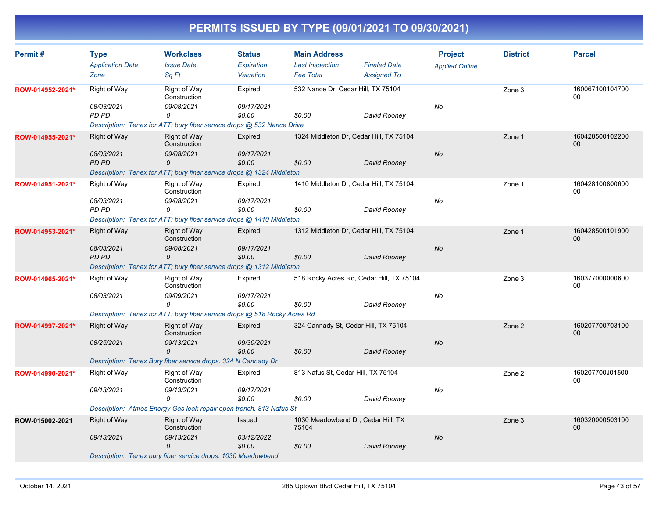| Permit#          | <b>Type</b><br><b>Application Date</b><br>Zone    | <b>Workclass</b><br><b>Issue Date</b><br>Sa Ft                                                                                      | <b>Status</b><br>Expiration<br>Valuation | <b>Main Address</b><br><b>Last Inspection</b><br><b>Fee Total</b> | <b>Finaled Date</b><br><b>Assigned To</b> | <b>Project</b><br><b>Applied Online</b> | <b>District</b> | <b>Parcel</b>             |
|------------------|---------------------------------------------------|-------------------------------------------------------------------------------------------------------------------------------------|------------------------------------------|-------------------------------------------------------------------|-------------------------------------------|-----------------------------------------|-----------------|---------------------------|
| ROW-014952-2021* | Right of Way<br>08/03/2021<br>PD PD               | <b>Right of Way</b><br>Construction<br>09/08/2021<br>0<br>Description: Tenex for ATT; bury fiber service drops @ 532 Nance Drive    | Expired<br>09/17/2021<br>\$0.00          | 532 Nance Dr, Cedar Hill, TX 75104<br>\$0.00                      | David Rooney                              | No                                      | Zone 3          | 160067100104700<br>00     |
| ROW-014955-2021* | <b>Right of Way</b><br>08/03/2021<br>PD PD        | Right of Way<br>Construction<br>09/08/2021<br>0<br>Description: Tenex for ATT; bury finer service drops @ 1324 Middleton            | Expired<br>09/17/2021<br>\$0.00          | 1324 Middleton Dr, Cedar Hill, TX 75104<br>\$0.00                 | David Rooney                              | No                                      | Zone 1          | 160428500102200<br>00     |
| ROW-014951-2021* | Right of Way<br>08/03/2021<br><b>PD PD</b>        | Right of Way<br>Construction<br>09/08/2021<br>0<br>Description: Tenex for ATT; bury fiber service drops @ 1410 Middleton            | Expired<br>09/17/2021<br>\$0.00          | 1410 Middleton Dr, Cedar Hill, TX 75104<br>\$0.00                 | David Rooney                              | No                                      | Zone 1          | 160428100800600<br>00     |
| ROW-014953-2021* | <b>Right of Way</b><br>08/03/2021<br><b>PD PD</b> | <b>Right of Way</b><br>Construction<br>09/08/2021<br>0<br>Description: Tenex for ATT; bury fiber service drops @ 1312 Middleton     | Expired<br>09/17/2021<br>\$0.00          | 1312 Middleton Dr. Cedar Hill, TX 75104<br>\$0.00                 | David Rooney                              | <b>No</b>                               | Zone 1          | 160428500101900<br>00     |
| ROW-014965-2021* | Right of Way<br>08/03/2021                        | Right of Way<br>Construction<br>09/09/2021<br>$\Omega$<br>Description: Tenex for ATT; bury fiber service drops @ 518 Rocky Acres Rd | Expired<br>09/17/2021<br>\$0.00          | 518 Rocky Acres Rd, Cedar Hill, TX 75104<br>\$0.00                | David Rooney                              | No                                      | Zone 3          | 160377000000600<br>00     |
| ROW-014997-2021* | <b>Right of Way</b><br>08/25/2021                 | <b>Right of Way</b><br>Construction<br>09/13/2021<br>0<br>Description: Tenex Bury fiber service drops. 324 N Cannady Dr             | Expired<br>09/30/2021<br>\$0.00          | 324 Cannady St, Cedar Hill, TX 75104<br>\$0.00                    | David Rooney                              | No                                      | Zone 2          | 160207700703100<br>00     |
| ROW-014990-2021* | <b>Right of Way</b><br>09/13/2021                 | Right of Way<br>Construction<br>09/13/2021<br>0<br>Description: Atmos Energy Gas leak repair open trench. 813 Nafus St.             | Expired<br>09/17/2021<br>\$0.00          | 813 Nafus St, Cedar Hill, TX 75104<br>\$0.00                      | David Rooney                              | No                                      | Zone 2          | 160207700J01500<br>00     |
| ROW-015002-2021  | <b>Right of Way</b><br>09/13/2021                 | Right of Way<br>Construction<br>09/13/2021<br>0<br>Description: Tenex bury fiber service drops. 1030 Meadowbend                     | Issued<br>03/12/2022<br>\$0.00           | 1030 Meadowbend Dr, Cedar Hill, TX<br>75104<br>\$0.00             | David Rooney                              | No                                      | Zone 3          | 160320000503100<br>$00\,$ |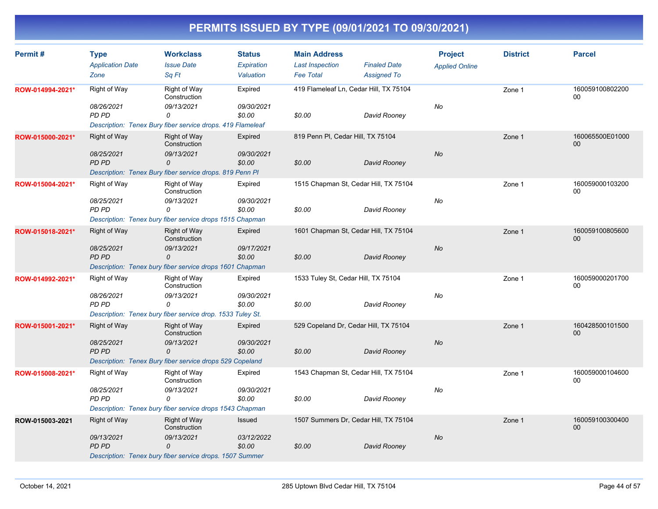| Permit#          | <b>Type</b>             | <b>Workclass</b>                                           | <b>Status</b> | <b>Main Address</b>                 |                                        | <b>Project</b>        | <b>District</b> | <b>Parcel</b>         |
|------------------|-------------------------|------------------------------------------------------------|---------------|-------------------------------------|----------------------------------------|-----------------------|-----------------|-----------------------|
|                  | <b>Application Date</b> | <b>Issue Date</b>                                          | Expiration    | <b>Last Inspection</b>              | <b>Finaled Date</b>                    | <b>Applied Online</b> |                 |                       |
|                  | Zone                    | Sq Ft                                                      | Valuation     | <b>Fee Total</b>                    | <b>Assigned To</b>                     |                       |                 |                       |
| ROW-014994-2021* | Right of Way            | Right of Way<br>Construction                               | Expired       |                                     | 419 Flameleaf Ln, Cedar Hill, TX 75104 |                       | Zone 1          | 160059100802200<br>00 |
|                  | 08/26/2021              | 09/13/2021                                                 | 09/30/2021    |                                     |                                        | No                    |                 |                       |
|                  | PD PD                   | 0                                                          | \$0.00        | \$0.00                              | David Rooney                           |                       |                 |                       |
|                  |                         | Description: Tenex Bury fiber service drops. 419 Flameleaf |               |                                     |                                        |                       |                 |                       |
| ROW-015000-2021* | <b>Right of Way</b>     | Right of Way<br>Construction                               | Expired       | 819 Penn PI, Cedar Hill, TX 75104   |                                        |                       | Zone 1          | 160065500E01000<br>00 |
|                  | 08/25/2021              | 09/13/2021                                                 | 09/30/2021    |                                     |                                        | <b>No</b>             |                 |                       |
|                  | PD PD                   | 0                                                          | \$0.00        | \$0.00                              | David Rooney                           |                       |                 |                       |
|                  |                         | Description: Tenex Bury fiber service drops. 819 Penn PI   |               |                                     |                                        |                       |                 |                       |
| ROW-015004-2021* | Right of Way            | Right of Way<br>Construction                               | Expired       |                                     | 1515 Chapman St, Cedar Hill, TX 75104  |                       | Zone 1          | 160059000103200<br>00 |
|                  | 08/25/2021              | 09/13/2021                                                 | 09/30/2021    |                                     |                                        | No                    |                 |                       |
|                  | PD PD                   | 0                                                          | \$0.00        | \$0.00                              | David Rooney                           |                       |                 |                       |
|                  |                         | Description: Tenex bury fiber service drops 1515 Chapman   |               |                                     |                                        |                       |                 |                       |
| ROW-015018-2021* | <b>Right of Way</b>     | <b>Right of Way</b><br>Construction                        | Expired       |                                     | 1601 Chapman St, Cedar Hill, TX 75104  |                       | Zone 1          | 160059100805600<br>00 |
|                  | 08/25/2021              | 09/13/2021                                                 | 09/17/2021    |                                     |                                        | No                    |                 |                       |
|                  | PD PD                   | 0                                                          | \$0.00        | \$0.00                              | David Rooney                           |                       |                 |                       |
|                  |                         | Description: Tenex bury fiber service drops 1601 Chapman   |               |                                     |                                        |                       |                 |                       |
| ROW-014992-2021* | Right of Way            | Right of Way<br>Construction                               | Expired       | 1533 Tuley St, Cedar Hill, TX 75104 |                                        |                       | Zone 1          | 160059000201700<br>00 |
|                  | 08/26/2021              | 09/13/2021                                                 | 09/30/2021    |                                     |                                        | No                    |                 |                       |
|                  | PD PD                   | 0                                                          | \$0.00        | \$0.00                              | David Rooney                           |                       |                 |                       |
|                  |                         | Description: Tenex bury fiber service drop. 1533 Tuley St. |               |                                     |                                        |                       |                 |                       |
| ROW-015001-2021* | <b>Right of Way</b>     | <b>Right of Way</b><br>Construction                        | Expired       |                                     | 529 Copeland Dr, Cedar Hill, TX 75104  |                       | Zone 1          | 160428500101500<br>00 |
|                  | 08/25/2021              | 09/13/2021                                                 | 09/30/2021    |                                     |                                        | No                    |                 |                       |
|                  | <b>PD PD</b>            | 0                                                          | \$0.00        | \$0.00                              | David Rooney                           |                       |                 |                       |
|                  |                         | Description: Tenex Bury fiber service drops 529 Copeland   |               |                                     |                                        |                       |                 |                       |
| ROW-015008-2021* | Right of Way            | Right of Way<br>Construction                               | Expired       |                                     | 1543 Chapman St, Cedar Hill, TX 75104  |                       | Zone 1          | 160059000104600<br>00 |
|                  | 08/25/2021              | 09/13/2021                                                 | 09/30/2021    |                                     |                                        | No                    |                 |                       |
|                  | PD PD                   | 0                                                          | \$0.00        | \$0.00                              | David Rooney                           |                       |                 |                       |
|                  |                         | Description: Tenex bury fiber service drops 1543 Chapman   |               |                                     |                                        |                       |                 |                       |
| ROW-015003-2021  | Right of Way            | Right of Way<br>Construction                               | Issued        |                                     | 1507 Summers Dr, Cedar Hill, TX 75104  |                       | Zone 1          | 160059100300400<br>00 |
|                  | 09/13/2021              | 09/13/2021                                                 | 03/12/2022    |                                     |                                        | No                    |                 |                       |
|                  | PD PD                   | $\Omega$                                                   | \$0.00        | \$0.00                              | David Rooney                           |                       |                 |                       |
|                  |                         | Description: Tenex bury fiber service drops. 1507 Summer   |               |                                     |                                        |                       |                 |                       |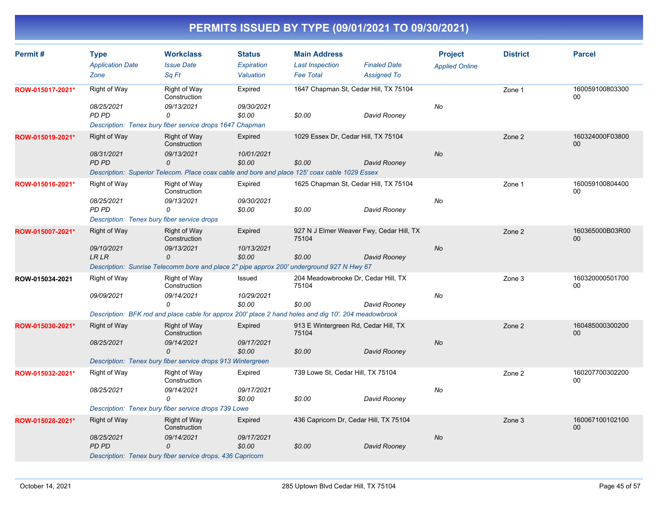| Permit#          | <b>Type</b><br><b>Application Date</b><br>Zone                                     | <b>Workclass</b><br><b>Issue Date</b><br>Sq Ft                                                                                                                 | <b>Status</b><br>Expiration<br>Valuation | <b>Main Address</b><br><b>Last Inspection</b><br><b>Fee Total</b> | <b>Finaled Date</b><br><b>Assigned To</b> | <b>Project</b><br><b>Applied Online</b> | <b>District</b> | <b>Parcel</b>         |
|------------------|------------------------------------------------------------------------------------|----------------------------------------------------------------------------------------------------------------------------------------------------------------|------------------------------------------|-------------------------------------------------------------------|-------------------------------------------|-----------------------------------------|-----------------|-----------------------|
| ROW-015017-2021* | Right of Way<br>08/25/2021<br>PD PD                                                | Right of Way<br>Construction<br>09/13/2021<br>0<br>Description: Tenex bury fiber service drops 1647 Chapman                                                    | Expired<br>09/30/2021<br>\$0.00          | 1647 Chapman St, Cedar Hill, TX 75104<br>\$0.00                   | David Rooney                              | No                                      | Zone 1          | 160059100803300<br>00 |
| ROW-015019-2021* | <b>Right of Way</b><br>08/31/2021<br><b>PD PD</b>                                  | <b>Right of Way</b><br>Construction<br>09/13/2021<br>0<br>Description: Superior Telecom. Place coax cable and bore and place 125' coax cable 1029 Essex        | Expired<br>10/01/2021<br>\$0.00          | 1029 Essex Dr, Cedar Hill, TX 75104<br>\$0.00                     | David Rooney                              | No                                      | Zone 2          | 160324000F03800<br>00 |
| ROW-015016-2021* | Right of Way<br>08/25/2021<br>PD PD<br>Description: Tenex bury fiber service drops | <b>Right of Way</b><br>Construction<br>09/13/2021<br>0                                                                                                         | Expired<br>09/30/2021<br>\$0.00          | 1625 Chapman St. Cedar Hill, TX 75104<br>\$0.00                   | David Rooney                              | No                                      | Zone 1          | 160059100804400<br>00 |
| ROW-015007-2021* | Right of Way<br>09/10/2021<br><b>LR LR</b>                                         | <b>Right of Way</b><br>Construction<br>09/13/2021<br>0<br>Description: Sunrise Telecomm bore and place 2" pipe approx 200' underground 927 N Hwy 67            | Expired<br>10/13/2021<br>\$0.00          | 927 N J Elmer Weaver Fwy, Cedar Hill, TX<br>75104<br>\$0.00       | David Rooney                              | No                                      | Zone 2          | 160365000B03R00<br>00 |
| ROW-015034-2021  | Right of Way<br>09/09/2021                                                         | <b>Right of Way</b><br>Construction<br>09/14/2021<br>0<br>Description: BFK rod and place cable for approx 200' place 2 hand holes and dig 10'. 204 meadowbrook | Issued<br>10/29/2021<br>\$0.00           | 204 Meadowbrooke Dr, Cedar Hill, TX<br>75104<br>\$0.00            | David Rooney                              | No                                      | Zone 3          | 160320000501700<br>00 |
| ROW-015030-2021* | <b>Right of Way</b><br>08/25/2021                                                  | <b>Right of Way</b><br>Construction<br>09/14/2021<br>0<br>Description: Tenex bury fiber service drops 913 Wintergreen                                          | Expired<br>09/17/2021<br>\$0.00          | 913 E Wintergreen Rd, Cedar Hill, TX<br>75104<br>\$0.00           | David Rooney                              | No                                      | Zone 2          | 160485000300200<br>00 |
| ROW-015032-2021* | Right of Way<br>08/25/2021                                                         | Right of Way<br>Construction<br>09/14/2021<br>0<br>Description: Tenex bury fiber service drops 739 Lowe                                                        | Expired<br>09/17/2021<br>\$0.00          | 739 Lowe St, Cedar Hill, TX 75104<br>\$0.00                       | David Rooney                              | No                                      | Zone 2          | 160207700302200<br>00 |
| ROW-015028-2021* | <b>Right of Way</b><br>08/25/2021<br><b>PD PD</b>                                  | Right of Way<br>Construction<br>09/14/2021<br>$\Omega$<br>Description: Tenex bury fiber service drops. 436 Capricorn                                           | Expired<br>09/17/2021<br>\$0.00          | 436 Capricorn Dr, Cedar Hill, TX 75104<br>\$0.00                  | David Rooney                              | <b>No</b>                               | Zone 3          | 160067100102100<br>00 |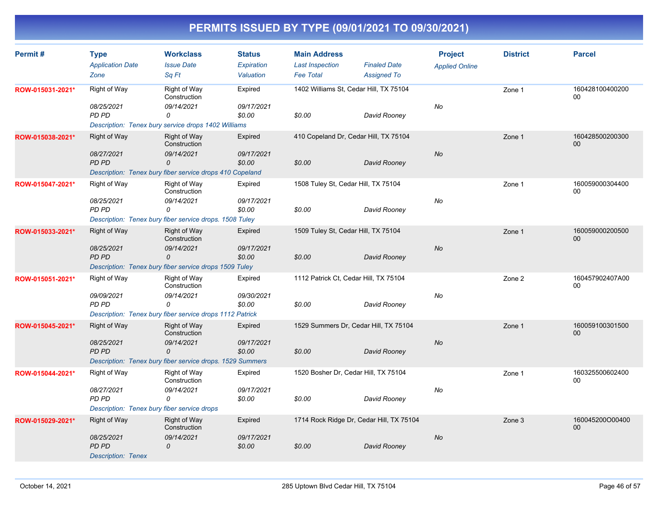| Permit#          | <b>Type</b>                                                               | <b>Workclass</b>                                                             | <b>Status</b>           | <b>Main Address</b>                        |                                           | <b>Project</b>        | <b>District</b> | <b>Parcel</b>         |
|------------------|---------------------------------------------------------------------------|------------------------------------------------------------------------------|-------------------------|--------------------------------------------|-------------------------------------------|-----------------------|-----------------|-----------------------|
|                  | <b>Application Date</b><br>Zone                                           | <b>Issue Date</b><br>Sq Ft                                                   | Expiration<br>Valuation | <b>Last Inspection</b><br><b>Fee Total</b> | <b>Finaled Date</b><br><b>Assigned To</b> | <b>Applied Online</b> |                 |                       |
| ROW-015031-2021* | Right of Way                                                              | Right of Way<br>Construction                                                 | Expired                 | 1402 Williams St, Cedar Hill, TX 75104     |                                           |                       | Zone 1          | 160428100400200<br>00 |
|                  | 08/25/2021<br>PD PD                                                       | 09/14/2021<br>0<br>Description: Tenex bury service drops 1402 Williams       | 09/17/2021<br>\$0.00    | \$0.00                                     | David Rooney                              | No                    |                 |                       |
| ROW-015038-2021* | <b>Right of Way</b><br>08/27/2021                                         | Right of Way<br>Construction<br>09/14/2021                                   | Expired<br>09/17/2021   |                                            | 410 Copeland Dr, Cedar Hill, TX 75104     | No                    | Zone 1          | 160428500200300<br>00 |
|                  | <b>PD PD</b>                                                              | 0<br>Description: Tenex bury fiber service drops 410 Copeland                | \$0.00                  | \$0.00                                     | David Rooney                              |                       |                 |                       |
| ROW-015047-2021* | Right of Way                                                              | Right of Way<br>Construction                                                 | Expired                 | 1508 Tuley St, Cedar Hill, TX 75104        |                                           |                       | Zone 1          | 160059000304400<br>00 |
|                  | 08/25/2021<br>PD PD                                                       | 09/14/2021<br>0<br>Description: Tenex bury fiber service drops. 1508 Tuley   | 09/17/2021<br>\$0.00    | \$0.00                                     | David Rooney                              | No                    |                 |                       |
| ROW-015033-2021* | <b>Right of Way</b>                                                       | <b>Right of Way</b><br>Construction                                          | Expired                 | 1509 Tuley St, Cedar Hill, TX 75104        |                                           |                       | Zone 1          | 160059000200500<br>00 |
|                  | 08/25/2021<br><b>PD PD</b>                                                | 09/14/2021<br>0<br>Description: Tenex bury fiber service drops 1509 Tuley    | 09/17/2021<br>\$0.00    | \$0.00                                     | David Rooney                              | No                    |                 |                       |
| ROW-015051-2021* | Right of Way                                                              | Right of Way<br>Construction                                                 | Expired                 | 1112 Patrick Ct, Cedar Hill, TX 75104      |                                           |                       | Zone 2          | 160457902407A00<br>00 |
|                  | 09/09/2021<br>PD PD                                                       | 09/14/2021<br>0<br>Description: Tenex bury fiber service drops 1112 Patrick  | 09/30/2021<br>\$0.00    | \$0.00                                     | David Rooney                              | No                    |                 |                       |
| ROW-015045-2021* | Right of Way                                                              | <b>Right of Way</b><br>Construction                                          | Expired                 |                                            | 1529 Summers Dr, Cedar Hill, TX 75104     |                       | Zone 1          | 160059100301500<br>00 |
|                  | 08/25/2021<br><b>PD PD</b>                                                | 09/14/2021<br>0<br>Description: Tenex bury fiber service drops. 1529 Summers | 09/17/2021<br>\$0.00    | \$0.00                                     | David Rooney                              | No                    |                 |                       |
| ROW-015044-2021* | Right of Way                                                              | Right of Way<br>Construction                                                 | Expired                 | 1520 Bosher Dr, Cedar Hill, TX 75104       |                                           |                       | Zone 1          | 160325500602400<br>00 |
|                  | 08/27/2021<br><b>PD PD</b><br>Description: Tenex bury fiber service drops | 09/14/2021<br>0                                                              | 09/17/2021<br>\$0.00    | \$0.00                                     | David Rooney                              | No                    |                 |                       |
| ROW-015029-2021* | <b>Right of Way</b>                                                       | Right of Way<br>Construction                                                 | Expired                 |                                            | 1714 Rock Ridge Dr, Cedar Hill, TX 75104  |                       | Zone 3          | 160045200O00400<br>00 |
|                  | 08/25/2021<br><b>PD PD</b><br><b>Description: Tenex</b>                   | 09/14/2021<br>0                                                              | 09/17/2021<br>\$0.00    | \$0.00                                     | David Rooney                              | No                    |                 |                       |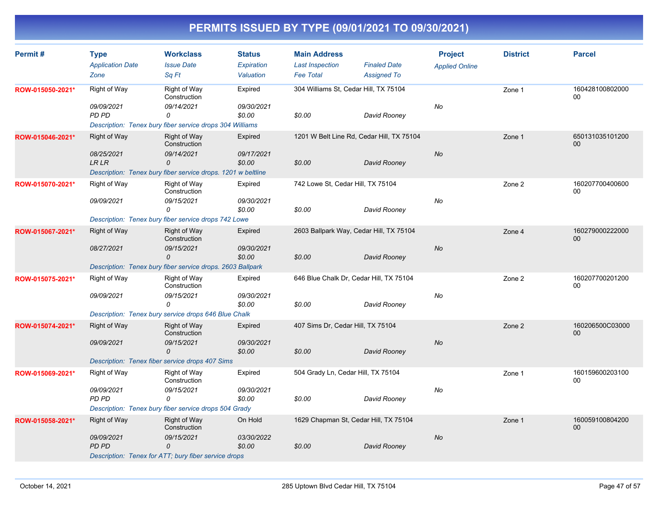| <b>Type</b>                                      | <b>Workclass</b>                                                                                                                                                                          | <b>Status</b>                                                                                                                                                  | <b>Main Address</b>                                                                                                                                                                                                                                                                                                                                                                                                                                                                                                                                                                                        |                        | <b>Project</b>                                                                                                                                                                                                                                                                                                                                           | <b>District</b>                                                   | <b>Parcel</b>              |
|--------------------------------------------------|-------------------------------------------------------------------------------------------------------------------------------------------------------------------------------------------|----------------------------------------------------------------------------------------------------------------------------------------------------------------|------------------------------------------------------------------------------------------------------------------------------------------------------------------------------------------------------------------------------------------------------------------------------------------------------------------------------------------------------------------------------------------------------------------------------------------------------------------------------------------------------------------------------------------------------------------------------------------------------------|------------------------|----------------------------------------------------------------------------------------------------------------------------------------------------------------------------------------------------------------------------------------------------------------------------------------------------------------------------------------------------------|-------------------------------------------------------------------|----------------------------|
| Zone                                             | Sq Ft                                                                                                                                                                                     | Valuation                                                                                                                                                      | <b>Fee Total</b>                                                                                                                                                                                                                                                                                                                                                                                                                                                                                                                                                                                           | <b>Assigned To</b>     |                                                                                                                                                                                                                                                                                                                                                          |                                                                   |                            |
| <b>Right of Way</b>                              | Right of Way<br>Construction                                                                                                                                                              | Expired                                                                                                                                                        |                                                                                                                                                                                                                                                                                                                                                                                                                                                                                                                                                                                                            |                        |                                                                                                                                                                                                                                                                                                                                                          | Zone 1                                                            | 160428100802000<br>00      |
| 09/09/2021<br>PD PD                              | 09/14/2021<br>0                                                                                                                                                                           | 09/30/2021<br>\$0.00                                                                                                                                           | \$0.00                                                                                                                                                                                                                                                                                                                                                                                                                                                                                                                                                                                                     | David Rooney           | No                                                                                                                                                                                                                                                                                                                                                       |                                                                   |                            |
| <b>Right of Way</b><br>08/25/2021<br><b>LRLR</b> | <b>Right of Way</b><br>Construction<br>09/14/2021<br>0                                                                                                                                    | Expired<br>09/17/2021<br>\$0.00                                                                                                                                | \$0.00                                                                                                                                                                                                                                                                                                                                                                                                                                                                                                                                                                                                     | David Rooney           | No                                                                                                                                                                                                                                                                                                                                                       | Zone 1                                                            | 650131035101200<br>00      |
|                                                  |                                                                                                                                                                                           |                                                                                                                                                                |                                                                                                                                                                                                                                                                                                                                                                                                                                                                                                                                                                                                            |                        |                                                                                                                                                                                                                                                                                                                                                          |                                                                   |                            |
|                                                  | Construction                                                                                                                                                                              |                                                                                                                                                                |                                                                                                                                                                                                                                                                                                                                                                                                                                                                                                                                                                                                            |                        |                                                                                                                                                                                                                                                                                                                                                          | Zone 2                                                            | 160207700400600<br>00      |
|                                                  | $\Omega$                                                                                                                                                                                  | \$0.00                                                                                                                                                         | \$0.00                                                                                                                                                                                                                                                                                                                                                                                                                                                                                                                                                                                                     | David Rooney           |                                                                                                                                                                                                                                                                                                                                                          |                                                                   |                            |
| <b>Right of Way</b>                              | <b>Right of Way</b><br>Construction                                                                                                                                                       | Expired                                                                                                                                                        |                                                                                                                                                                                                                                                                                                                                                                                                                                                                                                                                                                                                            |                        |                                                                                                                                                                                                                                                                                                                                                          | Zone 4                                                            | 160279000222000<br>00      |
| 08/27/2021                                       | 09/15/2021<br>0                                                                                                                                                                           | 09/30/2021<br>\$0.00                                                                                                                                           | \$0.00                                                                                                                                                                                                                                                                                                                                                                                                                                                                                                                                                                                                     | David Rooney           | <b>No</b>                                                                                                                                                                                                                                                                                                                                                |                                                                   |                            |
|                                                  |                                                                                                                                                                                           |                                                                                                                                                                |                                                                                                                                                                                                                                                                                                                                                                                                                                                                                                                                                                                                            |                        |                                                                                                                                                                                                                                                                                                                                                          |                                                                   |                            |
| <b>Right of Way</b>                              | Right of Way<br>Construction                                                                                                                                                              | Expired                                                                                                                                                        |                                                                                                                                                                                                                                                                                                                                                                                                                                                                                                                                                                                                            |                        |                                                                                                                                                                                                                                                                                                                                                          | Zone 2                                                            | 160207700201200<br>00      |
|                                                  | 0                                                                                                                                                                                         | \$0.00                                                                                                                                                         | \$0.00                                                                                                                                                                                                                                                                                                                                                                                                                                                                                                                                                                                                     | David Rooney           |                                                                                                                                                                                                                                                                                                                                                          |                                                                   |                            |
|                                                  |                                                                                                                                                                                           |                                                                                                                                                                |                                                                                                                                                                                                                                                                                                                                                                                                                                                                                                                                                                                                            |                        |                                                                                                                                                                                                                                                                                                                                                          |                                                                   |                            |
|                                                  | Construction                                                                                                                                                                              |                                                                                                                                                                |                                                                                                                                                                                                                                                                                                                                                                                                                                                                                                                                                                                                            |                        |                                                                                                                                                                                                                                                                                                                                                          |                                                                   | 160206500C03000<br>00      |
|                                                  | 0                                                                                                                                                                                         | \$0.00                                                                                                                                                         | \$0.00                                                                                                                                                                                                                                                                                                                                                                                                                                                                                                                                                                                                     | David Rooney           |                                                                                                                                                                                                                                                                                                                                                          |                                                                   |                            |
|                                                  |                                                                                                                                                                                           |                                                                                                                                                                |                                                                                                                                                                                                                                                                                                                                                                                                                                                                                                                                                                                                            |                        |                                                                                                                                                                                                                                                                                                                                                          |                                                                   | 160159600203100            |
|                                                  | Construction                                                                                                                                                                              |                                                                                                                                                                |                                                                                                                                                                                                                                                                                                                                                                                                                                                                                                                                                                                                            |                        |                                                                                                                                                                                                                                                                                                                                                          |                                                                   | 00                         |
| PD PD                                            | 0                                                                                                                                                                                         | \$0.00                                                                                                                                                         | \$0.00                                                                                                                                                                                                                                                                                                                                                                                                                                                                                                                                                                                                     | David Rooney           |                                                                                                                                                                                                                                                                                                                                                          |                                                                   |                            |
|                                                  |                                                                                                                                                                                           |                                                                                                                                                                |                                                                                                                                                                                                                                                                                                                                                                                                                                                                                                                                                                                                            |                        |                                                                                                                                                                                                                                                                                                                                                          |                                                                   |                            |
|                                                  | Construction                                                                                                                                                                              |                                                                                                                                                                |                                                                                                                                                                                                                                                                                                                                                                                                                                                                                                                                                                                                            |                        |                                                                                                                                                                                                                                                                                                                                                          |                                                                   | 160059100804200<br>00      |
| <b>PD PD</b>                                     | 0                                                                                                                                                                                         | \$0.00                                                                                                                                                         | \$0.00                                                                                                                                                                                                                                                                                                                                                                                                                                                                                                                                                                                                     | David Rooney           |                                                                                                                                                                                                                                                                                                                                                          |                                                                   |                            |
|                                                  | <b>Application Date</b><br><b>Right of Way</b><br>09/09/2021<br>09/09/2021<br><b>Right of Way</b><br>09/09/2021<br><b>Right of Way</b><br>09/09/2021<br><b>Right of Way</b><br>09/09/2021 | <b>Issue Date</b><br>Right of Way<br>09/15/2021<br>09/15/2021<br><b>Right of Way</b><br>09/15/2021<br>Right of Way<br>09/15/2021<br>Right of Way<br>09/15/2021 | Expiration<br>Description: Tenex bury fiber service drops 304 Williams<br>Description: Tenex bury fiber service drops. 1201 w beltline<br>Expired<br>09/30/2021<br>Description: Tenex bury fiber service drops 742 Lowe<br>Description: Tenex bury fiber service drops. 2603 Ballpark<br>09/30/2021<br>Description: Tenex bury service drops 646 Blue Chalk<br>Expired<br>09/30/2021<br>Description: Tenex fiber service drops 407 Sims<br>Expired<br>09/30/2021<br>Description: Tenex bury fiber service drops 504 Grady<br>On Hold<br>03/30/2022<br>Description: Tenex for ATT; bury fiber service drops | <b>Last Inspection</b> | <b>Finaled Date</b><br>304 Williams St, Cedar Hill, TX 75104<br>1201 W Belt Line Rd, Cedar Hill, TX 75104<br>742 Lowe St, Cedar Hill, TX 75104<br>2603 Ballpark Way, Cedar Hill, TX 75104<br>646 Blue Chalk Dr, Cedar Hill, TX 75104<br>407 Sims Dr, Cedar Hill, TX 75104<br>504 Grady Ln, Cedar Hill, TX 75104<br>1629 Chapman St, Cedar Hill, TX 75104 | <b>Applied Online</b><br>No<br>No<br><b>No</b><br>No<br><b>No</b> | Zone 2<br>Zone 1<br>Zone 1 |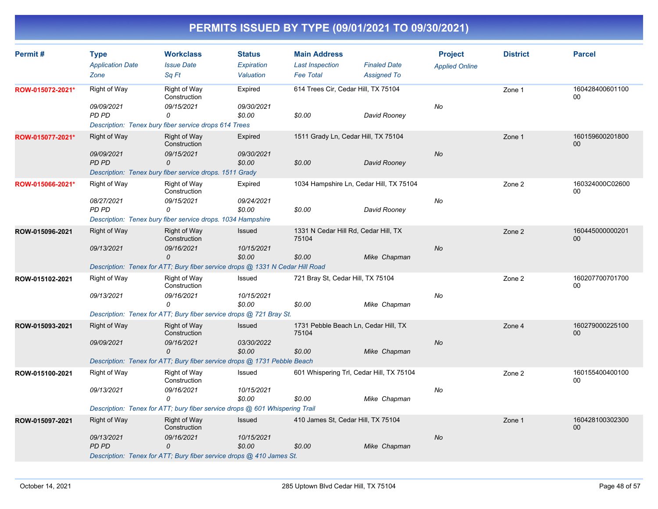| Permit#          | <b>Type</b><br><b>Application Date</b><br>Zone | <b>Workclass</b><br><b>Issue Date</b><br>Sa Ft                                                                                          | <b>Status</b><br>Expiration<br>Valuation | <b>Main Address</b><br><b>Last Inspection</b><br><b>Fee Total</b> | <b>Finaled Date</b><br><b>Assigned To</b> | <b>Project</b><br><b>Applied Online</b> | <b>District</b> | <b>Parcel</b>             |
|------------------|------------------------------------------------|-----------------------------------------------------------------------------------------------------------------------------------------|------------------------------------------|-------------------------------------------------------------------|-------------------------------------------|-----------------------------------------|-----------------|---------------------------|
| ROW-015072-2021* | Right of Way<br>09/09/2021<br>PD PD            | <b>Right of Way</b><br>Construction<br>09/15/2021<br>0<br>Description: Tenex bury fiber service drops 614 Trees                         | Expired<br>09/30/2021<br>\$0.00          | 614 Trees Cir, Cedar Hill, TX 75104<br>\$0.00                     | David Rooney                              | No                                      | Zone 1          | 160428400601100<br>00     |
| ROW-015077-2021* | <b>Right of Way</b><br>09/09/2021<br>PD PD     | Right of Way<br>Construction<br>09/15/2021<br>0<br>Description: Tenex bury fiber service drops. 1511 Grady                              | Expired<br>09/30/2021<br>\$0.00          | 1511 Grady Ln, Cedar Hill, TX 75104<br>\$0.00                     | David Rooney                              | No                                      | Zone 1          | 160159600201800<br>00     |
| ROW-015066-2021* | Right of Way<br>08/27/2021<br><b>PD PD</b>     | Right of Way<br>Construction<br>09/15/2021<br>0<br>Description: Tenex bury fiber service drops. 1034 Hampshire                          | Expired<br>09/24/2021<br>\$0.00          | 1034 Hampshire Ln, Cedar Hill, TX 75104<br>\$0.00                 | David Rooney                              | No                                      | Zone 2          | 160324000C02600<br>00     |
| ROW-015096-2021  | <b>Right of Way</b><br>09/13/2021              | <b>Right of Way</b><br>Construction<br>09/16/2021<br>0<br>Description: Tenex for ATT; Bury fiber service drops @ 1331 N Cedar Hill Road | <b>Issued</b><br>10/15/2021<br>\$0.00    | 1331 N Cedar Hill Rd, Cedar Hill, TX<br>75104<br>\$0.00           | Mike Chapman                              | <b>No</b>                               | Zone 2          | 160445000000201<br>00     |
| ROW-015102-2021  | Right of Way<br>09/13/2021                     | Right of Way<br>Construction<br>09/16/2021<br>$\Omega$<br>Description: Tenex for ATT; Bury fiber service drops @ 721 Bray St.           | Issued<br>10/15/2021<br>\$0.00           | 721 Bray St, Cedar Hill, TX 75104<br>\$0.00                       | Mike Chapman                              | No                                      | Zone 2          | 160207700701700<br>00     |
| ROW-015093-2021  | <b>Right of Way</b><br>09/09/2021              | <b>Right of Way</b><br>Construction<br>09/16/2021<br>0<br>Description: Tenex for ATT; Bury fiber service drops @ 1731 Pebble Beach      | Issued<br>03/30/2022<br>\$0.00           | 1731 Pebble Beach Ln, Cedar Hill, TX<br>75104<br>\$0.00           | Mike Chapman                              | No                                      | Zone 4          | 160279000225100<br>00     |
| ROW-015100-2021  | <b>Right of Way</b><br>09/13/2021              | Right of Way<br>Construction<br>09/16/2021<br>0<br>Description: Tenex for ATT; bury fiber service drops @ 601 Whispering Trail          | Issued<br>10/15/2021<br>\$0.00           | 601 Whispering Trl, Cedar Hill, TX 75104<br>\$0.00                | Mike Chapman                              | No                                      | Zone 2          | 160155400400100<br>00     |
| ROW-015097-2021  | <b>Right of Way</b><br>09/13/2021<br>PD PD     | Right of Way<br>Construction<br>09/16/2021<br>0<br>Description: Tenex for ATT; Bury fiber service drops @ 410 James St.                 | Issued<br>10/15/2021<br>\$0.00           | 410 James St, Cedar Hill, TX 75104<br>\$0.00                      | Mike Chapman                              | No                                      | Zone 1          | 160428100302300<br>$00\,$ |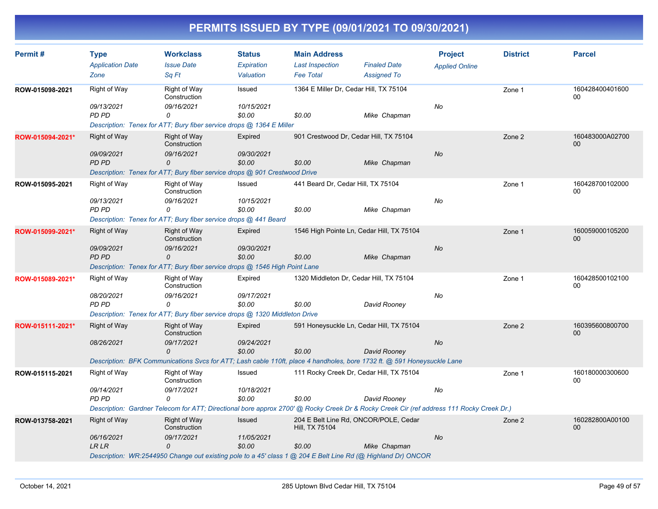| Permit#          | <b>Type</b><br><b>Application Date</b><br>Zone | <b>Workclass</b><br><b>Issue Date</b><br>Sq Ft                                                                                                 | <b>Status</b><br>Expiration<br>Valuation | <b>Main Address</b><br><b>Last Inspection</b><br><b>Fee Total</b> | <b>Finaled Date</b><br><b>Assigned To</b> | <b>Project</b><br><b>Applied Online</b> | <b>District</b> | <b>Parcel</b>             |
|------------------|------------------------------------------------|------------------------------------------------------------------------------------------------------------------------------------------------|------------------------------------------|-------------------------------------------------------------------|-------------------------------------------|-----------------------------------------|-----------------|---------------------------|
| ROW-015098-2021  | Right of Way                                   | Right of Way<br>Construction                                                                                                                   | Issued                                   | 1364 E Miller Dr, Cedar Hill, TX 75104                            |                                           |                                         | Zone 1          | 160428400401600<br>00     |
|                  | 09/13/2021<br>PD PD                            | 09/16/2021<br>0<br>Description: Tenex for ATT; Bury fiber service drops @ 1364 E Miller                                                        | 10/15/2021<br>\$0.00                     | \$0.00                                                            | Mike Chapman                              | No                                      |                 |                           |
| ROW-015094-2021* | Right of Way<br>09/09/2021                     | <b>Right of Way</b><br>Construction<br>09/16/2021                                                                                              | Expired<br>09/30/2021                    |                                                                   | 901 Crestwood Dr, Cedar Hill, TX 75104    | <b>No</b>                               | Zone 2          | 160483000A02700<br>00     |
|                  | <b>PD PD</b>                                   | 0<br>Description: Tenex for ATT; Bury fiber service drops @ 901 Crestwood Drive                                                                | \$0.00                                   | \$0.00                                                            | Mike Chapman                              |                                         |                 |                           |
| ROW-015095-2021  | Right of Way<br>09/13/2021                     | Right of Way<br>Construction<br>09/16/2021                                                                                                     | Issued<br>10/15/2021                     | 441 Beard Dr, Cedar Hill, TX 75104                                |                                           | No                                      | Zone 1          | 160428700102000<br>00     |
|                  | PD PD                                          | $\Omega$<br>Description: Tenex for ATT; Bury fiber service drops @ 441 Beard                                                                   | \$0.00                                   | \$0.00                                                            | Mike Chapman                              |                                         |                 |                           |
| ROW-015099-2021* | Right of Way                                   | <b>Right of Way</b><br>Construction                                                                                                            | Expired                                  |                                                                   | 1546 High Pointe Ln, Cedar Hill, TX 75104 |                                         | Zone 1          | 160059000105200<br>$00\,$ |
|                  | 09/09/2021<br>PD PD                            | 09/16/2021<br>$\mathcal{O}$<br>Description: Tenex for ATT; Bury fiber service drops @ 1546 High Point Lane                                     | 09/30/2021<br>\$0.00                     | \$0.00                                                            | Mike Chapman                              | <b>No</b>                               |                 |                           |
| ROW-015089-2021* | Right of Way                                   | <b>Right of Way</b><br>Construction                                                                                                            | Expired                                  |                                                                   | 1320 Middleton Dr, Cedar Hill, TX 75104   |                                         | Zone 1          | 160428500102100<br>00     |
|                  | 08/20/2021<br><b>PD PD</b>                     | 09/16/2021<br>0<br>Description: Tenex for ATT; Bury fiber service drops @ 1320 Middleton Drive                                                 | 09/17/2021<br>\$0.00                     | \$0.00                                                            | David Rooney                              | No                                      |                 |                           |
| ROW-015111-2021* | <b>Right of Way</b>                            | <b>Right of Way</b><br>Construction                                                                                                            | Expired                                  |                                                                   | 591 Honeysuckle Ln, Cedar Hill, TX 75104  |                                         | Zone 2          | 160395600800700<br>00     |
|                  | 08/26/2021                                     | 09/17/2021<br>$\mathcal{O}$                                                                                                                    | 09/24/2021<br>\$0.00                     | \$0.00                                                            | David Rooney                              | <b>No</b>                               |                 |                           |
| ROW-015115-2021  | Right of Way                                   | Description: BFK Communications Svcs for ATT; Lash cable 110ft, place 4 handholes, bore 1732 ft. @ 591 Honeysuckle Lane<br><b>Right of Way</b> | Issued                                   |                                                                   | 111 Rocky Creek Dr, Cedar Hill, TX 75104  |                                         | Zone 1          | 160180000300600           |
|                  |                                                | Construction                                                                                                                                   |                                          |                                                                   |                                           |                                         |                 | 00                        |
|                  | 09/14/2021<br>PD PD                            | 09/17/2021<br>0                                                                                                                                | 10/18/2021<br>\$0.00                     | \$0.00                                                            | David Rooney                              | No                                      |                 |                           |
|                  |                                                | Description: Gardner Telecom for ATT; Directional bore approx 2700' @ Rocky Creek Dr & Rocky Creek Cir (ref address 111 Rocky Creek Dr.)       |                                          |                                                                   |                                           |                                         |                 |                           |
| ROW-013758-2021  | Right of Way                                   | <b>Right of Way</b><br>Construction                                                                                                            | Issued                                   | Hill, TX 75104                                                    | 204 E Belt Line Rd, ONCOR/POLE, Cedar     |                                         | Zone 2          | 160282800A00100<br>$00\,$ |
|                  | 06/16/2021<br><b>LR LR</b>                     | 09/17/2021<br>$\Omega$<br>Description: WR:2544950 Change out existing pole to a 45' class 1 @ 204 E Belt Line Rd (@ Highland Dr) ONCOR         | 11/05/2021<br>\$0.00                     | \$0.00                                                            | Mike Chapman                              | <b>No</b>                               |                 |                           |
|                  |                                                |                                                                                                                                                |                                          |                                                                   |                                           |                                         |                 |                           |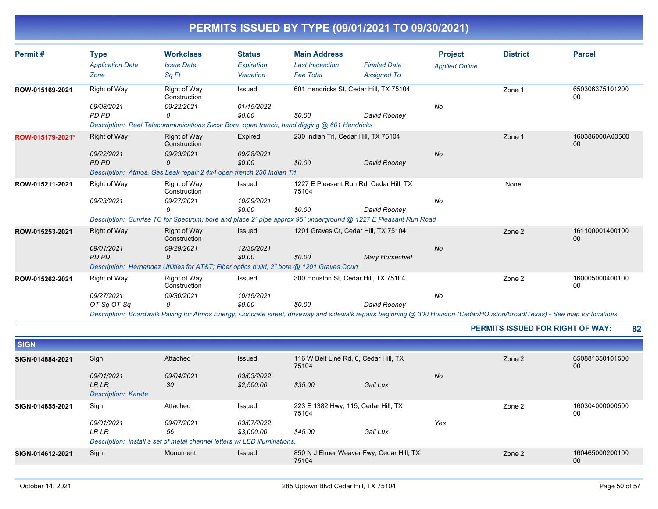| Permit#          | <b>Type</b>             | <b>Workclass</b>                                                                           | <b>Status</b>        | <b>Main Address</b>                  |                                                                                                                                                                            | <b>Project</b>        | <b>District</b> | <b>Parcel</b>             |
|------------------|-------------------------|--------------------------------------------------------------------------------------------|----------------------|--------------------------------------|----------------------------------------------------------------------------------------------------------------------------------------------------------------------------|-----------------------|-----------------|---------------------------|
|                  | <b>Application Date</b> | <b>Issue Date</b>                                                                          | Expiration           | <b>Last Inspection</b>               | <b>Finaled Date</b>                                                                                                                                                        | <b>Applied Online</b> |                 |                           |
|                  | Zone                    | Sq Ft                                                                                      | Valuation            | <b>Fee Total</b>                     | <b>Assigned To</b>                                                                                                                                                         |                       |                 |                           |
| ROW-015169-2021  | Right of Way            | Right of Way<br>Construction                                                               | Issued               |                                      | 601 Hendricks St. Cedar Hill, TX 75104                                                                                                                                     |                       | Zone 1          | 650306375101200<br>00     |
|                  | 09/08/2021              | 09/22/2021                                                                                 | 01/15/2022           |                                      |                                                                                                                                                                            | No                    |                 |                           |
|                  | PD PD                   | 0                                                                                          | \$0.00               | \$0.00                               | David Rooney                                                                                                                                                               |                       |                 |                           |
|                  |                         | Description: Reel Telecommunications Svcs; Bore, open trench, hand digging @ 601 Hendricks |                      |                                      |                                                                                                                                                                            |                       |                 |                           |
| ROW-015179-2021* | Right of Way            | <b>Right of Way</b><br>Construction                                                        | Expired              | 230 Indian Trl, Cedar Hill, TX 75104 |                                                                                                                                                                            |                       | Zone 1          | 160386000A00500<br>$00\,$ |
|                  | 09/22/2021              | 09/23/2021                                                                                 | 09/28/2021           |                                      |                                                                                                                                                                            | <b>No</b>             |                 |                           |
|                  | <b>PD PD</b>            | $\Omega$                                                                                   | \$0.00               | \$0.00                               | David Rooney                                                                                                                                                               |                       |                 |                           |
|                  |                         | Description: Atmos. Gas Leak repair 2 4x4 open trench 230 Indian Trl                       |                      |                                      |                                                                                                                                                                            |                       |                 |                           |
| ROW-015211-2021  | Right of Way            | Right of Way<br>Construction                                                               | Issued               | 75104                                | 1227 E Pleasant Run Rd, Cedar Hill, TX                                                                                                                                     |                       | None            |                           |
|                  | 09/23/2021              | 09/27/2021<br>0                                                                            | 10/29/2021<br>\$0.00 | \$0.00                               | David Rooney                                                                                                                                                               | No                    |                 |                           |
|                  |                         |                                                                                            |                      |                                      | Description: Sunrise TC for Spectrum; bore and place 2" pipe approx 95" underground @ 1227 E Pleasant Run Road                                                             |                       |                 |                           |
| ROW-015253-2021  | Right of Way            | <b>Right of Way</b><br>Construction                                                        | Issued               |                                      | 1201 Graves Ct. Cedar Hill, TX 75104                                                                                                                                       |                       | Zone 2          | 161100001400100<br>00     |
|                  | 09/01/2021              | 09/29/2021                                                                                 | 12/30/2021           |                                      |                                                                                                                                                                            | <b>No</b>             |                 |                           |
|                  | PD PD                   | 0                                                                                          | \$0.00               | \$0.00                               | <b>Mary Horsechief</b>                                                                                                                                                     |                       |                 |                           |
|                  |                         | Description: Hernandez Utilities for AT&T Fiber optics build, 2" bore @ 1201 Graves Court  |                      |                                      |                                                                                                                                                                            |                       |                 |                           |
| ROW-015262-2021  | Right of Way            | Right of Way<br>Construction                                                               | Issued               |                                      | 300 Houston St. Cedar Hill, TX 75104                                                                                                                                       |                       | Zone 2          | 160005000400100<br>00     |
|                  | 09/27/2021              | 09/30/2021                                                                                 | 10/15/2021           |                                      |                                                                                                                                                                            | No                    |                 |                           |
|                  | OT-Sq OT-Sq             | 0                                                                                          | \$0.00               | \$0.00                               | David Rooney                                                                                                                                                               |                       |                 |                           |
|                  |                         |                                                                                            |                      |                                      | Description: Boardwalk Paving for Atmos Energy: Concrete street, driveway and sidewalk repairs beginning @ 300 Houston (Cedar/HOuston/Broad/Texas) - See man for locations |                       |                 |                           |

*Description: Boardwalk Paving for Atmos Energy; Concrete street, driveway and sidewalk repairs beginning @ 300 Houston (Cedar/HOuston/Broad/Texas) - See map for locations*

**PERMITS ISSUED FOR RIGHT OF WAY: 82**

| <b>SIGN</b>      |                            |                                                                          |               |                                                   |          |           |        |                           |
|------------------|----------------------------|--------------------------------------------------------------------------|---------------|---------------------------------------------------|----------|-----------|--------|---------------------------|
| SIGN-014884-2021 | Sign                       | Attached                                                                 | <b>Issued</b> | 116 W Belt Line Rd, 6, Cedar Hill, TX<br>75104    |          |           | Zone 2 | 650881350101500<br>00     |
|                  | 09/01/2021                 | 09/04/2021                                                               | 03/03/2022    |                                                   |          | <b>No</b> |        |                           |
|                  | <b>LR LR</b>               | 30                                                                       | \$2,500.00    | \$35.00                                           | Gail Lux |           |        |                           |
|                  | <b>Description: Karate</b> |                                                                          |               |                                                   |          |           |        |                           |
| SIGN-014855-2021 | Sign                       | Attached                                                                 | Issued        | 223 E 1382 Hwy, 115, Cedar Hill, TX<br>75104      |          |           | Zone 2 | 160304000000500<br>00     |
|                  | 09/01/2021                 | 09/07/2021                                                               | 03/07/2022    |                                                   |          | Yes       |        |                           |
|                  | <b>LR LR</b>               | 56                                                                       | \$3,000.00    | \$45.00                                           | Gail Lux |           |        |                           |
|                  |                            | Description: install a set of metal channel letters w/LED illuminations. |               |                                                   |          |           |        |                           |
| SIGN-014612-2021 | Sign                       | Monument                                                                 | <b>Issued</b> | 850 N J Elmer Weaver Fwy, Cedar Hill, TX<br>75104 |          |           | Zone 2 | 160465000200100<br>$00\,$ |
|                  |                            |                                                                          |               |                                                   |          |           |        |                           |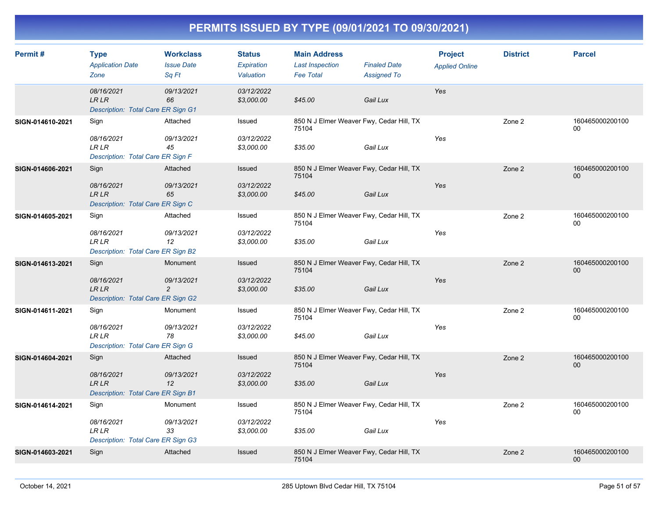| Permit#          | <b>Type</b><br><b>Application Date</b><br>Zone                           | <b>Workclass</b><br><b>Issue Date</b><br>Sa Ft | <b>Status</b><br>Expiration<br>Valuation | <b>Main Address</b><br><b>Last Inspection</b><br><b>Fee Total</b> | <b>Finaled Date</b><br><b>Assigned To</b> | <b>Project</b><br><b>Applied Online</b> | <b>District</b> | <b>Parcel</b>             |
|------------------|--------------------------------------------------------------------------|------------------------------------------------|------------------------------------------|-------------------------------------------------------------------|-------------------------------------------|-----------------------------------------|-----------------|---------------------------|
|                  | 08/16/2021<br><b>LR LR</b><br>Description: Total Care ER Sign G1         | 09/13/2021<br>66                               | 03/12/2022<br>\$3,000.00                 | \$45.00                                                           | Gail Lux                                  | Yes                                     |                 |                           |
| SIGN-014610-2021 | Sign<br>08/16/2021<br><b>LRLR</b><br>Description: Total Care ER Sign F   | Attached<br>09/13/2021<br>45                   | Issued<br>03/12/2022<br>\$3,000.00       | 850 N J Elmer Weaver Fwy, Cedar Hill, TX<br>75104<br>\$35.00      | Gail Lux                                  | Yes                                     | Zone 2          | 160465000200100<br>00     |
| SIGN-014606-2021 | Sign<br>08/16/2021<br><b>LR LR</b><br>Description: Total Care ER Sign C  | Attached<br>09/13/2021<br>65                   | Issued<br>03/12/2022<br>\$3,000.00       | 850 N J Elmer Weaver Fwy, Cedar Hill, TX<br>75104<br>\$45.00      | Gail Lux                                  | Yes                                     | Zone 2          | 160465000200100<br>00     |
| SIGN-014605-2021 | Sign<br>08/16/2021<br>LR LR<br>Description: Total Care ER Sign B2        | Attached<br>09/13/2021<br>12                   | Issued<br>03/12/2022<br>\$3,000.00       | 850 N J Elmer Weaver Fwy, Cedar Hill, TX<br>75104<br>\$35.00      | Gail Lux                                  | Yes                                     | Zone 2          | 160465000200100<br>00     |
| SIGN-014613-2021 | Sign<br>08/16/2021<br><b>LR LR</b><br>Description: Total Care ER Sign G2 | Monument<br>09/13/2021<br>$\overline{c}$       | Issued<br>03/12/2022<br>\$3,000.00       | 850 N J Elmer Weaver Fwy, Cedar Hill, TX<br>75104<br>\$35.00      | Gail Lux                                  | Yes                                     | Zone 2          | 160465000200100<br>00     |
| SIGN-014611-2021 | Sign<br>08/16/2021<br><b>LR LR</b><br>Description: Total Care ER Sign G  | Monument<br>09/13/2021<br>78                   | Issued<br>03/12/2022<br>\$3,000.00       | 850 N J Elmer Weaver Fwy, Cedar Hill, TX<br>75104<br>\$45.00      | Gail Lux                                  | Yes                                     | Zone 2          | 160465000200100<br>$00\,$ |
| SIGN-014604-2021 | Sign<br>08/16/2021<br><b>LR LR</b><br>Description: Total Care ER Sign B1 | Attached<br>09/13/2021<br>12                   | Issued<br>03/12/2022<br>\$3,000.00       | 850 N J Elmer Weaver Fwy, Cedar Hill, TX<br>75104<br>\$35.00      | Gail Lux                                  | Yes                                     | Zone 2          | 160465000200100<br>00     |
| SIGN-014614-2021 | Sign<br>08/16/2021<br><b>LRLR</b><br>Description: Total Care ER Sign G3  | Monument<br>09/13/2021<br>33                   | Issued<br>03/12/2022<br>\$3,000.00       | 850 N J Elmer Weaver Fwy, Cedar Hill, TX<br>75104<br>\$35.00      | Gail Lux                                  | Yes                                     | Zone 2          | 160465000200100<br>$00\,$ |
| SIGN-014603-2021 | Sign                                                                     | Attached                                       | Issued                                   | 850 N J Elmer Weaver Fwy, Cedar Hill, TX<br>75104                 |                                           |                                         | Zone 2          | 160465000200100<br>00     |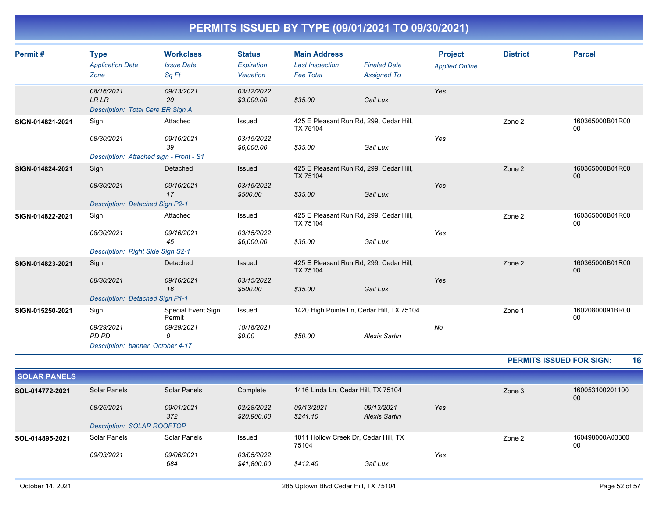| Permit#          | <b>Type</b>                                             | <b>Workclass</b>             | <b>Status</b>            | <b>Main Address</b>                                 |                      | <b>Project</b>        | <b>District</b> | <b>Parcel</b>             |
|------------------|---------------------------------------------------------|------------------------------|--------------------------|-----------------------------------------------------|----------------------|-----------------------|-----------------|---------------------------|
|                  | <b>Application Date</b>                                 | <b>Issue Date</b>            | Expiration               | <b>Last Inspection</b>                              | <b>Finaled Date</b>  | <b>Applied Online</b> |                 |                           |
|                  | Zone                                                    | Sq Ft                        | Valuation                | <b>Fee Total</b>                                    | <b>Assigned To</b>   |                       |                 |                           |
|                  | 08/16/2021<br><b>LRLR</b>                               | 09/13/2021<br>20             | 03/12/2022<br>\$3,000.00 | \$35.00                                             | Gail Lux             | Yes                   |                 |                           |
|                  | Description: Total Care ER Sign A                       |                              |                          |                                                     |                      |                       |                 |                           |
| SIGN-014821-2021 | Sign                                                    | Attached                     | Issued                   | 425 E Pleasant Run Rd, 299, Cedar Hill,<br>TX 75104 |                      |                       | Zone 2          | 160365000B01R00<br>00     |
|                  | 08/30/2021                                              | 09/16/2021<br>39             | 03/15/2022<br>\$6,000.00 | \$35.00                                             | Gail Lux             | Yes                   |                 |                           |
|                  | Description: Attached sign - Front - S1                 |                              |                          |                                                     |                      |                       |                 |                           |
| SIGN-014824-2021 | Sign                                                    | Detached                     | Issued                   | 425 E Pleasant Run Rd, 299, Cedar Hill,<br>TX 75104 |                      |                       | Zone 2          | 160365000B01R00<br>00     |
|                  | 08/30/2021                                              | 09/16/2021<br>17             | 03/15/2022<br>\$500.00   | \$35.00                                             | Gail Lux             | Yes                   |                 |                           |
|                  | <b>Description: Detached Sign P2-1</b>                  |                              |                          |                                                     |                      |                       |                 |                           |
| SIGN-014822-2021 | Sign                                                    | Attached                     | Issued                   | 425 E Pleasant Run Rd, 299, Cedar Hill,<br>TX 75104 |                      |                       | Zone 2          | 160365000B01R00<br>$00\,$ |
|                  | 08/30/2021                                              | 09/16/2021<br>45             | 03/15/2022<br>\$6,000.00 | \$35.00                                             | Gail Lux             | Yes                   |                 |                           |
|                  | Description: Right Side Sign S2-1                       |                              |                          |                                                     |                      |                       |                 |                           |
| SIGN-014823-2021 | Sign                                                    | Detached                     | Issued                   | 425 E Pleasant Run Rd, 299, Cedar Hill,<br>TX 75104 |                      |                       | Zone 2          | 160365000B01R00<br>00     |
|                  | 08/30/2021                                              | 09/16/2021<br>16             | 03/15/2022<br>\$500.00   | \$35.00                                             | Gail Lux             | Yes                   |                 |                           |
|                  | <b>Description: Detached Sign P1-1</b>                  |                              |                          |                                                     |                      |                       |                 |                           |
| SIGN-015250-2021 | Sign                                                    | Special Event Sign<br>Permit | Issued                   | 1420 High Pointe Ln, Cedar Hill, TX 75104           |                      |                       | Zone 1          | 16020800091BR00<br>00     |
|                  | 09/29/2021<br>PD PD<br>Description: banner October 4-17 | 09/29/2021<br>0              | 10/18/2021<br>\$0.00     | \$50.00                                             | <b>Alexis Sartin</b> | No                    |                 |                           |

**PERMITS ISSUED FOR SIGN: 16**

| <b>SOLAR PANELS</b> |                                                 |                   |                                  |                                               |                             |     |        |                       |
|---------------------|-------------------------------------------------|-------------------|----------------------------------|-----------------------------------------------|-----------------------------|-----|--------|-----------------------|
| SOL-014772-2021     | Solar Panels                                    | Solar Panels      | Complete                         | 1416 Linda Ln, Cedar Hill, TX 75104           |                             |     | Zone 3 | 160053100201100<br>00 |
|                     | 08/26/2021<br><b>Description: SOLAR ROOFTOP</b> | 09/01/2021<br>372 | 02/28/2022<br>\$20,900.00        | 09/13/2021<br>\$241.10                        | 09/13/2021<br>Alexis Sartin | Yes |        |                       |
| SOL-014895-2021     | Solar Panels                                    | Solar Panels      | Issued                           | 1011 Hollow Creek Dr. Cedar Hill, TX<br>75104 |                             |     | Zone 2 | 160498000A03300<br>00 |
|                     | 09/03/2021                                      | 09/06/2021<br>684 | <i>03/05/2022</i><br>\$41,800.00 | \$412.40                                      | Gail Lux                    | Yes |        |                       |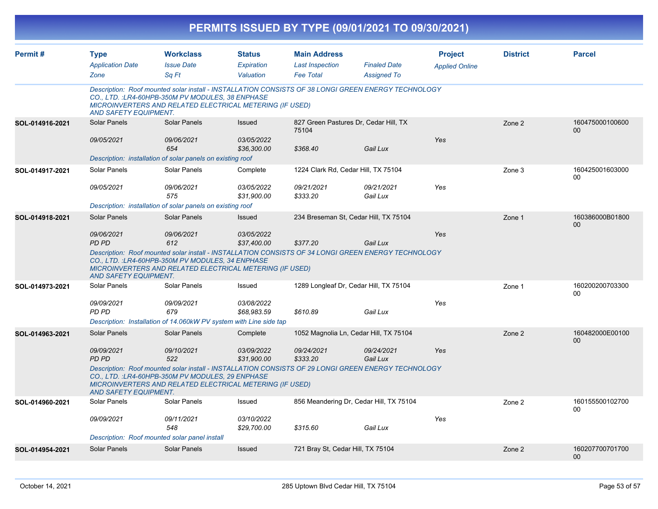|                 |                              |                                                                                                                                                                                                                     |                           |                                     | PERMITS ISSUED BY TYPE (09/01/2021 TO 09/30/2021) |                       |                 |                                    |
|-----------------|------------------------------|---------------------------------------------------------------------------------------------------------------------------------------------------------------------------------------------------------------------|---------------------------|-------------------------------------|---------------------------------------------------|-----------------------|-----------------|------------------------------------|
| Permit#         | <b>Type</b>                  | <b>Workclass</b>                                                                                                                                                                                                    | <b>Status</b>             | <b>Main Address</b>                 |                                                   | <b>Project</b>        | <b>District</b> | <b>Parcel</b>                      |
|                 | <b>Application Date</b>      | <b>Issue Date</b>                                                                                                                                                                                                   | Expiration                | <b>Last Inspection</b>              | <b>Finaled Date</b>                               | <b>Applied Online</b> |                 |                                    |
|                 | Zone                         | Sq Ft                                                                                                                                                                                                               | Valuation                 | <b>Fee Total</b>                    | <b>Assigned To</b>                                |                       |                 |                                    |
|                 | <b>AND SAFETY EQUIPMENT.</b> | Description: Roof mounted solar install - INSTALLATION CONSISTS OF 38 LONGI GREEN ENERGY TECHNOLOGY<br>CO., LTD.: LR4-60HPB-350M PV MODULES, 38 ENPHASE<br>MICROINVERTERS AND RELATED ELECTRICAL METERING (IF USED) |                           |                                     |                                                   |                       |                 |                                    |
| SOL-014916-2021 | Solar Panels                 | <b>Solar Panels</b>                                                                                                                                                                                                 | Issued                    | 75104                               | 827 Green Pastures Dr, Cedar Hill, TX             |                       | Zone 2          | 160475000100600<br>00 <sup>°</sup> |
|                 | 09/05/2021                   | 09/06/2021<br>654                                                                                                                                                                                                   | 03/05/2022<br>\$36,300.00 | \$368.40                            | Gail Lux                                          | Yes                   |                 |                                    |
|                 |                              | Description: installation of solar panels on existing roof                                                                                                                                                          |                           |                                     |                                                   |                       |                 |                                    |
| SOL-014917-2021 | Solar Panels                 | Solar Panels                                                                                                                                                                                                        | Complete                  | 1224 Clark Rd, Cedar Hill, TX 75104 |                                                   |                       | Zone 3          | 160425001603000<br>00              |
|                 | 09/05/2021                   | 09/06/2021<br>575                                                                                                                                                                                                   | 03/05/2022<br>\$31,900.00 | 09/21/2021<br>\$333.20              | 09/21/2021<br>Gail Lux                            | Yes                   |                 |                                    |
|                 |                              | Description: installation of solar panels on existing roof                                                                                                                                                          |                           |                                     |                                                   |                       |                 |                                    |
| SOL-014918-2021 | <b>Solar Panels</b>          | Solar Panels                                                                                                                                                                                                        | Issued                    |                                     | 234 Breseman St, Cedar Hill, TX 75104             |                       | Zone 1          | 160386000B01800<br>00 <sup>°</sup> |
|                 | 09/06/2021<br>PD PD          | 09/06/2021<br>612                                                                                                                                                                                                   | 03/05/2022<br>\$37,400.00 | \$377.20                            | Gail Lux                                          | Yes                   |                 |                                    |
|                 | <b>AND SAFETY EQUIPMENT.</b> | Description: Roof mounted solar install - INSTALLATION CONSISTS OF 34 LONGI GREEN ENERGY TECHNOLOGY<br>CO., LTD.: LR4-60HPB-350M PV MODULES, 34 ENPHASE<br>MICROINVERTERS AND RELATED ELECTRICAL METERING (IF USED) |                           |                                     |                                                   |                       |                 |                                    |
| SOL-014973-2021 | Solar Panels                 | Solar Panels                                                                                                                                                                                                        | Issued                    |                                     | 1289 Longleaf Dr, Cedar Hill, TX 75104            |                       | Zone 1          | 160200200703300<br>00              |
|                 | 09/09/2021<br>PD PD          | 09/09/2021<br>679                                                                                                                                                                                                   | 03/08/2022<br>\$68,983.59 | \$610.89                            | Gail Lux                                          | Yes                   |                 |                                    |
|                 |                              | Description: Installation of 14.060kW PV system with Line side tap                                                                                                                                                  |                           |                                     |                                                   |                       |                 |                                    |
| SOL-014963-2021 | Solar Panels                 | Solar Panels                                                                                                                                                                                                        | Complete                  |                                     | 1052 Magnolia Ln, Cedar Hill, TX 75104            |                       | Zone 2          | 160482000E00100<br>00 <sup>°</sup> |
|                 | 09/09/2021<br>PD PD          | 09/10/2021<br>522                                                                                                                                                                                                   | 03/09/2022<br>\$31,900.00 | 09/24/2021<br>\$333.20              | 09/24/2021<br>Gail Lux                            | Yes                   |                 |                                    |
|                 | <b>AND SAFETY EQUIPMENT.</b> | Description: Roof mounted solar install - INSTALLATION CONSISTS OF 29 LONGI GREEN ENERGY TECHNOLOGY<br>CO., LTD.: LR4-60HPB-350M PV MODULES, 29 ENPHASE<br>MICROINVERTERS AND RELATED ELECTRICAL METERING (IF USED) |                           |                                     |                                                   |                       |                 |                                    |
| SOL-014960-2021 | Solar Panels                 | Solar Panels                                                                                                                                                                                                        | Issued                    |                                     | 856 Meandering Dr, Cedar Hill, TX 75104           |                       | Zone 2          | 160155500102700<br>00              |
|                 | 09/09/2021                   | 09/11/2021<br>548                                                                                                                                                                                                   | 03/10/2022<br>\$29,700.00 | \$315.60                            | Gail Lux                                          | Yes                   |                 |                                    |
|                 |                              | Description: Roof mounted solar panel install                                                                                                                                                                       |                           |                                     |                                                   |                       |                 |                                    |
| SOL-014954-2021 | Solar Panels                 | Solar Panels                                                                                                                                                                                                        | Issued                    | 721 Bray St, Cedar Hill, TX 75104   |                                                   |                       | Zone 2          | 160207700701700<br>$00\,$          |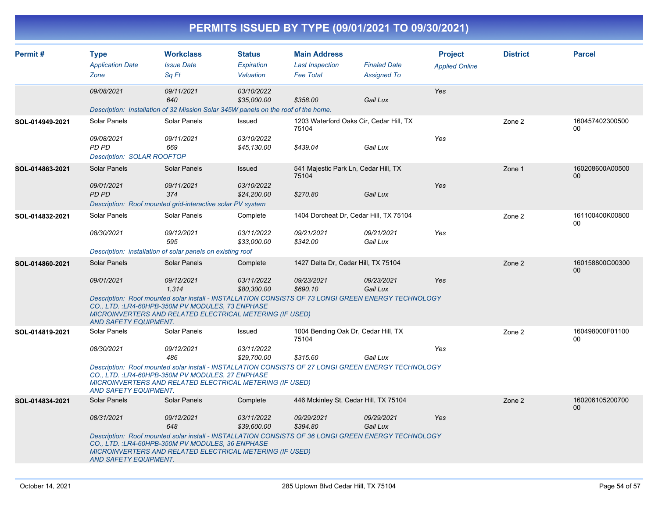| PERMITS ISSUED BY TYPE (09/01/2021 TO 09/30/2021) |  |
|---------------------------------------------------|--|
|                                                   |  |

| Permit#         | <b>Type</b>                                                                                                                                                                                                                                                 | <b>Workclass</b>                                                                                                                                                                                                           | <b>Status</b>             | <b>Main Address</b>                              |                                           | <b>Project</b>        | <b>District</b> | <b>Parcel</b>             |  |  |
|-----------------|-------------------------------------------------------------------------------------------------------------------------------------------------------------------------------------------------------------------------------------------------------------|----------------------------------------------------------------------------------------------------------------------------------------------------------------------------------------------------------------------------|---------------------------|--------------------------------------------------|-------------------------------------------|-----------------------|-----------------|---------------------------|--|--|
|                 | <b>Application Date</b><br>Zone                                                                                                                                                                                                                             | <b>Issue Date</b><br>Sa Ft                                                                                                                                                                                                 | Expiration<br>Valuation   | <b>Last Inspection</b><br><b>Fee Total</b>       | <b>Finaled Date</b><br><b>Assigned To</b> | <b>Applied Online</b> |                 |                           |  |  |
|                 | 09/08/2021                                                                                                                                                                                                                                                  | 09/11/2021<br>640                                                                                                                                                                                                          | 03/10/2022<br>\$35,000.00 | \$358.00                                         | Gail Lux                                  | Yes                   |                 |                           |  |  |
|                 |                                                                                                                                                                                                                                                             | Description: Installation of 32 Mission Solar 345W panels on the roof of the home.                                                                                                                                         |                           |                                                  |                                           |                       |                 |                           |  |  |
| SOL-014949-2021 | Solar Panels                                                                                                                                                                                                                                                | Solar Panels                                                                                                                                                                                                               | Issued                    | 1203 Waterford Oaks Cir, Cedar Hill, TX<br>75104 |                                           |                       | Zone 2          | 160457402300500<br>$00\,$ |  |  |
|                 | 09/08/2021<br>PD PD<br><b>Description: SOLAR ROOFTOP</b>                                                                                                                                                                                                    | 09/11/2021<br>669                                                                                                                                                                                                          | 03/10/2022<br>\$45,130.00 | \$439.04                                         | Gail Lux                                  | Yes                   |                 |                           |  |  |
| SOL-014863-2021 | <b>Solar Panels</b>                                                                                                                                                                                                                                         | Solar Panels                                                                                                                                                                                                               | Issued                    | 541 Majestic Park Ln, Cedar Hill, TX<br>75104    |                                           |                       | Zone 1          | 160208600A00500<br>$00\,$ |  |  |
|                 | 09/01/2021<br><b>PD PD</b>                                                                                                                                                                                                                                  | 09/11/2021<br>374<br>Description: Roof mounted grid-interactive solar PV system                                                                                                                                            | 03/10/2022<br>\$24,200.00 | \$270.80                                         | Gail Lux                                  | Yes                   |                 |                           |  |  |
| SOL-014832-2021 | Solar Panels                                                                                                                                                                                                                                                | Solar Panels                                                                                                                                                                                                               | Complete                  | 1404 Dorcheat Dr, Cedar Hill, TX 75104           |                                           |                       | Zone 2          | 161100400K00800<br>00     |  |  |
|                 | 08/30/2021                                                                                                                                                                                                                                                  | 09/12/2021<br>595                                                                                                                                                                                                          | 03/11/2022<br>\$33,000.00 | 09/21/2021<br>\$342.00                           | 09/21/2021<br>Gail Lux                    | Yes                   |                 |                           |  |  |
|                 |                                                                                                                                                                                                                                                             | Description: installation of solar panels on existing roof                                                                                                                                                                 |                           |                                                  |                                           |                       |                 |                           |  |  |
| SOL-014860-2021 | <b>Solar Panels</b>                                                                                                                                                                                                                                         | Solar Panels                                                                                                                                                                                                               | Complete                  | 1427 Delta Dr, Cedar Hill, TX 75104              |                                           |                       | Zone 2          | 160158800C00300<br>00     |  |  |
|                 | 09/01/2021                                                                                                                                                                                                                                                  | 09/12/2021<br>1,314                                                                                                                                                                                                        | 03/11/2022<br>\$80,300.00 | 09/23/2021<br>\$690.10                           | 09/23/2021<br>Gail Lux                    | Yes                   |                 |                           |  |  |
|                 | <b>AND SAFETY EQUIPMENT.</b>                                                                                                                                                                                                                                | Description: Roof mounted solar install - INSTALLATION CONSISTS OF 73 LONGI GREEN ENERGY TECHNOLOGY<br>CO., LTD.: LR4-60HPB-350M PV MODULES, 73 ENPHASE<br><b>MICROINVERTERS AND RELATED ELECTRICAL METERING (IF USED)</b> |                           |                                                  |                                           |                       |                 |                           |  |  |
| SOL-014819-2021 | Solar Panels                                                                                                                                                                                                                                                | Solar Panels                                                                                                                                                                                                               | Issued                    | 1004 Bending Oak Dr, Cedar Hill, TX<br>75104     |                                           |                       | Zone 2          | 160498000F01100<br>00     |  |  |
|                 | 08/30/2021                                                                                                                                                                                                                                                  | 09/12/2021<br>486                                                                                                                                                                                                          | 03/11/2022<br>\$29,700.00 | \$315.60                                         | Gail Lux                                  | Yes                   |                 |                           |  |  |
|                 | Description: Roof mounted solar install - INSTALLATION CONSISTS OF 27 LONGI GREEN ENERGY TECHNOLOGY<br>CO., LTD. : LR4-60HPB-350M PV MODULES, 27 ENPHASE<br>MICROINVERTERS AND RELATED ELECTRICAL METERING (IF USED)<br><b>AND SAFETY EQUIPMENT.</b>        |                                                                                                                                                                                                                            |                           |                                                  |                                           |                       |                 |                           |  |  |
| SOL-014834-2021 | <b>Solar Panels</b>                                                                                                                                                                                                                                         | Solar Panels                                                                                                                                                                                                               | Complete                  | 446 Mckinley St, Cedar Hill, TX 75104            |                                           |                       | Zone 2          | 160206105200700<br>$00\,$ |  |  |
|                 | 08/31/2021                                                                                                                                                                                                                                                  | 09/12/2021<br>648                                                                                                                                                                                                          | 03/11/2022<br>\$39,600.00 | 09/29/2021<br>\$394.80                           | 09/29/2021<br>Gail Lux                    | Yes                   |                 |                           |  |  |
|                 | Description: Roof mounted solar install - INSTALLATION CONSISTS OF 36 LONGI GREEN ENERGY TECHNOLOGY<br>CO., LTD. : LR4-60HPB-350M PV MODULES, 36 ENPHASE<br><b>MICROINVERTERS AND RELATED ELECTRICAL METERING (IF USED)</b><br><b>AND SAFETY EQUIPMENT.</b> |                                                                                                                                                                                                                            |                           |                                                  |                                           |                       |                 |                           |  |  |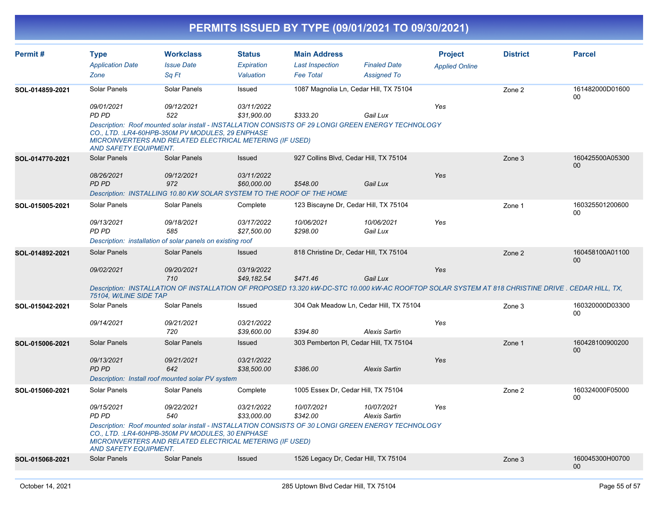| Permit#         | <b>Type</b>                  | <b>Workclass</b>                                                                                                                                                                                                            | <b>Status</b>             | <b>Main Address</b>                 |                                         | <b>Project</b>        | <b>District</b> | <b>Parcel</b>                                                                                                                                     |
|-----------------|------------------------------|-----------------------------------------------------------------------------------------------------------------------------------------------------------------------------------------------------------------------------|---------------------------|-------------------------------------|-----------------------------------------|-----------------------|-----------------|---------------------------------------------------------------------------------------------------------------------------------------------------|
|                 | <b>Application Date</b>      | <b>Issue Date</b>                                                                                                                                                                                                           | Expiration                | <b>Last Inspection</b>              | <b>Finaled Date</b>                     | <b>Applied Online</b> |                 |                                                                                                                                                   |
|                 | Zone                         | Sq Ft                                                                                                                                                                                                                       | Valuation                 | <b>Fee Total</b>                    | <b>Assigned To</b>                      |                       |                 |                                                                                                                                                   |
| SOL-014859-2021 | Solar Panels                 | Solar Panels                                                                                                                                                                                                                | Issued                    |                                     | 1087 Magnolia Ln, Cedar Hill, TX 75104  |                       | Zone 2          | 161482000D01600<br>$00\,$                                                                                                                         |
|                 | 09/01/2021                   | 09/12/2021                                                                                                                                                                                                                  | 03/11/2022                |                                     |                                         | Yes                   |                 |                                                                                                                                                   |
|                 | PD PD                        | 522                                                                                                                                                                                                                         | \$31.900.00               | \$333.20                            | Gail Lux                                |                       |                 |                                                                                                                                                   |
|                 | <b>AND SAFETY EQUIPMENT.</b> | Description: Roof mounted solar install - INSTALLATION CONSISTS OF 29 LONGI GREEN ENERGY TECHNOLOGY<br>CO., LTD. : LR4-60HPB-350M PV MODULES, 29 ENPHASE<br><b>MICROINVERTERS AND RELATED ELECTRICAL METERING (IF USED)</b> |                           |                                     |                                         |                       |                 |                                                                                                                                                   |
| SOL-014770-2021 | Solar Panels                 | <b>Solar Panels</b>                                                                                                                                                                                                         | Issued                    |                                     | 927 Collins Blvd, Cedar Hill, TX 75104  |                       | Zone 3          | 160425500A05300<br>$00\,$                                                                                                                         |
|                 | 08/26/2021                   | 09/12/2021                                                                                                                                                                                                                  | 03/11/2022                |                                     |                                         | Yes                   |                 |                                                                                                                                                   |
|                 | <b>PD PD</b>                 | 972                                                                                                                                                                                                                         | \$60,000.00               | \$548.00                            | Gail Lux                                |                       |                 |                                                                                                                                                   |
|                 |                              | Description: INSTALLING 10.80 KW SOLAR SYSTEM TO THE ROOF OF THE HOME                                                                                                                                                       |                           |                                     |                                         |                       |                 |                                                                                                                                                   |
| SOL-015005-2021 | Solar Panels                 | Solar Panels                                                                                                                                                                                                                | Complete                  |                                     | 123 Biscayne Dr, Cedar Hill, TX 75104   |                       | Zone 1          | 160325501200600<br>$00\,$                                                                                                                         |
|                 | 09/13/2021                   | 09/18/2021                                                                                                                                                                                                                  | 03/17/2022                | 10/06/2021                          | 10/06/2021                              | Yes                   |                 |                                                                                                                                                   |
|                 | PD PD                        | 585<br>Description: installation of solar panels on existing roof                                                                                                                                                           | \$27,500.00               | \$298.00                            | Gail Lux                                |                       |                 |                                                                                                                                                   |
| SOL-014892-2021 | <b>Solar Panels</b>          | <b>Solar Panels</b>                                                                                                                                                                                                         | <b>Issued</b>             |                                     | 818 Christine Dr, Cedar Hill, TX 75104  |                       | Zone 2          | 160458100A01100                                                                                                                                   |
|                 |                              |                                                                                                                                                                                                                             |                           |                                     |                                         |                       |                 | 00                                                                                                                                                |
|                 | 09/02/2021                   | 09/20/2021                                                                                                                                                                                                                  | 03/19/2022                |                                     |                                         | Yes                   |                 |                                                                                                                                                   |
|                 |                              | 710                                                                                                                                                                                                                         | \$49,182.54               | \$471.46                            | Gail Lux                                |                       |                 |                                                                                                                                                   |
|                 | 75104, W/LINE SIDE TAP       |                                                                                                                                                                                                                             |                           |                                     |                                         |                       |                 | Description: INSTALLATION OF INSTALLATION OF PROPOSED 13.320 kW-DC-STC 10.000 kW-AC ROOFTOP SOLAR SYSTEM AT 818 CHRISTINE DRIVE . CEDAR HILL, TX, |
| SOL-015042-2021 | Solar Panels                 | Solar Panels                                                                                                                                                                                                                | Issued                    |                                     | 304 Oak Meadow Ln, Cedar Hill, TX 75104 |                       | Zone 3          | 160320000D03300<br>00                                                                                                                             |
|                 | 09/14/2021                   | 09/21/2021                                                                                                                                                                                                                  | 03/21/2022                |                                     |                                         | Yes                   |                 |                                                                                                                                                   |
|                 |                              | 720                                                                                                                                                                                                                         | \$39,600.00               | \$394.80                            | <b>Alexis Sartin</b>                    |                       |                 |                                                                                                                                                   |
| SOL-015006-2021 | <b>Solar Panels</b>          | <b>Solar Panels</b>                                                                                                                                                                                                         | Issued                    |                                     | 303 Pemberton PI, Cedar Hill, TX 75104  |                       | Zone 1          | 160428100900200<br>00                                                                                                                             |
|                 | 09/13/2021                   | 09/21/2021                                                                                                                                                                                                                  | 03/21/2022                |                                     |                                         | Yes                   |                 |                                                                                                                                                   |
|                 | <b>PD PD</b>                 | 642                                                                                                                                                                                                                         | \$38,500.00               | \$386.00                            | <b>Alexis Sartin</b>                    |                       |                 |                                                                                                                                                   |
|                 |                              | Description: Install roof mounted solar PV system                                                                                                                                                                           |                           |                                     |                                         |                       |                 |                                                                                                                                                   |
| SOL-015060-2021 | Solar Panels                 | Solar Panels                                                                                                                                                                                                                | Complete                  | 1005 Essex Dr, Cedar Hill, TX 75104 |                                         |                       | Zone 2          | 160324000F05000<br>00                                                                                                                             |
|                 | 09/15/2021<br>PD PD          | 09/22/2021<br>540                                                                                                                                                                                                           | 03/21/2022<br>\$33,000.00 | 10/07/2021<br>\$342.00              | 10/07/2021<br><b>Alexis Sartin</b>      | Yes                   |                 |                                                                                                                                                   |
|                 | <b>AND SAFETY EQUIPMENT.</b> | Description: Roof mounted solar install - INSTALLATION CONSISTS OF 30 LONGI GREEN ENERGY TECHNOLOGY<br>CO., LTD. : LR4-60HPB-350M PV MODULES, 30 ENPHASE<br>MICROINVERTERS AND RELATED ELECTRICAL METERING (IF USED)        |                           |                                     |                                         |                       |                 |                                                                                                                                                   |
| SOL-015068-2021 | <b>Solar Panels</b>          | <b>Solar Panels</b>                                                                                                                                                                                                         | Issued                    |                                     | 1526 Legacy Dr. Cedar Hill, TX 75104    |                       | Zone 3          | 160045300H00700<br>00                                                                                                                             |
|                 |                              |                                                                                                                                                                                                                             |                           |                                     |                                         |                       |                 |                                                                                                                                                   |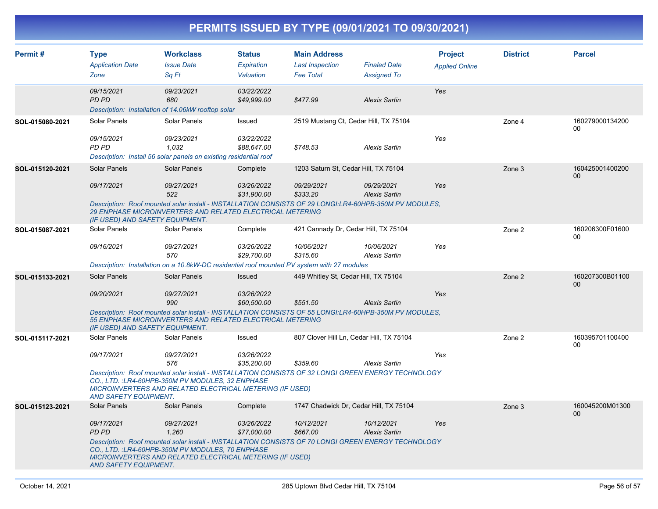| Permit#         | <b>Type</b><br><b>Application Date</b><br>Zone | <b>Workclass</b><br><b>Issue Date</b><br>Sq Ft                                                                                                                                                                              | <b>Status</b><br>Expiration<br>Valuation | <b>Main Address</b><br><b>Last Inspection</b><br><b>Fee Total</b> | <b>Finaled Date</b><br><b>Assigned To</b> | <b>Project</b><br><b>Applied Online</b> | <b>District</b> | <b>Parcel</b>             |
|-----------------|------------------------------------------------|-----------------------------------------------------------------------------------------------------------------------------------------------------------------------------------------------------------------------------|------------------------------------------|-------------------------------------------------------------------|-------------------------------------------|-----------------------------------------|-----------------|---------------------------|
|                 | 09/15/2021<br>PD PD                            | 09/23/2021<br>680<br>Description: Installation of 14.06kW rooftop solar                                                                                                                                                     | 03/22/2022<br>\$49,999.00                | \$477.99                                                          | <b>Alexis Sartin</b>                      | Yes                                     |                 |                           |
| SOL-015080-2021 | Solar Panels                                   | Solar Panels                                                                                                                                                                                                                | Issued                                   | 2519 Mustang Ct, Cedar Hill, TX 75104                             |                                           |                                         | Zone 4          | 160279000134200<br>00     |
|                 | 09/15/2021<br>PD PD                            | 09/23/2021<br>1.032<br>Description: Install 56 solar panels on existing residential roof                                                                                                                                    | 03/22/2022<br>\$88,647.00                | \$748.53                                                          | <b>Alexis Sartin</b>                      | Yes                                     |                 |                           |
| SOL-015120-2021 | Solar Panels                                   | Solar Panels                                                                                                                                                                                                                | Complete                                 | 1203 Saturn St, Cedar Hill, TX 75104                              |                                           |                                         | Zone 3          | 160425001400200<br>$00\,$ |
|                 | 09/17/2021                                     | 09/27/2021<br>522                                                                                                                                                                                                           | 03/26/2022<br>\$31,900.00                | 09/29/2021<br>\$333.20                                            | 09/29/2021<br><b>Alexis Sartin</b>        | Yes                                     |                 |                           |
|                 | (IF USED) AND SAFETY EQUIPMENT.                | Description: Roof mounted solar install - INSTALLATION CONSISTS OF 29 LONGI:LR4-60HPB-350M PV MODULES.<br>29 ENPHASE MICROINVERTERS AND RELATED ELECTRICAL METERING                                                         |                                          |                                                                   |                                           |                                         |                 |                           |
| SOL-015087-2021 | Solar Panels                                   | <b>Solar Panels</b>                                                                                                                                                                                                         | Complete                                 | 421 Cannady Dr, Cedar Hill, TX 75104                              |                                           |                                         | Zone 2          | 160206300F01600<br>$00\,$ |
|                 | 09/16/2021                                     | 09/27/2021<br>570                                                                                                                                                                                                           | 03/26/2022<br>\$29,700.00                | 10/06/2021<br>\$315.60                                            | 10/06/2021<br><b>Alexis Sartin</b>        | Yes                                     |                 |                           |
|                 |                                                | Description: Installation on a 10.8kW-DC residential roof mounted PV system with 27 modules                                                                                                                                 |                                          |                                                                   |                                           |                                         |                 |                           |
| SOL-015133-2021 | Solar Panels                                   | Solar Panels                                                                                                                                                                                                                | <b>Issued</b>                            | 449 Whitley St, Cedar Hill, TX 75104                              |                                           |                                         | Zone 2          | 160207300B01100<br>$00\,$ |
|                 | 09/20/2021                                     | 09/27/2021<br>990                                                                                                                                                                                                           | 03/26/2022<br>\$60,500.00                | \$551.50                                                          | <b>Alexis Sartin</b>                      | Yes                                     |                 |                           |
|                 | (IF USED) AND SAFETY EQUIPMENT.                | Description: Roof mounted solar install - INSTALLATION CONSISTS OF 55 LONGI:LR4-60HPB-350M PV MODULES.<br>55 ENPHASE MICROINVERTERS AND RELATED ELECTRICAL METERING                                                         |                                          |                                                                   |                                           |                                         |                 |                           |
| SOL-015117-2021 | Solar Panels                                   | Solar Panels                                                                                                                                                                                                                | Issued                                   | 807 Clover Hill Ln, Cedar Hill, TX 75104                          |                                           |                                         | Zone 2          | 160395701100400<br>00     |
|                 | 09/17/2021                                     | 09/27/2021<br>576                                                                                                                                                                                                           | 03/26/2022<br>\$35,200.00                | \$359.60                                                          | <b>Alexis Sartin</b>                      | Yes                                     |                 |                           |
|                 | <b>AND SAFETY EQUIPMENT.</b>                   | Description: Roof mounted solar install - INSTALLATION CONSISTS OF 32 LONGI GREEN ENERGY TECHNOLOGY<br>CO., LTD.: LR4-60HPB-350M PV MODULES, 32 ENPHASE<br>MICROINVERTERS AND RELATED ELECTRICAL METERING (IF USED)         |                                          |                                                                   |                                           |                                         |                 |                           |
| SOL-015123-2021 | <b>Solar Panels</b>                            | Solar Panels                                                                                                                                                                                                                | Complete                                 | 1747 Chadwick Dr, Cedar Hill, TX 75104                            |                                           |                                         | Zone 3          | 160045200M01300<br>$00\,$ |
|                 | 09/17/2021<br><b>PD PD</b>                     | 09/27/2021<br>1,260                                                                                                                                                                                                         | 03/26/2022<br>\$77,000.00                | 10/12/2021<br>\$667.00                                            | 10/12/2021<br><b>Alexis Sartin</b>        | Yes                                     |                 |                           |
|                 | <b>AND SAFETY EQUIPMENT.</b>                   | Description: Roof mounted solar install - INSTALLATION CONSISTS OF 70 LONGI GREEN ENERGY TECHNOLOGY<br>CO., LTD. : LR4-60HPB-350M PV MODULES, 70 ENPHASE<br><b>MICROINVERTERS AND RELATED ELECTRICAL METERING (IF USED)</b> |                                          |                                                                   |                                           |                                         |                 |                           |